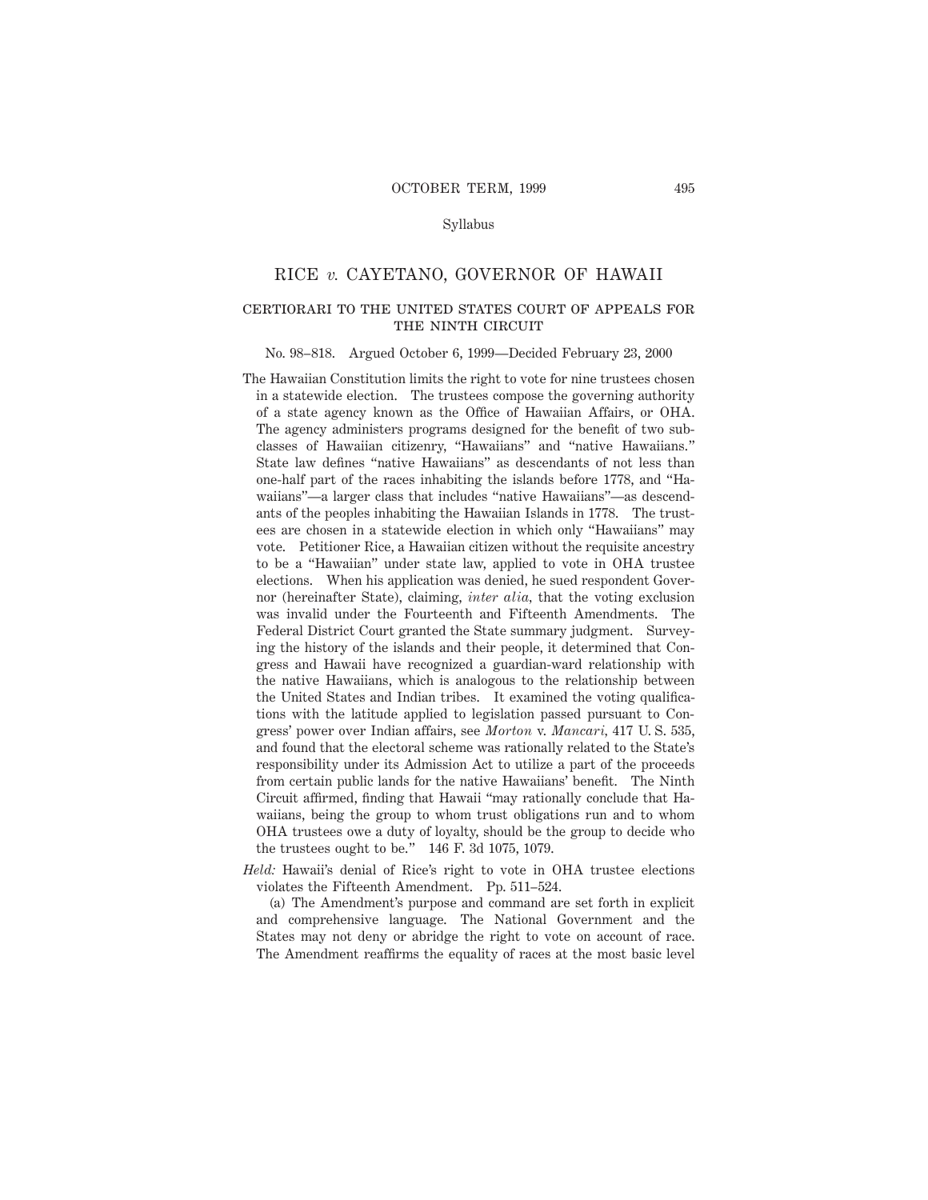### Syllabus

## RICE *v.* CAYETANO, GOVERNOR OF HAWAII

## certiorari to the united states court of appeals for THE NINTH CIRCUIT

#### No. 98–818. Argued October 6, 1999—Decided February 23, 2000

- The Hawaiian Constitution limits the right to vote for nine trustees chosen in a statewide election. The trustees compose the governing authority of a state agency known as the Office of Hawaiian Affairs, or OHA. The agency administers programs designed for the benefit of two subclasses of Hawaiian citizenry, "Hawaiians" and "native Hawaiians." State law defines "native Hawaiians" as descendants of not less than one-half part of the races inhabiting the islands before 1778, and "Hawaiians"—a larger class that includes "native Hawaiians"—as descendants of the peoples inhabiting the Hawaiian Islands in 1778. The trustees are chosen in a statewide election in which only "Hawaiians" may vote. Petitioner Rice, a Hawaiian citizen without the requisite ancestry to be a "Hawaiian" under state law, applied to vote in OHA trustee elections. When his application was denied, he sued respondent Governor (hereinafter State), claiming, *inter alia,* that the voting exclusion was invalid under the Fourteenth and Fifteenth Amendments. The Federal District Court granted the State summary judgment. Surveying the history of the islands and their people, it determined that Congress and Hawaii have recognized a guardian-ward relationship with the native Hawaiians, which is analogous to the relationship between the United States and Indian tribes. It examined the voting qualifications with the latitude applied to legislation passed pursuant to Congress' power over Indian affairs, see *Morton* v. *Mancari,* 417 U. S. 535, and found that the electoral scheme was rationally related to the State's responsibility under its Admission Act to utilize a part of the proceeds from certain public lands for the native Hawaiians' benefit. The Ninth Circuit affirmed, finding that Hawaii "may rationally conclude that Hawaiians, being the group to whom trust obligations run and to whom OHA trustees owe a duty of loyalty, should be the group to decide who the trustees ought to be." 146 F. 3d 1075, 1079.
- *Held:* Hawaii's denial of Rice's right to vote in OHA trustee elections violates the Fifteenth Amendment. Pp. 511–524.

(a) The Amendment's purpose and command are set forth in explicit and comprehensive language. The National Government and the States may not deny or abridge the right to vote on account of race. The Amendment reaffirms the equality of races at the most basic level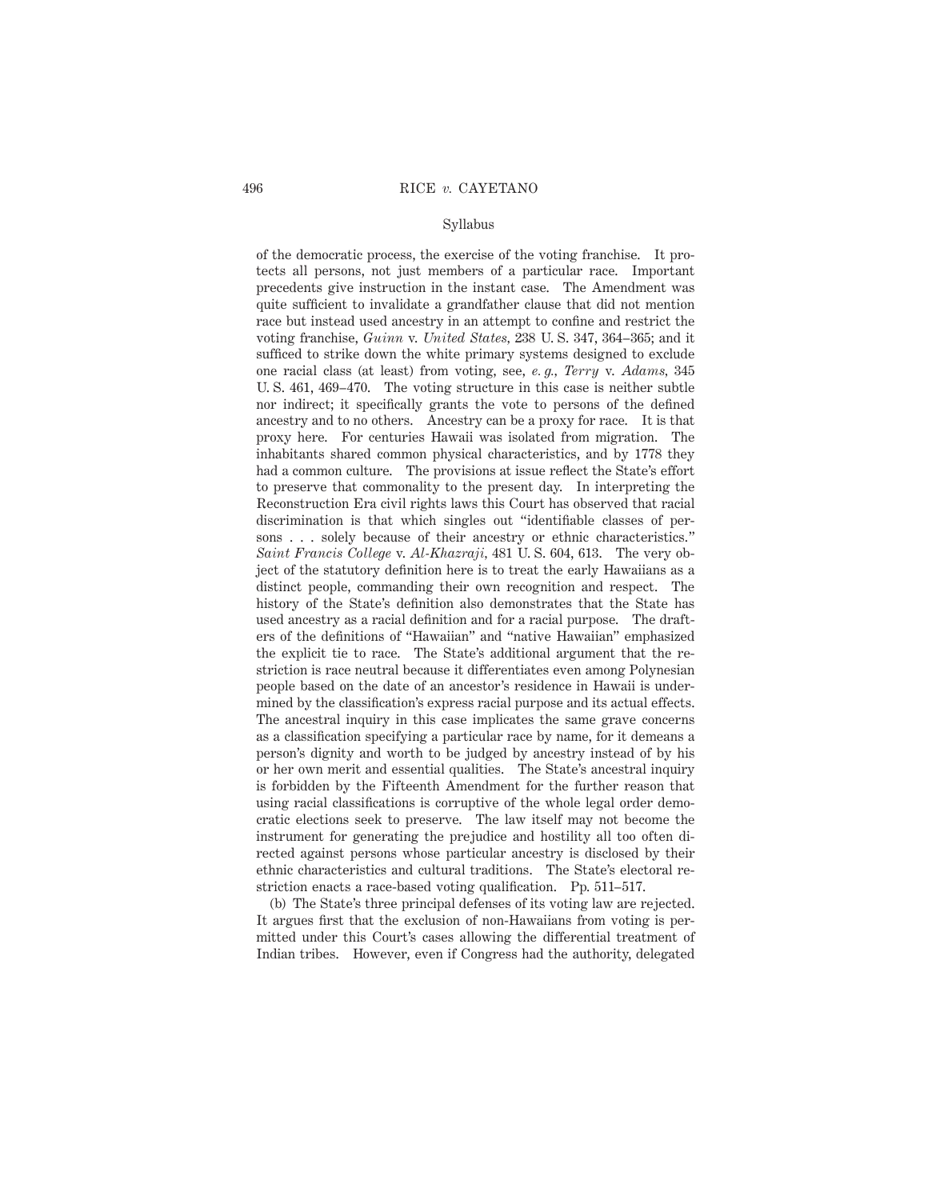### Syllabus

of the democratic process, the exercise of the voting franchise. It protects all persons, not just members of a particular race. Important precedents give instruction in the instant case. The Amendment was quite sufficient to invalidate a grandfather clause that did not mention race but instead used ancestry in an attempt to confine and restrict the voting franchise, *Guinn* v. *United States,* 238 U. S. 347, 364–365; and it sufficed to strike down the white primary systems designed to exclude one racial class (at least) from voting, see, *e. g., Terry* v. *Adams,* 345 U. S. 461, 469–470. The voting structure in this case is neither subtle nor indirect; it specifically grants the vote to persons of the defined ancestry and to no others. Ancestry can be a proxy for race. It is that proxy here. For centuries Hawaii was isolated from migration. The inhabitants shared common physical characteristics, and by 1778 they had a common culture. The provisions at issue reflect the State's effort to preserve that commonality to the present day. In interpreting the Reconstruction Era civil rights laws this Court has observed that racial discrimination is that which singles out "identifiable classes of persons . . . solely because of their ancestry or ethnic characteristics." *Saint Francis College* v. *Al-Khazraji,* 481 U. S. 604, 613. The very object of the statutory definition here is to treat the early Hawaiians as a distinct people, commanding their own recognition and respect. The history of the State's definition also demonstrates that the State has used ancestry as a racial definition and for a racial purpose. The drafters of the definitions of "Hawaiian" and "native Hawaiian" emphasized the explicit tie to race. The State's additional argument that the restriction is race neutral because it differentiates even among Polynesian people based on the date of an ancestor's residence in Hawaii is undermined by the classification's express racial purpose and its actual effects. The ancestral inquiry in this case implicates the same grave concerns as a classification specifying a particular race by name, for it demeans a person's dignity and worth to be judged by ancestry instead of by his or her own merit and essential qualities. The State's ancestral inquiry is forbidden by the Fifteenth Amendment for the further reason that using racial classifications is corruptive of the whole legal order democratic elections seek to preserve. The law itself may not become the instrument for generating the prejudice and hostility all too often directed against persons whose particular ancestry is disclosed by their ethnic characteristics and cultural traditions. The State's electoral restriction enacts a race-based voting qualification. Pp. 511–517.

(b) The State's three principal defenses of its voting law are rejected. It argues first that the exclusion of non-Hawaiians from voting is permitted under this Court's cases allowing the differential treatment of Indian tribes. However, even if Congress had the authority, delegated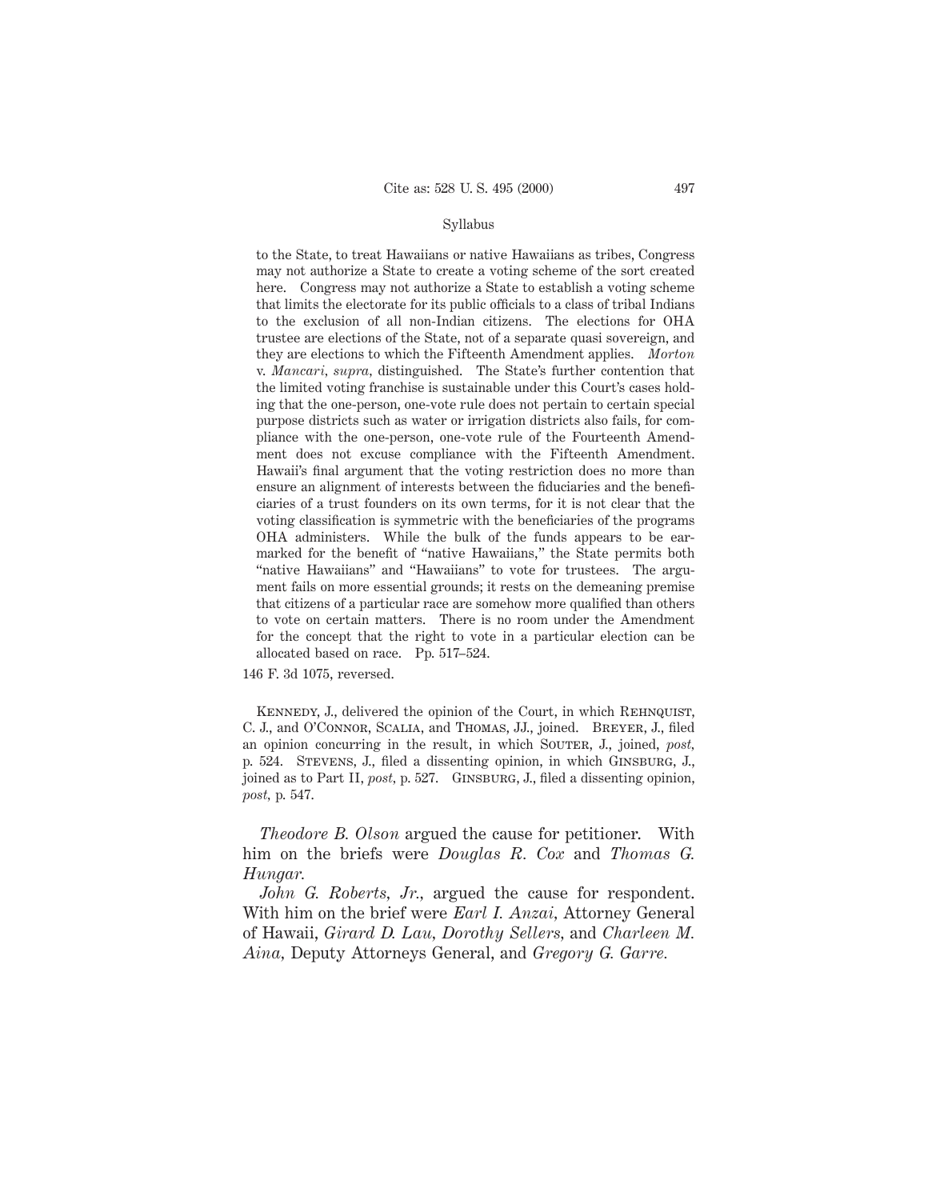### Syllabus

to the State, to treat Hawaiians or native Hawaiians as tribes, Congress may not authorize a State to create a voting scheme of the sort created here. Congress may not authorize a State to establish a voting scheme that limits the electorate for its public officials to a class of tribal Indians to the exclusion of all non-Indian citizens. The elections for OHA trustee are elections of the State, not of a separate quasi sovereign, and they are elections to which the Fifteenth Amendment applies. *Morton* v. *Mancari, supra,* distinguished. The State's further contention that the limited voting franchise is sustainable under this Court's cases holding that the one-person, one-vote rule does not pertain to certain special purpose districts such as water or irrigation districts also fails, for compliance with the one-person, one-vote rule of the Fourteenth Amendment does not excuse compliance with the Fifteenth Amendment. Hawaii's final argument that the voting restriction does no more than ensure an alignment of interests between the fiduciaries and the beneficiaries of a trust founders on its own terms, for it is not clear that the voting classification is symmetric with the beneficiaries of the programs OHA administers. While the bulk of the funds appears to be earmarked for the benefit of "native Hawaiians," the State permits both "native Hawaiians" and "Hawaiians" to vote for trustees. The argument fails on more essential grounds; it rests on the demeaning premise that citizens of a particular race are somehow more qualified than others to vote on certain matters. There is no room under the Amendment for the concept that the right to vote in a particular election can be allocated based on race. Pp. 517–524.

146 F. 3d 1075, reversed.

KENNEDY, J., delivered the opinion of the Court, in which REHNQUIST, C. J., and O'Connor, Scalia, and Thomas, JJ., joined. Breyer, J., filed an opinion concurring in the result, in which SOUTER, J., joined, *post*, p. 524. Stevens, J., filed a dissenting opinion, in which Ginsburg, J., joined as to Part II, *post*, p. 527. GINSBURG, J., filed a dissenting opinion, *post,* p. 547.

*Theodore B. Olson* argued the cause for petitioner. With him on the briefs were *Douglas R. Cox* and *Thomas G. Hungar.*

*John G. Roberts, Jr.,* argued the cause for respondent. With him on the brief were *Earl I. Anzai,* Attorney General of Hawaii, *Girard D. Lau, Dorothy Sellers,* and *Charleen M. Aina,* Deputy Attorneys General, and *Gregory G. Garre.*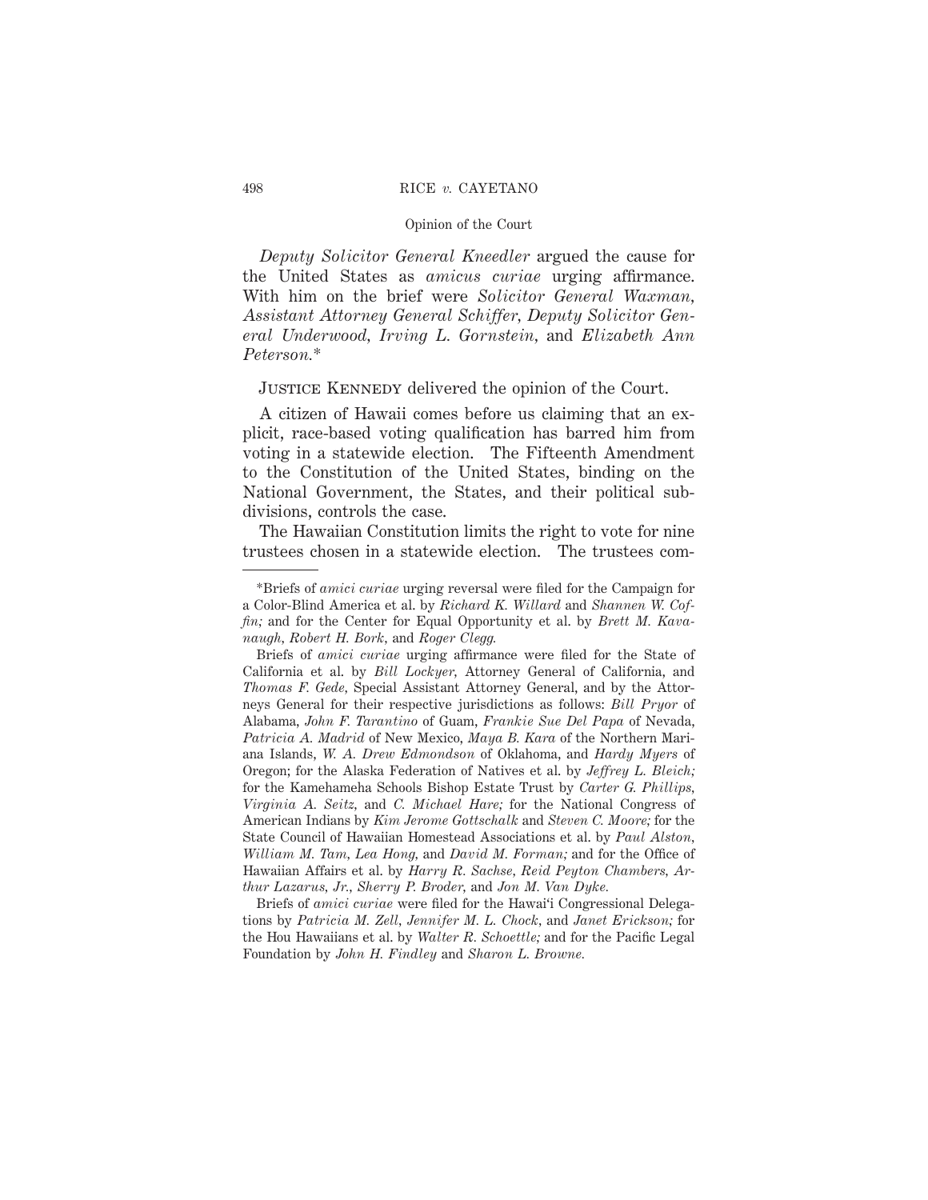*Deputy Solicitor General Kneedler* argued the cause for the United States as *amicus curiae* urging affirmance. With him on the brief were *Solicitor General Waxman, Assistant Attorney General Schiffer, Deputy Solicitor General Underwood, Irving L. Gornstein,* and *Elizabeth Ann Peterson.*\*

# JUSTICE KENNEDY delivered the opinion of the Court.

A citizen of Hawaii comes before us claiming that an explicit, race-based voting qualification has barred him from voting in a statewide election. The Fifteenth Amendment to the Constitution of the United States, binding on the National Government, the States, and their political subdivisions, controls the case.

The Hawaiian Constitution limits the right to vote for nine trustees chosen in a statewide election. The trustees com-

Briefs of *amici curiae* were filed for the Hawai'i Congressional Delegations by *Patricia M. Zell, Jennifer M. L. Chock,* and *Janet Erickson;* for the Hou Hawaiians et al. by *Walter R. Schoettle;* and for the Pacific Legal Foundation by *John H. Findley* and *Sharon L. Browne.*

<sup>\*</sup>Briefs of *amici curiae* urging reversal were filed for the Campaign for a Color-Blind America et al. by *Richard K. Willard* and *Shannen W. Coffin;* and for the Center for Equal Opportunity et al. by *Brett M. Kavanaugh, Robert H. Bork,* and *Roger Clegg.*

Briefs of *amici curiae* urging affirmance were filed for the State of California et al. by *Bill Lockyer,* Attorney General of California, and *Thomas F. Gede,* Special Assistant Attorney General, and by the Attorneys General for their respective jurisdictions as follows: *Bill Pryor* of Alabama, *John F. Tarantino* of Guam, *Frankie Sue Del Papa* of Nevada, *Patricia A. Madrid* of New Mexico, *Maya B. Kara* of the Northern Mariana Islands, *W. A. Drew Edmondson* of Oklahoma, and *Hardy Myers* of Oregon; for the Alaska Federation of Natives et al. by *Jeffrey L. Bleich;* for the Kamehameha Schools Bishop Estate Trust by *Carter G. Phillips, Virginia A. Seitz,* and *C. Michael Hare;* for the National Congress of American Indians by *Kim Jerome Gottschalk* and *Steven C. Moore;* for the State Council of Hawaiian Homestead Associations et al. by *Paul Alston, William M. Tam, Lea Hong,* and *David M. Forman;* and for the Office of Hawaiian Affairs et al. by *Harry R. Sachse, Reid Peyton Chambers, Arthur Lazarus, Jr., Sherry P. Broder,* and *Jon M. Van Dyke.*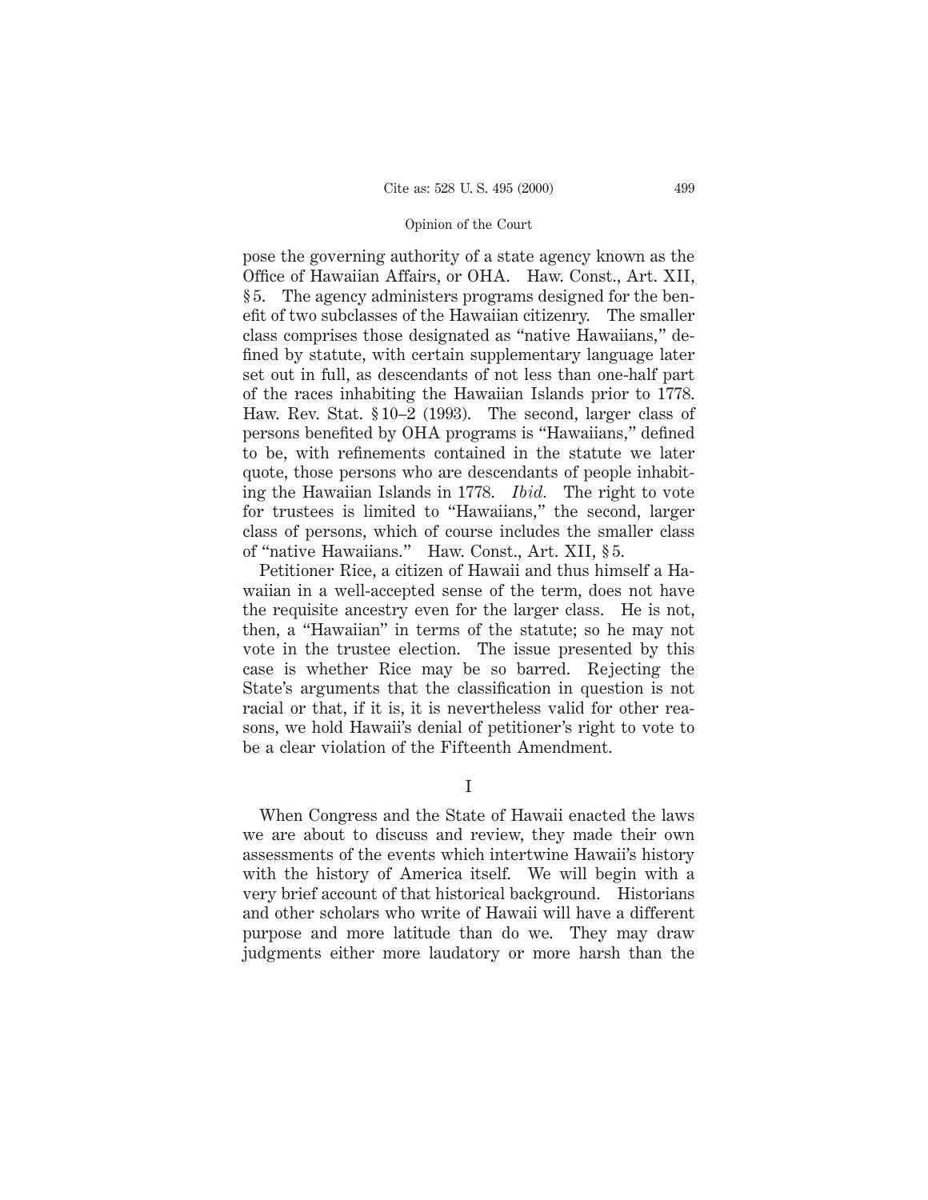pose the governing authority of a state agency known as the Office of Hawaiian Affairs, or OHA. Haw. Const., Art. XII, § 5. The agency administers programs designed for the benefit of two subclasses of the Hawaiian citizenry. The smaller class comprises those designated as "native Hawaiians," defined by statute, with certain supplementary language later set out in full, as descendants of not less than one-half part of the races inhabiting the Hawaiian Islands prior to 1778. Haw. Rev. Stat. § 10–2 (1993). The second, larger class of persons benefited by OHA programs is "Hawaiians," defined to be, with refinements contained in the statute we later quote, those persons who are descendants of people inhabiting the Hawaiian Islands in 1778. *Ibid.* The right to vote for trustees is limited to "Hawaiians," the second, larger class of persons, which of course includes the smaller class of "native Hawaiians." Haw. Const., Art. XII, § 5.

Petitioner Rice, a citizen of Hawaii and thus himself a Hawaiian in a well-accepted sense of the term, does not have the requisite ancestry even for the larger class. He is not, then, a "Hawaiian" in terms of the statute; so he may not vote in the trustee election. The issue presented by this case is whether Rice may be so barred. Rejecting the State's arguments that the classification in question is not racial or that, if it is, it is nevertheless valid for other reasons, we hold Hawaii's denial of petitioner's right to vote to be a clear violation of the Fifteenth Amendment.

I

When Congress and the State of Hawaii enacted the laws we are about to discuss and review, they made their own assessments of the events which intertwine Hawaii's history with the history of America itself. We will begin with a very brief account of that historical background. Historians and other scholars who write of Hawaii will have a different purpose and more latitude than do we. They may draw judgments either more laudatory or more harsh than the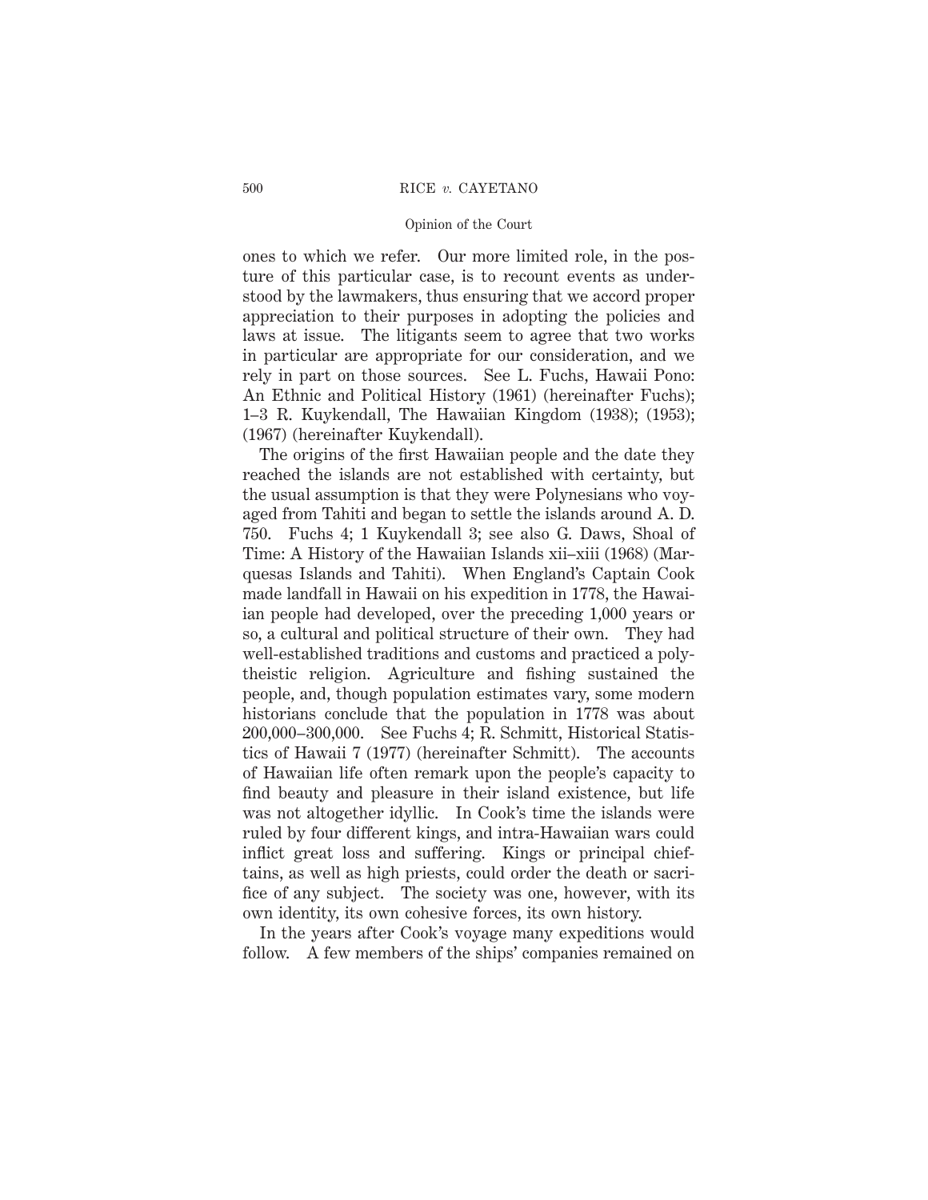ones to which we refer. Our more limited role, in the posture of this particular case, is to recount events as understood by the lawmakers, thus ensuring that we accord proper appreciation to their purposes in adopting the policies and laws at issue. The litigants seem to agree that two works in particular are appropriate for our consideration, and we rely in part on those sources. See L. Fuchs, Hawaii Pono: An Ethnic and Political History (1961) (hereinafter Fuchs); 1–3 R. Kuykendall, The Hawaiian Kingdom (1938); (1953); (1967) (hereinafter Kuykendall).

The origins of the first Hawaiian people and the date they reached the islands are not established with certainty, but the usual assumption is that they were Polynesians who voyaged from Tahiti and began to settle the islands around A. D. 750. Fuchs 4; 1 Kuykendall 3; see also G. Daws, Shoal of Time: A History of the Hawaiian Islands xii–xiii (1968) (Marquesas Islands and Tahiti). When England's Captain Cook made landfall in Hawaii on his expedition in 1778, the Hawaiian people had developed, over the preceding 1,000 years or so, a cultural and political structure of their own. They had well-established traditions and customs and practiced a polytheistic religion. Agriculture and fishing sustained the people, and, though population estimates vary, some modern historians conclude that the population in 1778 was about 200,000–300,000. See Fuchs 4; R. Schmitt, Historical Statistics of Hawaii 7 (1977) (hereinafter Schmitt). The accounts of Hawaiian life often remark upon the people's capacity to find beauty and pleasure in their island existence, but life was not altogether idyllic. In Cook's time the islands were ruled by four different kings, and intra-Hawaiian wars could inflict great loss and suffering. Kings or principal chieftains, as well as high priests, could order the death or sacrifice of any subject. The society was one, however, with its own identity, its own cohesive forces, its own history.

In the years after Cook's voyage many expeditions would follow. A few members of the ships' companies remained on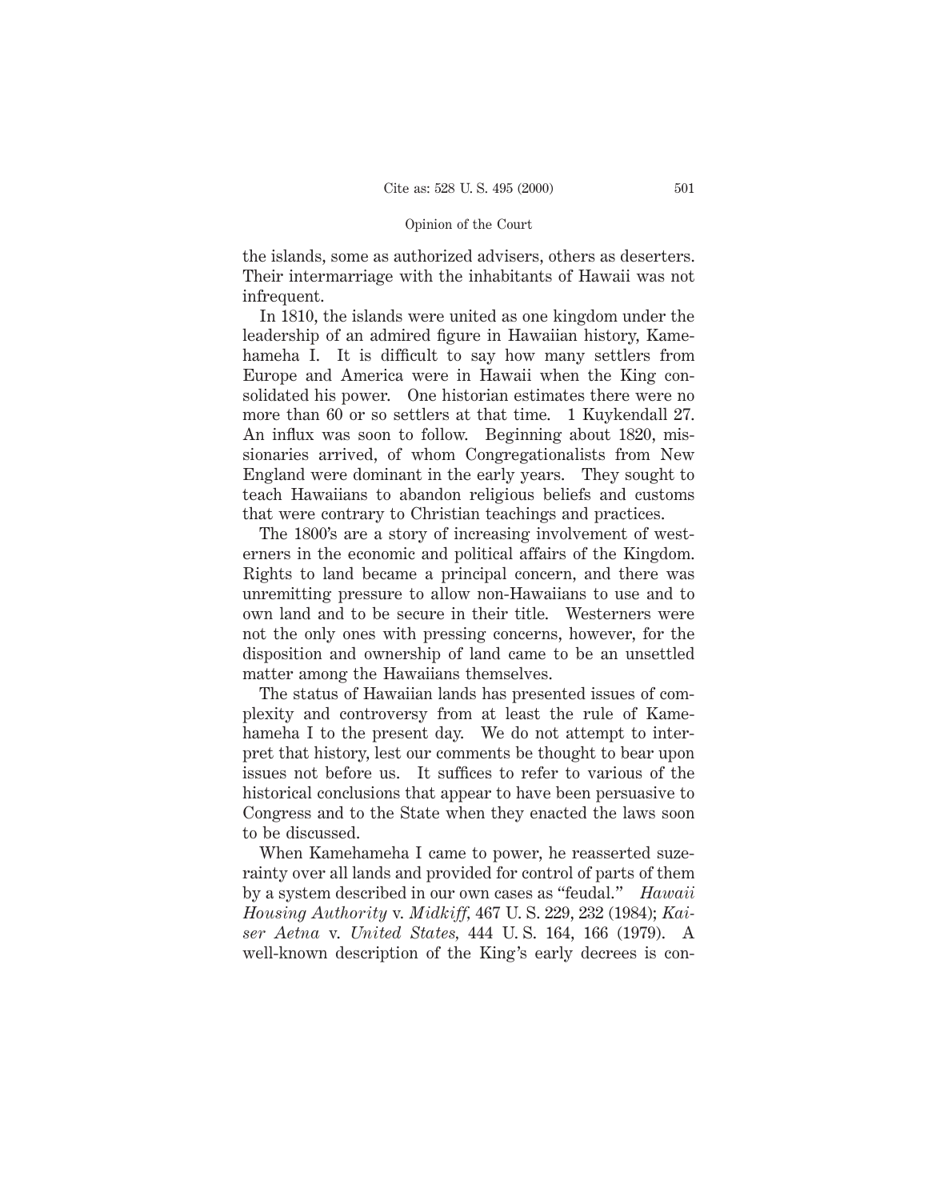the islands, some as authorized advisers, others as deserters. Their intermarriage with the inhabitants of Hawaii was not infrequent.

In 1810, the islands were united as one kingdom under the leadership of an admired figure in Hawaiian history, Kamehameha I. It is difficult to say how many settlers from Europe and America were in Hawaii when the King consolidated his power. One historian estimates there were no more than 60 or so settlers at that time. 1 Kuykendall 27. An influx was soon to follow. Beginning about 1820, missionaries arrived, of whom Congregationalists from New England were dominant in the early years. They sought to teach Hawaiians to abandon religious beliefs and customs that were contrary to Christian teachings and practices.

The 1800's are a story of increasing involvement of westerners in the economic and political affairs of the Kingdom. Rights to land became a principal concern, and there was unremitting pressure to allow non-Hawaiians to use and to own land and to be secure in their title. Westerners were not the only ones with pressing concerns, however, for the disposition and ownership of land came to be an unsettled matter among the Hawaiians themselves.

The status of Hawaiian lands has presented issues of complexity and controversy from at least the rule of Kamehameha I to the present day. We do not attempt to interpret that history, lest our comments be thought to bear upon issues not before us. It suffices to refer to various of the historical conclusions that appear to have been persuasive to Congress and to the State when they enacted the laws soon to be discussed.

When Kamehameha I came to power, he reasserted suzerainty over all lands and provided for control of parts of them by a system described in our own cases as "feudal." *Hawaii Housing Authority* v. *Midkiff,* 467 U. S. 229, 232 (1984); *Kaiser Aetna* v. *United States,* 444 U. S. 164, 166 (1979). A well-known description of the King's early decrees is con-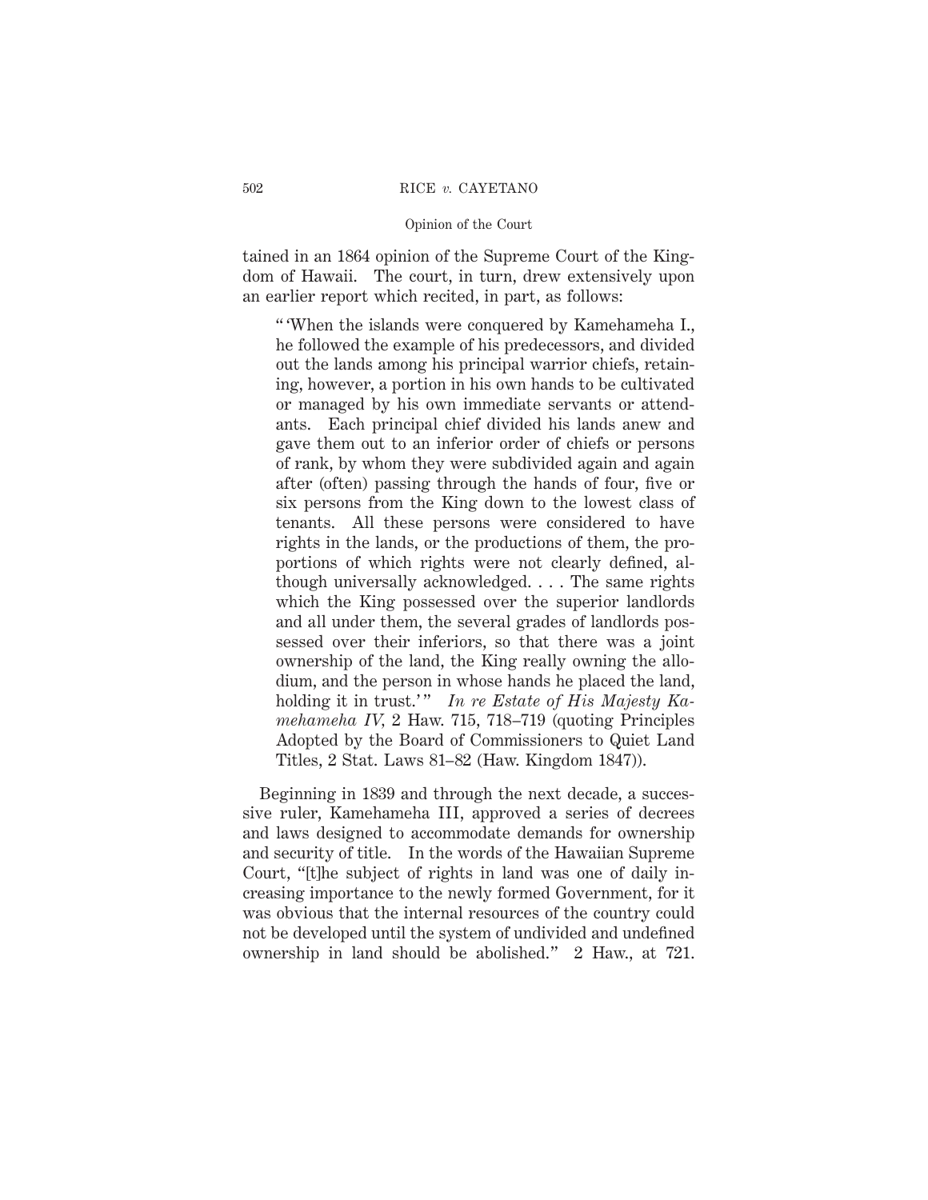tained in an 1864 opinion of the Supreme Court of the Kingdom of Hawaii. The court, in turn, drew extensively upon an earlier report which recited, in part, as follows:

" 'When the islands were conquered by Kamehameha I., he followed the example of his predecessors, and divided out the lands among his principal warrior chiefs, retaining, however, a portion in his own hands to be cultivated or managed by his own immediate servants or attendants. Each principal chief divided his lands anew and gave them out to an inferior order of chiefs or persons of rank, by whom they were subdivided again and again after (often) passing through the hands of four, five or six persons from the King down to the lowest class of tenants. All these persons were considered to have rights in the lands, or the productions of them, the proportions of which rights were not clearly defined, although universally acknowledged. . . . The same rights which the King possessed over the superior landlords and all under them, the several grades of landlords possessed over their inferiors, so that there was a joint ownership of the land, the King really owning the allodium, and the person in whose hands he placed the land, holding it in trust.'" In re Estate of His Majesty Ka*mehameha IV,* 2 Haw. 715, 718–719 (quoting Principles Adopted by the Board of Commissioners to Quiet Land Titles, 2 Stat. Laws 81–82 (Haw. Kingdom 1847)).

Beginning in 1839 and through the next decade, a successive ruler, Kamehameha III, approved a series of decrees and laws designed to accommodate demands for ownership and security of title. In the words of the Hawaiian Supreme Court, "[t]he subject of rights in land was one of daily increasing importance to the newly formed Government, for it was obvious that the internal resources of the country could not be developed until the system of undivided and undefined ownership in land should be abolished." 2 Haw., at 721.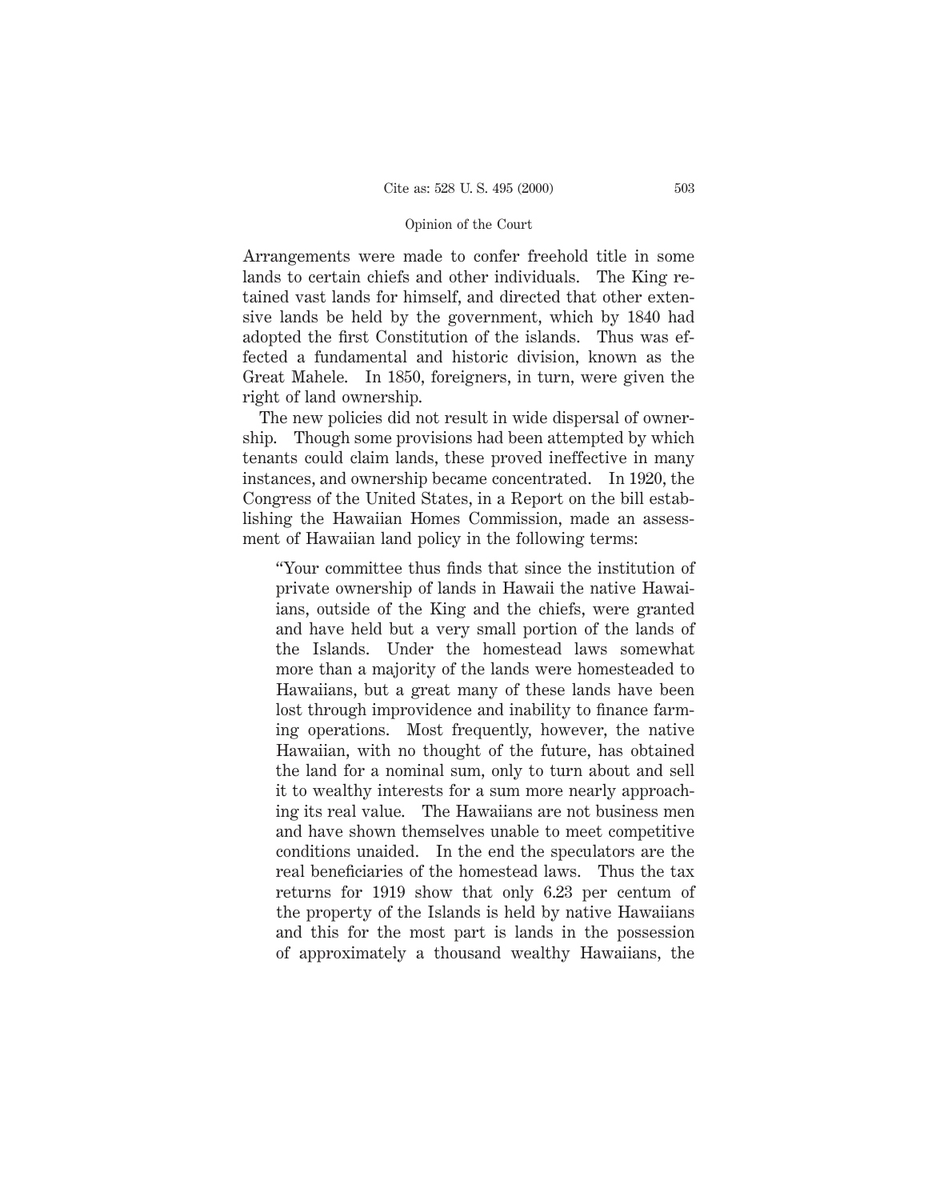Arrangements were made to confer freehold title in some lands to certain chiefs and other individuals. The King retained vast lands for himself, and directed that other extensive lands be held by the government, which by 1840 had adopted the first Constitution of the islands. Thus was effected a fundamental and historic division, known as the Great Mahele. In 1850, foreigners, in turn, were given the right of land ownership.

The new policies did not result in wide dispersal of ownership. Though some provisions had been attempted by which tenants could claim lands, these proved ineffective in many instances, and ownership became concentrated. In 1920, the Congress of the United States, in a Report on the bill establishing the Hawaiian Homes Commission, made an assessment of Hawaiian land policy in the following terms:

"Your committee thus finds that since the institution of private ownership of lands in Hawaii the native Hawaiians, outside of the King and the chiefs, were granted and have held but a very small portion of the lands of the Islands. Under the homestead laws somewhat more than a majority of the lands were homesteaded to Hawaiians, but a great many of these lands have been lost through improvidence and inability to finance farming operations. Most frequently, however, the native Hawaiian, with no thought of the future, has obtained the land for a nominal sum, only to turn about and sell it to wealthy interests for a sum more nearly approaching its real value. The Hawaiians are not business men and have shown themselves unable to meet competitive conditions unaided. In the end the speculators are the real beneficiaries of the homestead laws. Thus the tax returns for 1919 show that only 6.23 per centum of the property of the Islands is held by native Hawaiians and this for the most part is lands in the possession of approximately a thousand wealthy Hawaiians, the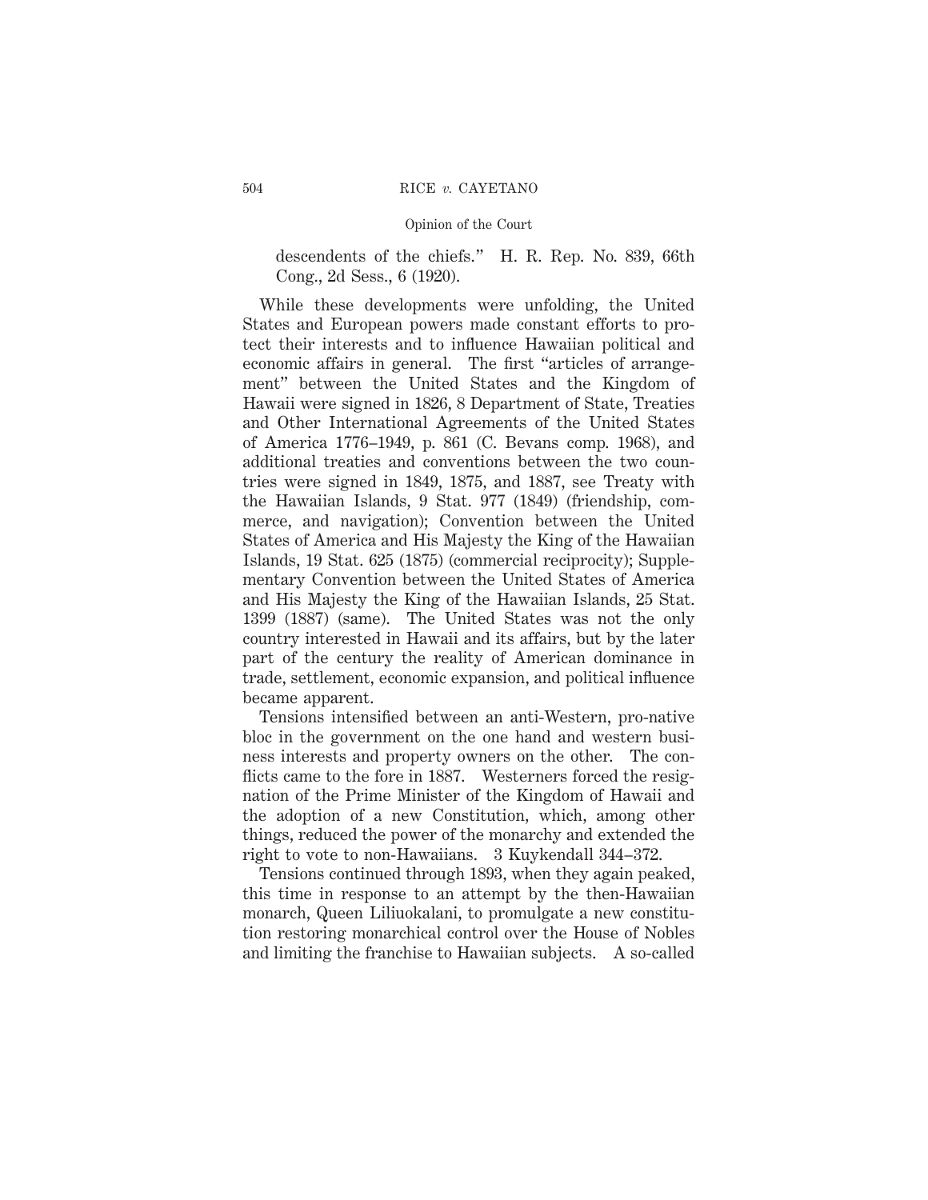descendents of the chiefs." H. R. Rep. No. 839, 66th Cong., 2d Sess., 6 (1920).

While these developments were unfolding, the United States and European powers made constant efforts to protect their interests and to influence Hawaiian political and economic affairs in general. The first "articles of arrangement" between the United States and the Kingdom of Hawaii were signed in 1826, 8 Department of State, Treaties and Other International Agreements of the United States of America 1776–1949, p. 861 (C. Bevans comp. 1968), and additional treaties and conventions between the two countries were signed in 1849, 1875, and 1887, see Treaty with the Hawaiian Islands, 9 Stat. 977 (1849) (friendship, commerce, and navigation); Convention between the United States of America and His Majesty the King of the Hawaiian Islands, 19 Stat. 625 (1875) (commercial reciprocity); Supplementary Convention between the United States of America and His Majesty the King of the Hawaiian Islands, 25 Stat. 1399 (1887) (same). The United States was not the only country interested in Hawaii and its affairs, but by the later part of the century the reality of American dominance in trade, settlement, economic expansion, and political influence became apparent.

Tensions intensified between an anti-Western, pro-native bloc in the government on the one hand and western business interests and property owners on the other. The conflicts came to the fore in 1887. Westerners forced the resignation of the Prime Minister of the Kingdom of Hawaii and the adoption of a new Constitution, which, among other things, reduced the power of the monarchy and extended the right to vote to non-Hawaiians. 3 Kuykendall 344–372.

Tensions continued through 1893, when they again peaked, this time in response to an attempt by the then-Hawaiian monarch, Queen Liliuokalani, to promulgate a new constitution restoring monarchical control over the House of Nobles and limiting the franchise to Hawaiian subjects. A so-called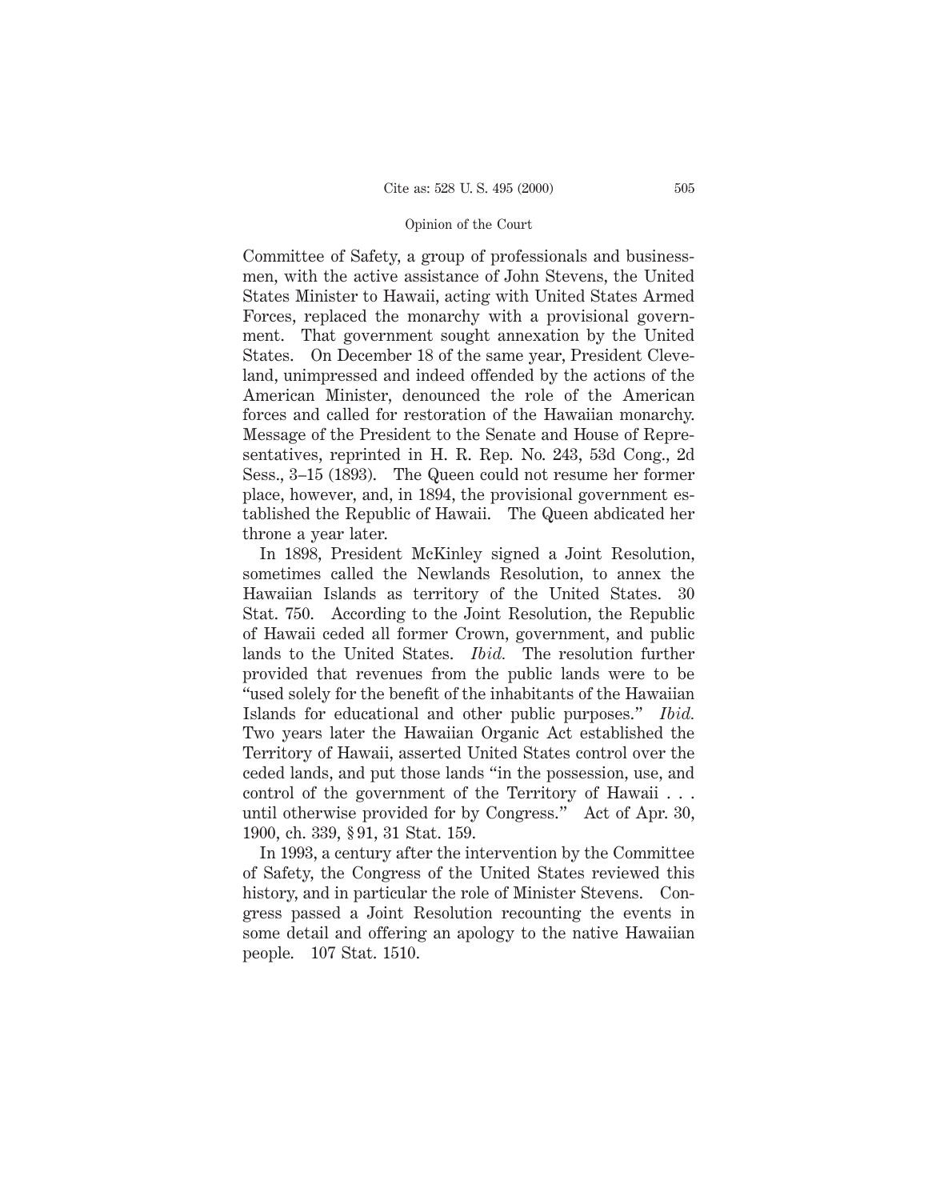Committee of Safety, a group of professionals and businessmen, with the active assistance of John Stevens, the United States Minister to Hawaii, acting with United States Armed Forces, replaced the monarchy with a provisional government. That government sought annexation by the United States. On December 18 of the same year, President Cleveland, unimpressed and indeed offended by the actions of the American Minister, denounced the role of the American forces and called for restoration of the Hawaiian monarchy. Message of the President to the Senate and House of Representatives, reprinted in H. R. Rep. No. 243, 53d Cong., 2d Sess., 3–15 (1893). The Queen could not resume her former place, however, and, in 1894, the provisional government established the Republic of Hawaii. The Queen abdicated her throne a year later.

In 1898, President McKinley signed a Joint Resolution, sometimes called the Newlands Resolution, to annex the Hawaiian Islands as territory of the United States. 30 Stat. 750. According to the Joint Resolution, the Republic of Hawaii ceded all former Crown, government, and public lands to the United States. *Ibid.* The resolution further provided that revenues from the public lands were to be "used solely for the benefit of the inhabitants of the Hawaiian Islands for educational and other public purposes." *Ibid.* Two years later the Hawaiian Organic Act established the Territory of Hawaii, asserted United States control over the ceded lands, and put those lands "in the possession, use, and control of the government of the Territory of Hawaii . . . until otherwise provided for by Congress." Act of Apr. 30, 1900, ch. 339, § 91, 31 Stat. 159.

In 1993, a century after the intervention by the Committee of Safety, the Congress of the United States reviewed this history, and in particular the role of Minister Stevens. Congress passed a Joint Resolution recounting the events in some detail and offering an apology to the native Hawaiian people. 107 Stat. 1510.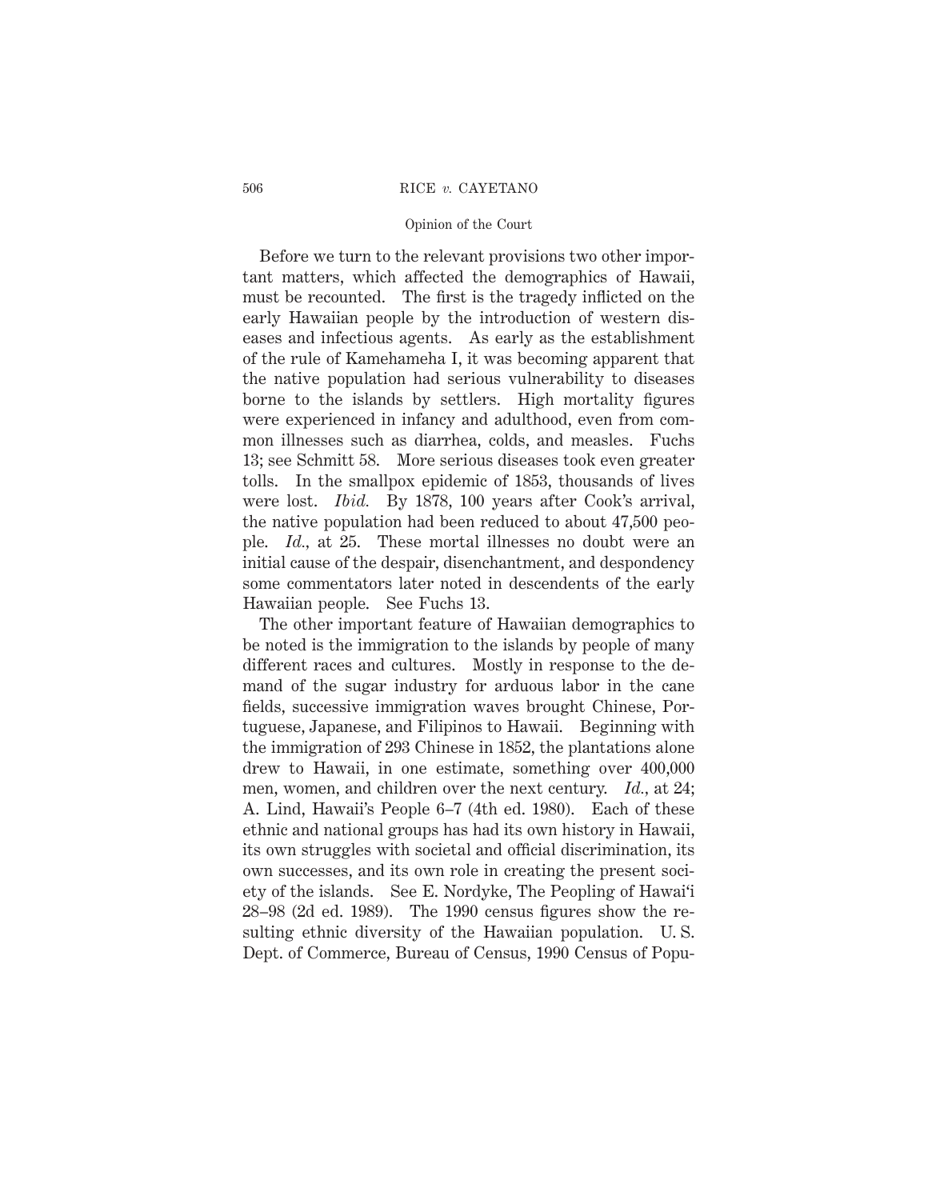Before we turn to the relevant provisions two other important matters, which affected the demographics of Hawaii, must be recounted. The first is the tragedy inflicted on the early Hawaiian people by the introduction of western diseases and infectious agents. As early as the establishment of the rule of Kamehameha I, it was becoming apparent that the native population had serious vulnerability to diseases borne to the islands by settlers. High mortality figures were experienced in infancy and adulthood, even from common illnesses such as diarrhea, colds, and measles. Fuchs 13; see Schmitt 58. More serious diseases took even greater tolls. In the smallpox epidemic of 1853, thousands of lives were lost. *Ibid.* By 1878, 100 years after Cook's arrival, the native population had been reduced to about 47,500 people. *Id.,* at 25. These mortal illnesses no doubt were an initial cause of the despair, disenchantment, and despondency some commentators later noted in descendents of the early Hawaiian people. See Fuchs 13.

The other important feature of Hawaiian demographics to be noted is the immigration to the islands by people of many different races and cultures. Mostly in response to the demand of the sugar industry for arduous labor in the cane fields, successive immigration waves brought Chinese, Portuguese, Japanese, and Filipinos to Hawaii. Beginning with the immigration of 293 Chinese in 1852, the plantations alone drew to Hawaii, in one estimate, something over 400,000 men, women, and children over the next century. *Id.,* at 24; A. Lind, Hawaii's People 6–7 (4th ed. 1980). Each of these ethnic and national groups has had its own history in Hawaii, its own struggles with societal and official discrimination, its own successes, and its own role in creating the present society of the islands. See E. Nordyke, The Peopling of Hawai'i 28–98 (2d ed. 1989). The 1990 census figures show the resulting ethnic diversity of the Hawaiian population. U. S. Dept. of Commerce, Bureau of Census, 1990 Census of Popu-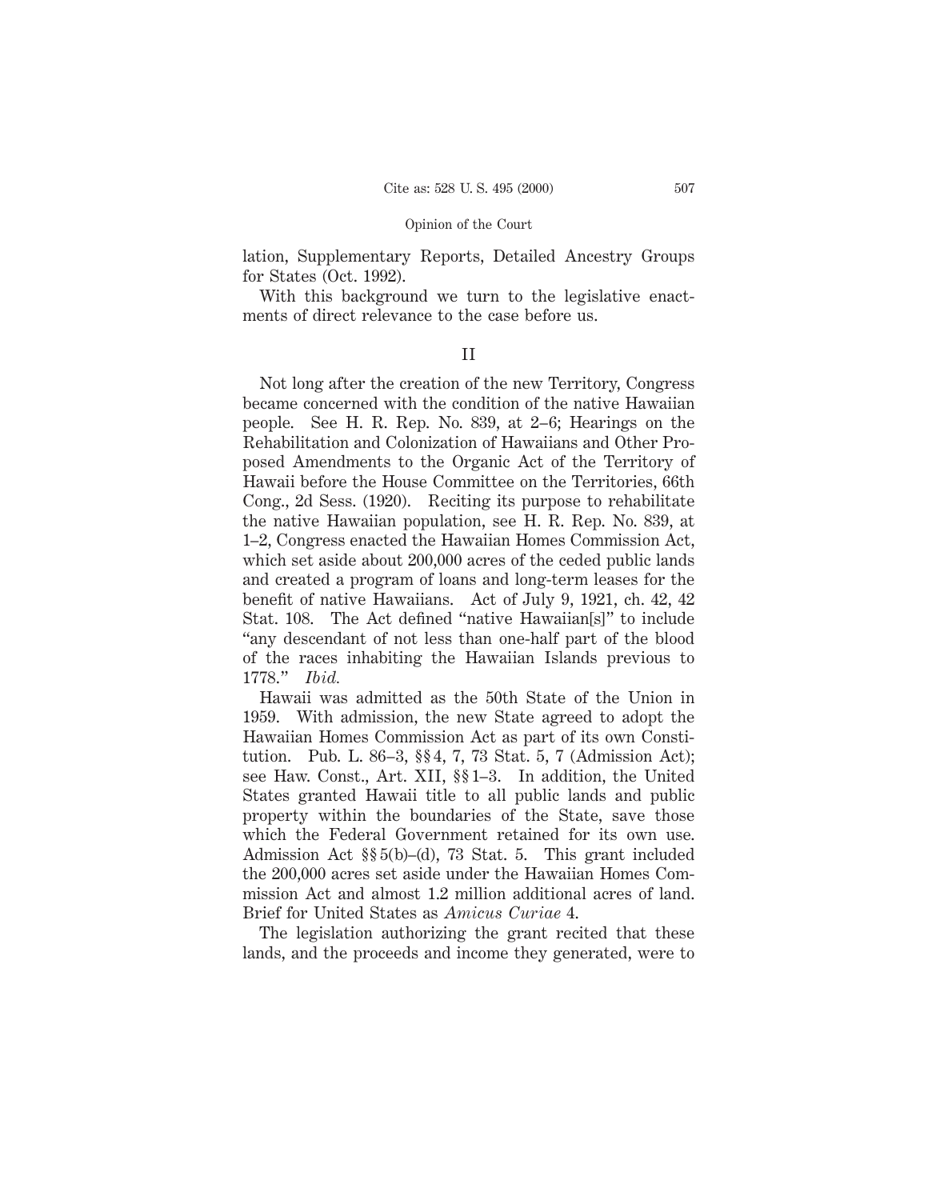lation, Supplementary Reports, Detailed Ancestry Groups for States (Oct. 1992).

With this background we turn to the legislative enactments of direct relevance to the case before us.

II

Not long after the creation of the new Territory, Congress became concerned with the condition of the native Hawaiian people. See H. R. Rep. No. 839, at 2–6; Hearings on the Rehabilitation and Colonization of Hawaiians and Other Proposed Amendments to the Organic Act of the Territory of Hawaii before the House Committee on the Territories, 66th Cong., 2d Sess. (1920). Reciting its purpose to rehabilitate the native Hawaiian population, see H. R. Rep. No. 839, at 1–2, Congress enacted the Hawaiian Homes Commission Act, which set aside about 200,000 acres of the ceded public lands and created a program of loans and long-term leases for the benefit of native Hawaiians. Act of July 9, 1921, ch. 42, 42 Stat. 108. The Act defined "native Hawaiian[s]" to include "any descendant of not less than one-half part of the blood of the races inhabiting the Hawaiian Islands previous to 1778." *Ibid.*

Hawaii was admitted as the 50th State of the Union in 1959. With admission, the new State agreed to adopt the Hawaiian Homes Commission Act as part of its own Constitution. Pub. L. 86–3, §§ 4, 7, 73 Stat. 5, 7 (Admission Act); see Haw. Const., Art. XII, §§ 1–3. In addition, the United States granted Hawaii title to all public lands and public property within the boundaries of the State, save those which the Federal Government retained for its own use. Admission Act §§ 5(b)–(d), 73 Stat. 5. This grant included the 200,000 acres set aside under the Hawaiian Homes Commission Act and almost 1.2 million additional acres of land. Brief for United States as *Amicus Curiae* 4.

The legislation authorizing the grant recited that these lands, and the proceeds and income they generated, were to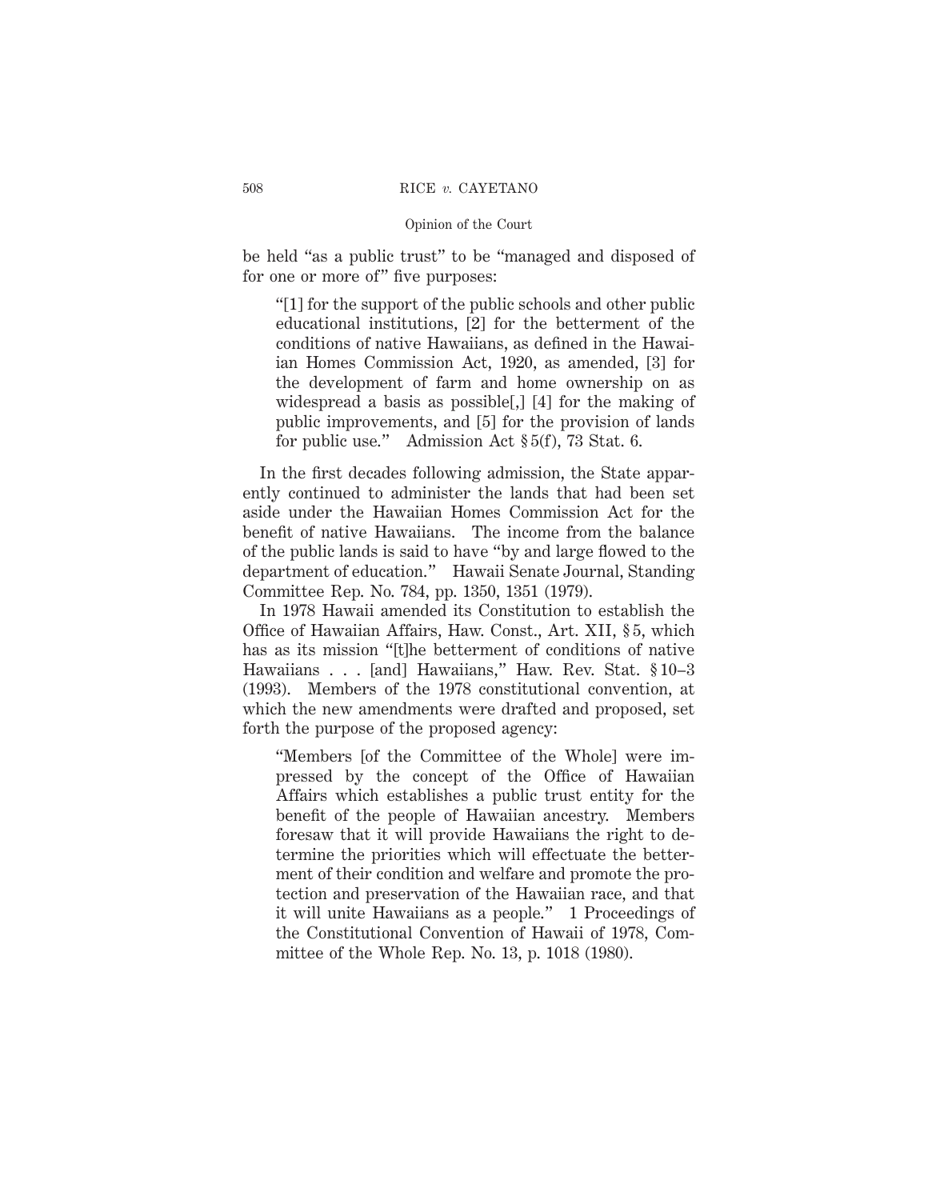be held "as a public trust" to be "managed and disposed of for one or more of" five purposes:

"[1] for the support of the public schools and other public educational institutions, [2] for the betterment of the conditions of native Hawaiians, as defined in the Hawaiian Homes Commission Act, 1920, as amended, [3] for the development of farm and home ownership on as widespread a basis as possible[,] [4] for the making of public improvements, and [5] for the provision of lands for public use." Admission Act § 5(f), 73 Stat. 6.

In the first decades following admission, the State apparently continued to administer the lands that had been set aside under the Hawaiian Homes Commission Act for the benefit of native Hawaiians. The income from the balance of the public lands is said to have "by and large flowed to the department of education." Hawaii Senate Journal, Standing Committee Rep. No. 784, pp. 1350, 1351 (1979).

In 1978 Hawaii amended its Constitution to establish the Office of Hawaiian Affairs, Haw. Const., Art. XII, § 5, which has as its mission "[t]he betterment of conditions of native Hawaiians...[and] Hawaiians," Haw. Rev. Stat. § 10–3 (1993). Members of the 1978 constitutional convention, at which the new amendments were drafted and proposed, set forth the purpose of the proposed agency:

"Members [of the Committee of the Whole] were impressed by the concept of the Office of Hawaiian Affairs which establishes a public trust entity for the benefit of the people of Hawaiian ancestry. Members foresaw that it will provide Hawaiians the right to determine the priorities which will effectuate the betterment of their condition and welfare and promote the protection and preservation of the Hawaiian race, and that it will unite Hawaiians as a people." 1 Proceedings of the Constitutional Convention of Hawaii of 1978, Committee of the Whole Rep. No. 13, p. 1018 (1980).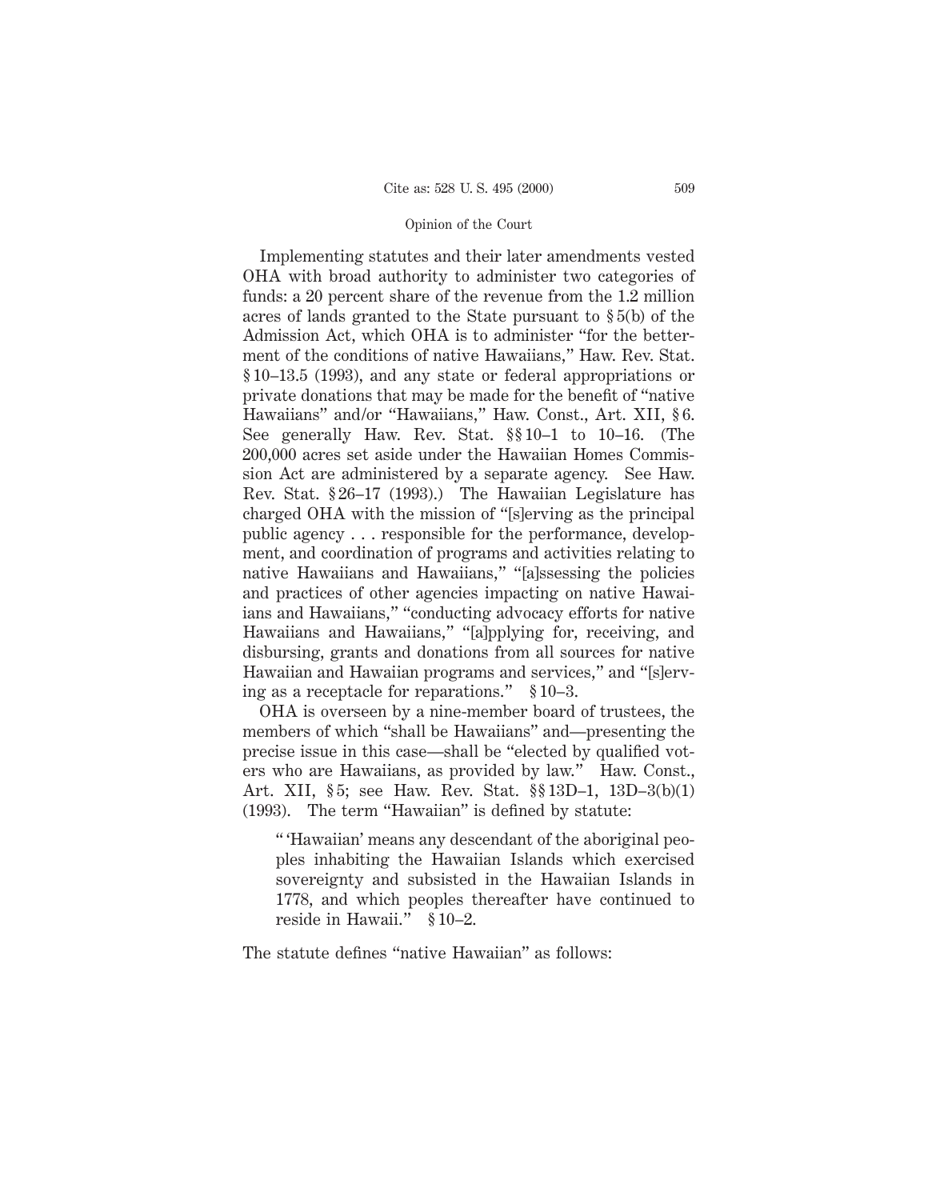Implementing statutes and their later amendments vested OHA with broad authority to administer two categories of funds: a 20 percent share of the revenue from the 1.2 million acres of lands granted to the State pursuant to § 5(b) of the Admission Act, which OHA is to administer "for the betterment of the conditions of native Hawaiians," Haw. Rev. Stat. § 10–13.5 (1993), and any state or federal appropriations or private donations that may be made for the benefit of "native Hawaiians" and/or "Hawaiians," Haw. Const., Art. XII, § 6. See generally Haw. Rev. Stat. §§ 10–1 to 10–16. (The 200,000 acres set aside under the Hawaiian Homes Commission Act are administered by a separate agency. See Haw. Rev. Stat. § 26–17 (1993).) The Hawaiian Legislature has charged OHA with the mission of "[s]erving as the principal public agency . . . responsible for the performance, development, and coordination of programs and activities relating to native Hawaiians and Hawaiians," "[a]ssessing the policies and practices of other agencies impacting on native Hawaiians and Hawaiians," "conducting advocacy efforts for native Hawaiians and Hawaiians," "[a]pplying for, receiving, and disbursing, grants and donations from all sources for native Hawaiian and Hawaiian programs and services," and "[s]erving as a receptacle for reparations." § 10–3.

OHA is overseen by a nine-member board of trustees, the members of which "shall be Hawaiians" and—presenting the precise issue in this case—shall be "elected by qualified voters who are Hawaiians, as provided by law." Haw. Const., Art. XII, § 5; see Haw. Rev. Stat. §§ 13D–1, 13D–3(b)(1) (1993). The term "Hawaiian" is defined by statute:

" 'Hawaiian' means any descendant of the aboriginal peoples inhabiting the Hawaiian Islands which exercised sovereignty and subsisted in the Hawaiian Islands in 1778, and which peoples thereafter have continued to reside in Hawaii." § 10–2.

The statute defines "native Hawaiian" as follows: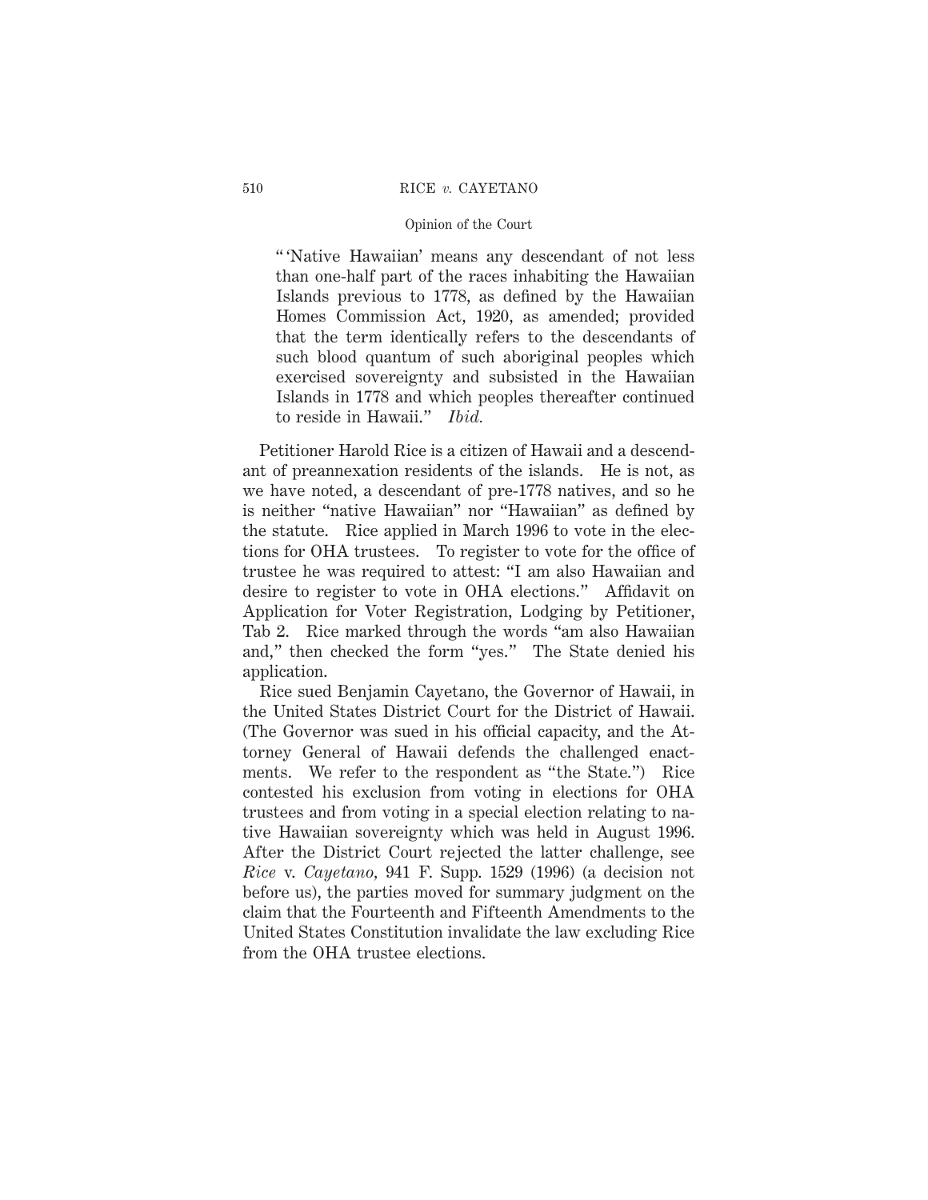" 'Native Hawaiian' means any descendant of not less than one-half part of the races inhabiting the Hawaiian Islands previous to 1778, as defined by the Hawaiian Homes Commission Act, 1920, as amended; provided that the term identically refers to the descendants of such blood quantum of such aboriginal peoples which exercised sovereignty and subsisted in the Hawaiian Islands in 1778 and which peoples thereafter continued to reside in Hawaii." *Ibid.*

Petitioner Harold Rice is a citizen of Hawaii and a descendant of preannexation residents of the islands. He is not, as we have noted, a descendant of pre-1778 natives, and so he is neither "native Hawaiian" nor "Hawaiian" as defined by the statute. Rice applied in March 1996 to vote in the elections for OHA trustees. To register to vote for the office of trustee he was required to attest: "I am also Hawaiian and desire to register to vote in OHA elections." Affidavit on Application for Voter Registration, Lodging by Petitioner, Tab 2. Rice marked through the words "am also Hawaiian and," then checked the form "yes." The State denied his application.

Rice sued Benjamin Cayetano, the Governor of Hawaii, in the United States District Court for the District of Hawaii. (The Governor was sued in his official capacity, and the Attorney General of Hawaii defends the challenged enactments. We refer to the respondent as "the State.") Rice contested his exclusion from voting in elections for OHA trustees and from voting in a special election relating to native Hawaiian sovereignty which was held in August 1996. After the District Court rejected the latter challenge, see *Rice* v. *Cayetano,* 941 F. Supp. 1529 (1996) (a decision not before us), the parties moved for summary judgment on the claim that the Fourteenth and Fifteenth Amendments to the United States Constitution invalidate the law excluding Rice from the OHA trustee elections.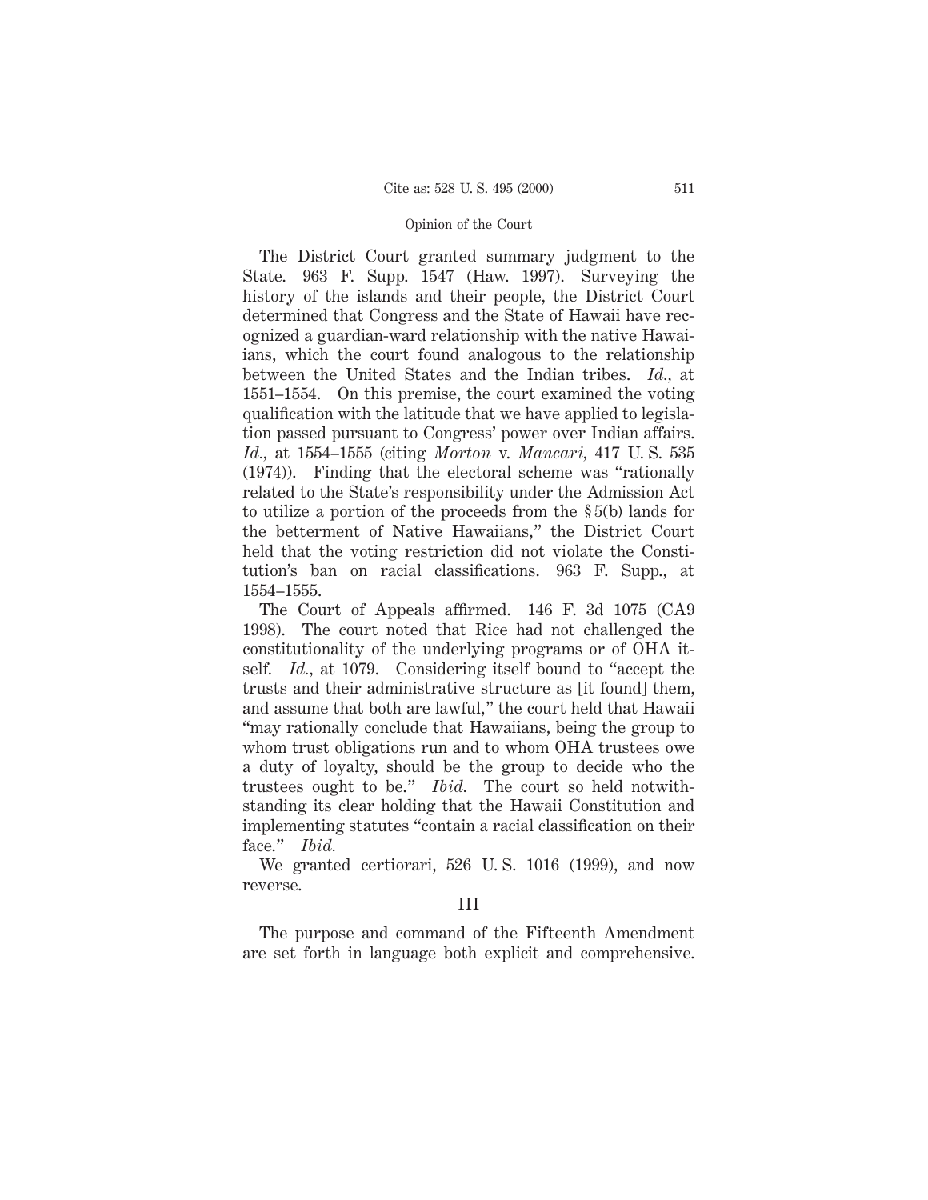The District Court granted summary judgment to the State. 963 F. Supp. 1547 (Haw. 1997). Surveying the history of the islands and their people, the District Court determined that Congress and the State of Hawaii have recognized a guardian-ward relationship with the native Hawaiians, which the court found analogous to the relationship between the United States and the Indian tribes. *Id.,* at 1551–1554. On this premise, the court examined the voting qualification with the latitude that we have applied to legislation passed pursuant to Congress' power over Indian affairs. *Id.,* at 1554–1555 (citing *Morton* v. *Mancari,* 417 U. S. 535 (1974)). Finding that the electoral scheme was "rationally related to the State's responsibility under the Admission Act to utilize a portion of the proceeds from the § 5(b) lands for the betterment of Native Hawaiians," the District Court held that the voting restriction did not violate the Constitution's ban on racial classifications. 963 F. Supp., at 1554–1555.

The Court of Appeals affirmed. 146 F. 3d 1075 (CA9 1998). The court noted that Rice had not challenged the constitutionality of the underlying programs or of OHA itself. *Id.,* at 1079. Considering itself bound to "accept the trusts and their administrative structure as [it found] them, and assume that both are lawful," the court held that Hawaii "may rationally conclude that Hawaiians, being the group to whom trust obligations run and to whom OHA trustees owe a duty of loyalty, should be the group to decide who the trustees ought to be." *Ibid.* The court so held notwithstanding its clear holding that the Hawaii Constitution and implementing statutes "contain a racial classification on their face." *Ibid.*

We granted certiorari, 526 U. S. 1016 (1999), and now reverse.

### III

The purpose and command of the Fifteenth Amendment are set forth in language both explicit and comprehensive.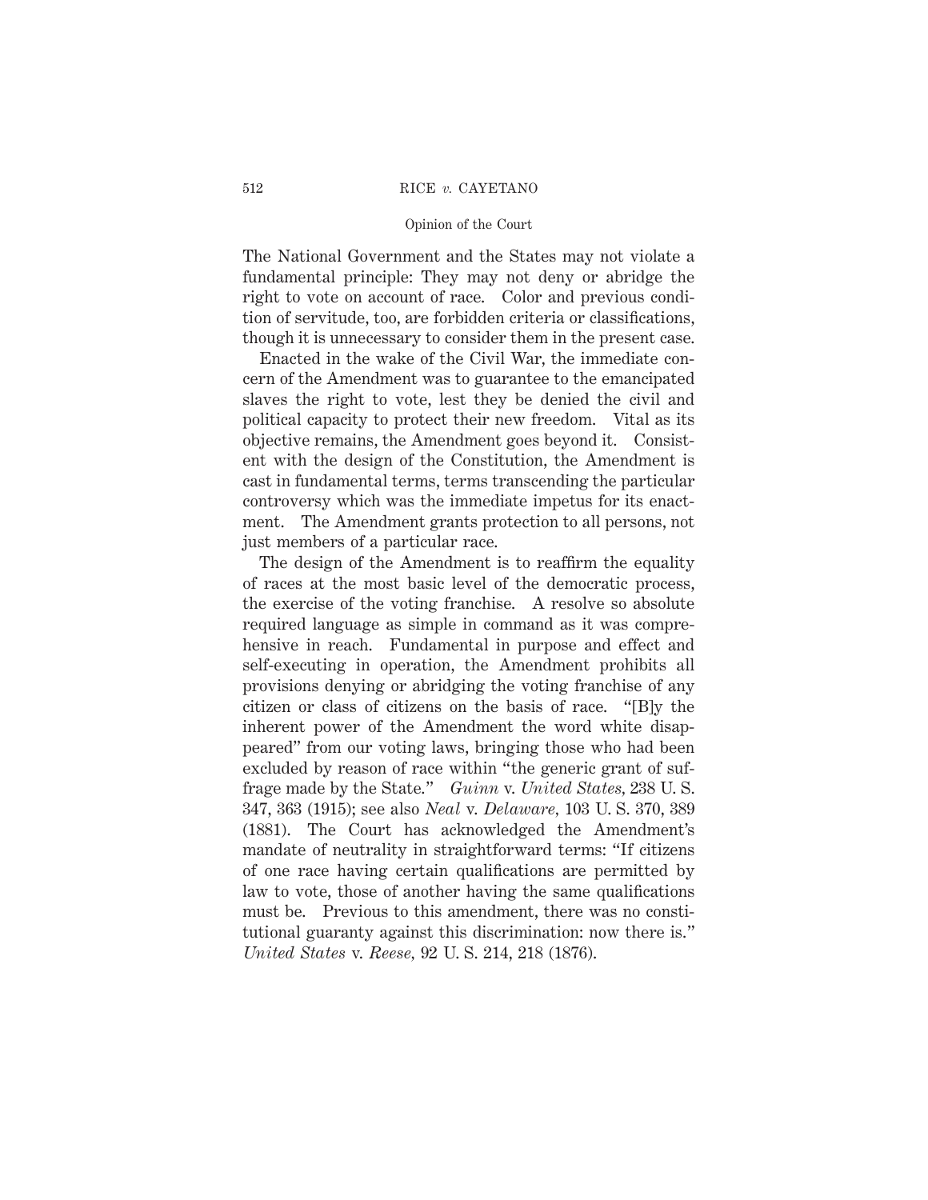The National Government and the States may not violate a fundamental principle: They may not deny or abridge the right to vote on account of race. Color and previous condition of servitude, too, are forbidden criteria or classifications, though it is unnecessary to consider them in the present case.

Enacted in the wake of the Civil War, the immediate concern of the Amendment was to guarantee to the emancipated slaves the right to vote, lest they be denied the civil and political capacity to protect their new freedom. Vital as its objective remains, the Amendment goes beyond it. Consistent with the design of the Constitution, the Amendment is cast in fundamental terms, terms transcending the particular controversy which was the immediate impetus for its enactment. The Amendment grants protection to all persons, not just members of a particular race.

The design of the Amendment is to reaffirm the equality of races at the most basic level of the democratic process, the exercise of the voting franchise. A resolve so absolute required language as simple in command as it was comprehensive in reach. Fundamental in purpose and effect and self-executing in operation, the Amendment prohibits all provisions denying or abridging the voting franchise of any citizen or class of citizens on the basis of race. "[B]y the inherent power of the Amendment the word white disappeared" from our voting laws, bringing those who had been excluded by reason of race within "the generic grant of suffrage made by the State." *Guinn* v. *United States,* 238 U. S. 347, 363 (1915); see also *Neal* v. *Delaware,* 103 U. S. 370, 389 (1881). The Court has acknowledged the Amendment's mandate of neutrality in straightforward terms: "If citizens of one race having certain qualifications are permitted by law to vote, those of another having the same qualifications must be. Previous to this amendment, there was no constitutional guaranty against this discrimination: now there is." *United States* v. *Reese,* 92 U. S. 214, 218 (1876).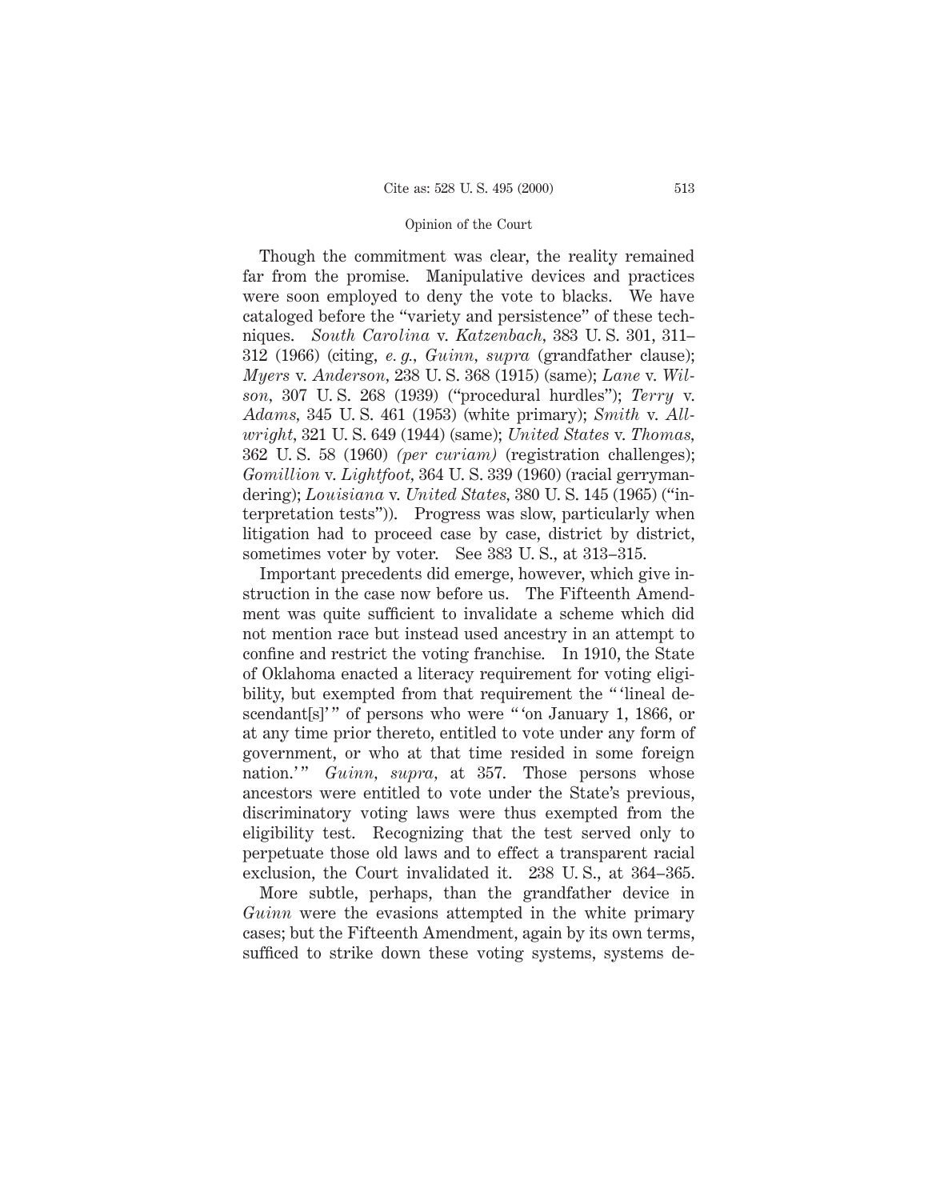Though the commitment was clear, the reality remained far from the promise. Manipulative devices and practices were soon employed to deny the vote to blacks. We have cataloged before the "variety and persistence" of these techniques. *South Carolina* v. *Katzenbach,* 383 U. S. 301, 311– 312 (1966) (citing, *e. g., Guinn, supra* (grandfather clause); *Myers* v. *Anderson,* 238 U. S. 368 (1915) (same); *Lane* v. *Wilson,* 307 U. S. 268 (1939) ("procedural hurdles"); *Terry* v. *Adams,* 345 U. S. 461 (1953) (white primary); *Smith* v. *Allwright,* 321 U. S. 649 (1944) (same); *United States* v. *Thomas,* 362 U. S. 58 (1960) *(per curiam)* (registration challenges); *Gomillion* v. *Lightfoot,* 364 U. S. 339 (1960) (racial gerrymandering); *Louisiana* v. *United States,* 380 U. S. 145 (1965) ("interpretation tests")). Progress was slow, particularly when litigation had to proceed case by case, district by district, sometimes voter by voter. See 383 U.S., at 313–315.

Important precedents did emerge, however, which give instruction in the case now before us. The Fifteenth Amendment was quite sufficient to invalidate a scheme which did not mention race but instead used ancestry in an attempt to confine and restrict the voting franchise. In 1910, the State of Oklahoma enacted a literacy requirement for voting eligibility, but exempted from that requirement the "'lineal descendant[s]'" of persons who were "'on January 1, 1866, or at any time prior thereto, entitled to vote under any form of government, or who at that time resided in some foreign nation.'" *Guinn*, *supra*, at 357. Those persons whose ancestors were entitled to vote under the State's previous, discriminatory voting laws were thus exempted from the eligibility test. Recognizing that the test served only to perpetuate those old laws and to effect a transparent racial exclusion, the Court invalidated it. 238 U. S., at 364–365.

More subtle, perhaps, than the grandfather device in *Guinn* were the evasions attempted in the white primary cases; but the Fifteenth Amendment, again by its own terms, sufficed to strike down these voting systems, systems de-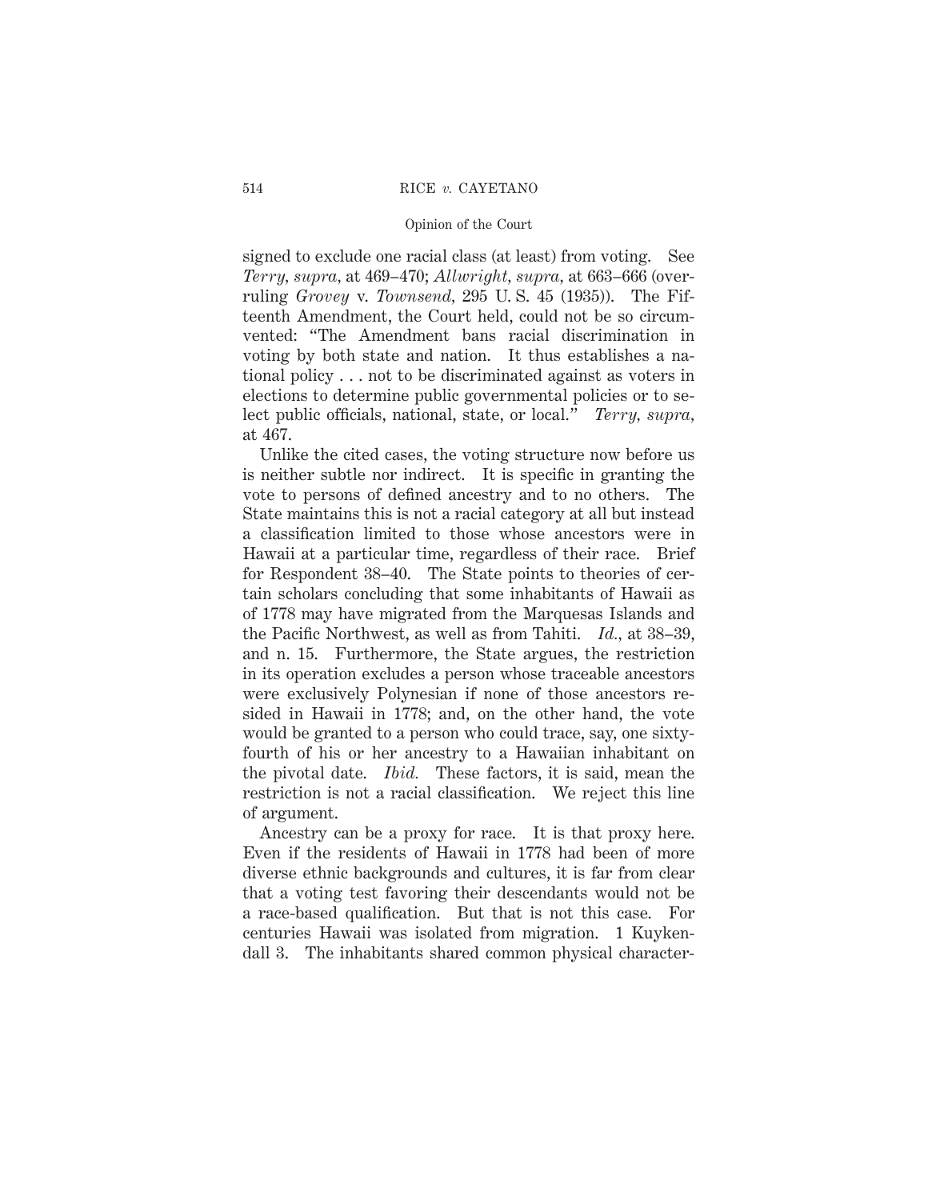signed to exclude one racial class (at least) from voting. See *Terry, supra,* at 469–470; *Allwright, supra,* at 663–666 (overruling *Grovey* v. *Townsend,* 295 U. S. 45 (1935)). The Fifteenth Amendment, the Court held, could not be so circumvented: "The Amendment bans racial discrimination in voting by both state and nation. It thus establishes a national policy . . . not to be discriminated against as voters in elections to determine public governmental policies or to select public officials, national, state, or local." *Terry, supra,* at 467.

Unlike the cited cases, the voting structure now before us is neither subtle nor indirect. It is specific in granting the vote to persons of defined ancestry and to no others. The State maintains this is not a racial category at all but instead a classification limited to those whose ancestors were in Hawaii at a particular time, regardless of their race. Brief for Respondent 38–40. The State points to theories of certain scholars concluding that some inhabitants of Hawaii as of 1778 may have migrated from the Marquesas Islands and the Pacific Northwest, as well as from Tahiti. *Id.,* at 38–39, and n. 15. Furthermore, the State argues, the restriction in its operation excludes a person whose traceable ancestors were exclusively Polynesian if none of those ancestors resided in Hawaii in 1778; and, on the other hand, the vote would be granted to a person who could trace, say, one sixtyfourth of his or her ancestry to a Hawaiian inhabitant on the pivotal date. *Ibid.* These factors, it is said, mean the restriction is not a racial classification. We reject this line of argument.

Ancestry can be a proxy for race. It is that proxy here. Even if the residents of Hawaii in 1778 had been of more diverse ethnic backgrounds and cultures, it is far from clear that a voting test favoring their descendants would not be a race-based qualification. But that is not this case. For centuries Hawaii was isolated from migration. 1 Kuykendall 3. The inhabitants shared common physical character-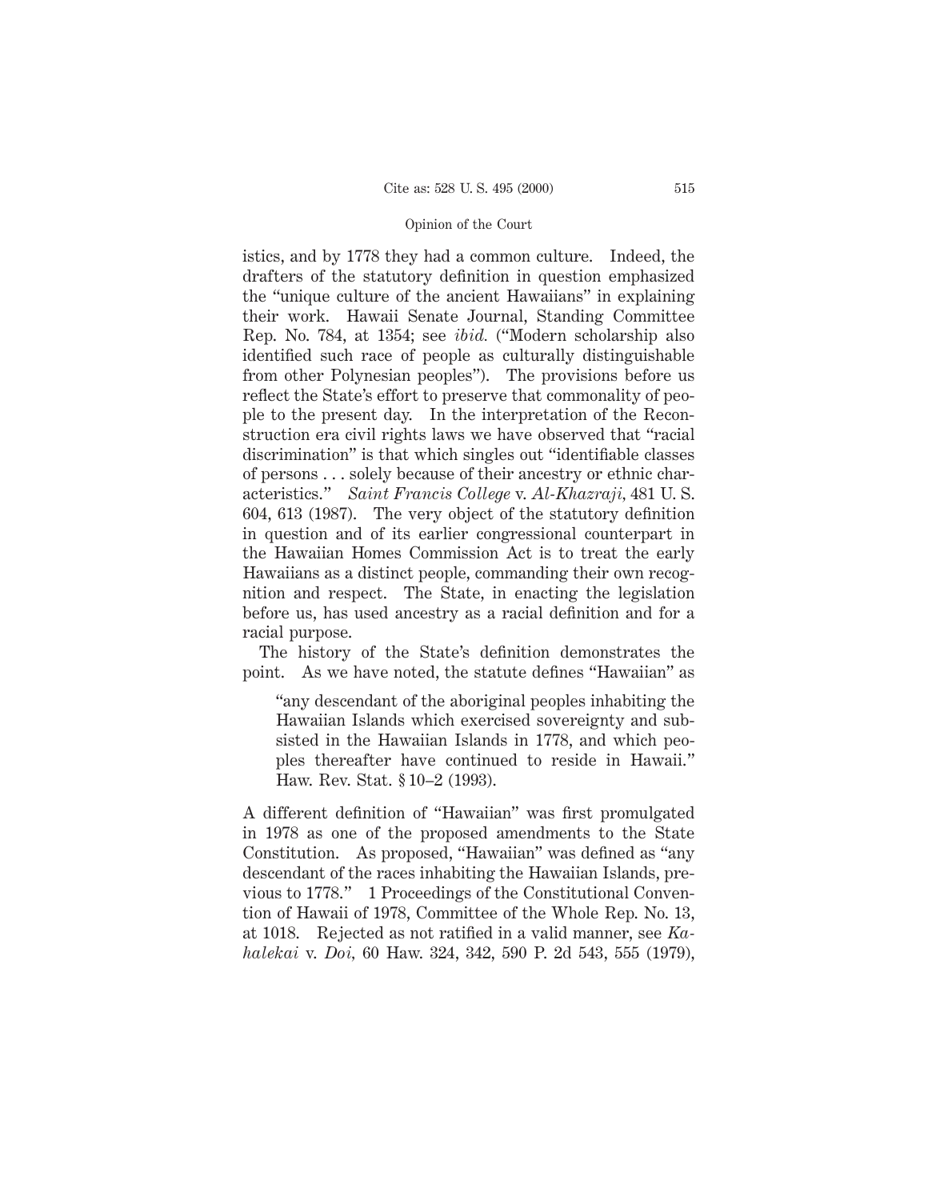istics, and by 1778 they had a common culture. Indeed, the drafters of the statutory definition in question emphasized the "unique culture of the ancient Hawaiians" in explaining their work. Hawaii Senate Journal, Standing Committee Rep. No. 784, at 1354; see *ibid.* ("Modern scholarship also identified such race of people as culturally distinguishable from other Polynesian peoples"). The provisions before us reflect the State's effort to preserve that commonality of people to the present day. In the interpretation of the Reconstruction era civil rights laws we have observed that "racial discrimination" is that which singles out "identifiable classes of persons . . . solely because of their ancestry or ethnic characteristics." *Saint Francis College* v. *Al-Khazraji,* 481 U. S. 604, 613 (1987). The very object of the statutory definition in question and of its earlier congressional counterpart in the Hawaiian Homes Commission Act is to treat the early Hawaiians as a distinct people, commanding their own recognition and respect. The State, in enacting the legislation before us, has used ancestry as a racial definition and for a racial purpose.

The history of the State's definition demonstrates the point. As we have noted, the statute defines "Hawaiian" as

"any descendant of the aboriginal peoples inhabiting the Hawaiian Islands which exercised sovereignty and subsisted in the Hawaiian Islands in 1778, and which peoples thereafter have continued to reside in Hawaii." Haw. Rev. Stat. § 10–2 (1993).

A different definition of "Hawaiian" was first promulgated in 1978 as one of the proposed amendments to the State Constitution. As proposed, "Hawaiian" was defined as "any descendant of the races inhabiting the Hawaiian Islands, previous to 1778." 1 Proceedings of the Constitutional Convention of Hawaii of 1978, Committee of the Whole Rep. No. 13, at 1018. Rejected as not ratified in a valid manner, see *Kahalekai* v. *Doi,* 60 Haw. 324, 342, 590 P. 2d 543, 555 (1979),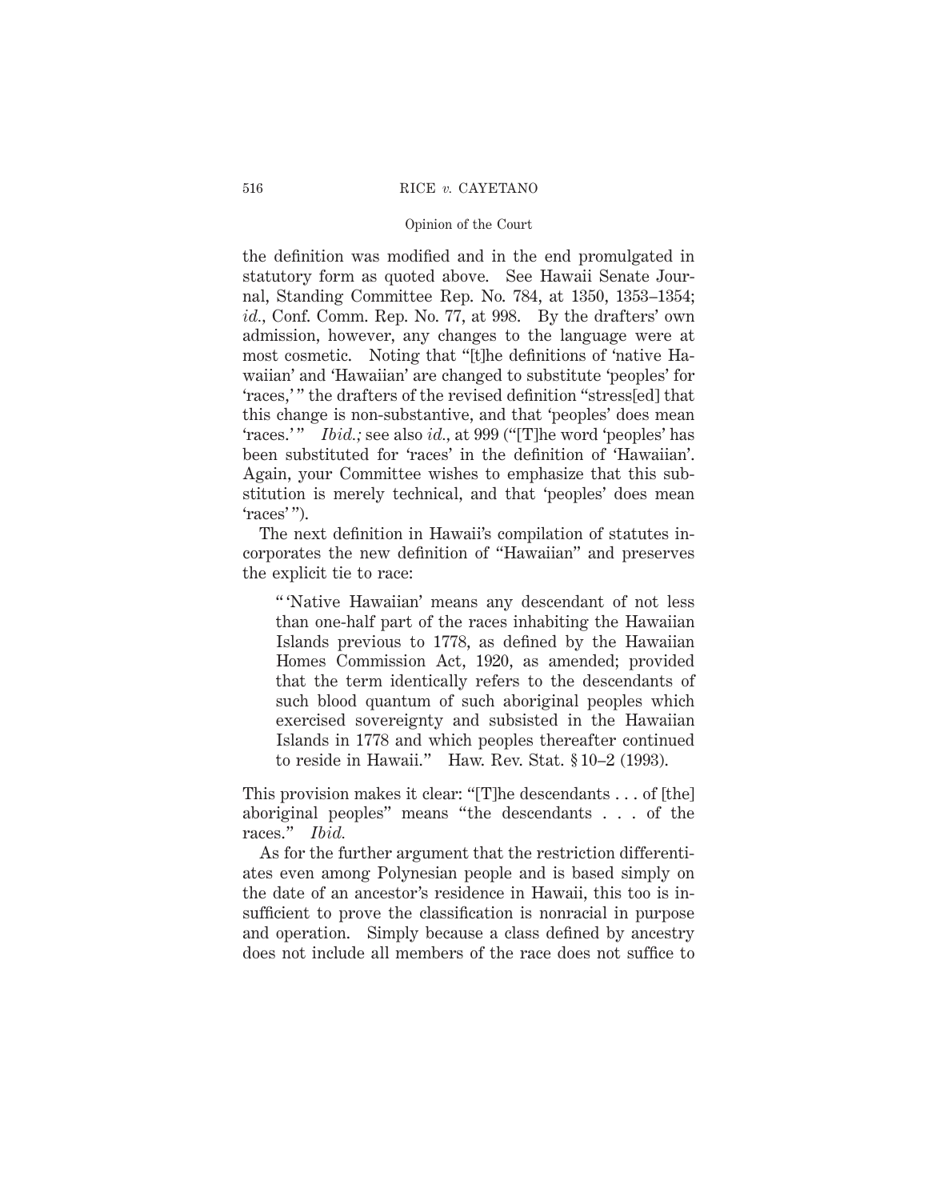the definition was modified and in the end promulgated in statutory form as quoted above. See Hawaii Senate Journal, Standing Committee Rep. No. 784, at 1350, 1353–1354; *id.,* Conf. Comm. Rep. No. 77, at 998. By the drafters' own admission, however, any changes to the language were at most cosmetic. Noting that "[t]he definitions of 'native Hawaiian' and 'Hawaiian' are changed to substitute 'peoples' for 'races,' " the drafters of the revised definition "stress[ed] that this change is non-substantive, and that 'peoples' does mean 'races.' " *Ibid.;* see also *id.,* at 999 ("[T]he word 'peoples' has been substituted for 'races' in the definition of 'Hawaiian'. Again, your Committee wishes to emphasize that this substitution is merely technical, and that 'peoples' does mean 'races' ").

The next definition in Hawaii's compilation of statutes incorporates the new definition of "Hawaiian" and preserves the explicit tie to race:

" 'Native Hawaiian' means any descendant of not less than one-half part of the races inhabiting the Hawaiian Islands previous to 1778, as defined by the Hawaiian Homes Commission Act, 1920, as amended; provided that the term identically refers to the descendants of such blood quantum of such aboriginal peoples which exercised sovereignty and subsisted in the Hawaiian Islands in 1778 and which peoples thereafter continued to reside in Hawaii." Haw. Rev. Stat. § 10–2 (1993).

This provision makes it clear: "[T]he descendants . . . of [the] aboriginal peoples" means "the descendants . . . of the races." *Ibid.*

As for the further argument that the restriction differentiates even among Polynesian people and is based simply on the date of an ancestor's residence in Hawaii, this too is insufficient to prove the classification is nonracial in purpose and operation. Simply because a class defined by ancestry does not include all members of the race does not suffice to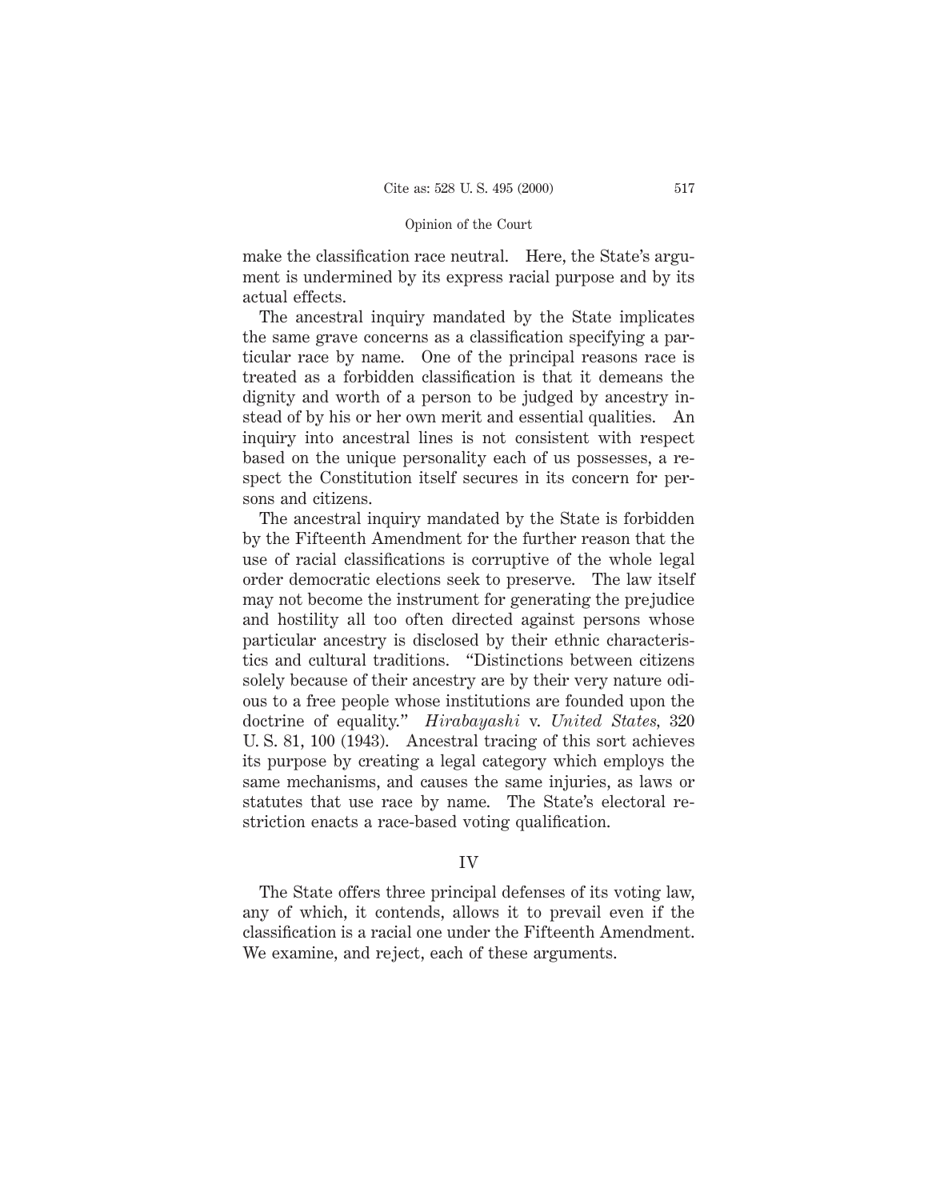make the classification race neutral. Here, the State's argument is undermined by its express racial purpose and by its actual effects.

The ancestral inquiry mandated by the State implicates the same grave concerns as a classification specifying a particular race by name. One of the principal reasons race is treated as a forbidden classification is that it demeans the dignity and worth of a person to be judged by ancestry instead of by his or her own merit and essential qualities. An inquiry into ancestral lines is not consistent with respect based on the unique personality each of us possesses, a respect the Constitution itself secures in its concern for persons and citizens.

The ancestral inquiry mandated by the State is forbidden by the Fifteenth Amendment for the further reason that the use of racial classifications is corruptive of the whole legal order democratic elections seek to preserve. The law itself may not become the instrument for generating the prejudice and hostility all too often directed against persons whose particular ancestry is disclosed by their ethnic characteristics and cultural traditions. "Distinctions between citizens solely because of their ancestry are by their very nature odious to a free people whose institutions are founded upon the doctrine of equality." *Hirabayashi* v. *United States,* 320 U. S. 81, 100 (1943). Ancestral tracing of this sort achieves its purpose by creating a legal category which employs the same mechanisms, and causes the same injuries, as laws or statutes that use race by name. The State's electoral restriction enacts a race-based voting qualification.

## IV

The State offers three principal defenses of its voting law, any of which, it contends, allows it to prevail even if the classification is a racial one under the Fifteenth Amendment. We examine, and reject, each of these arguments.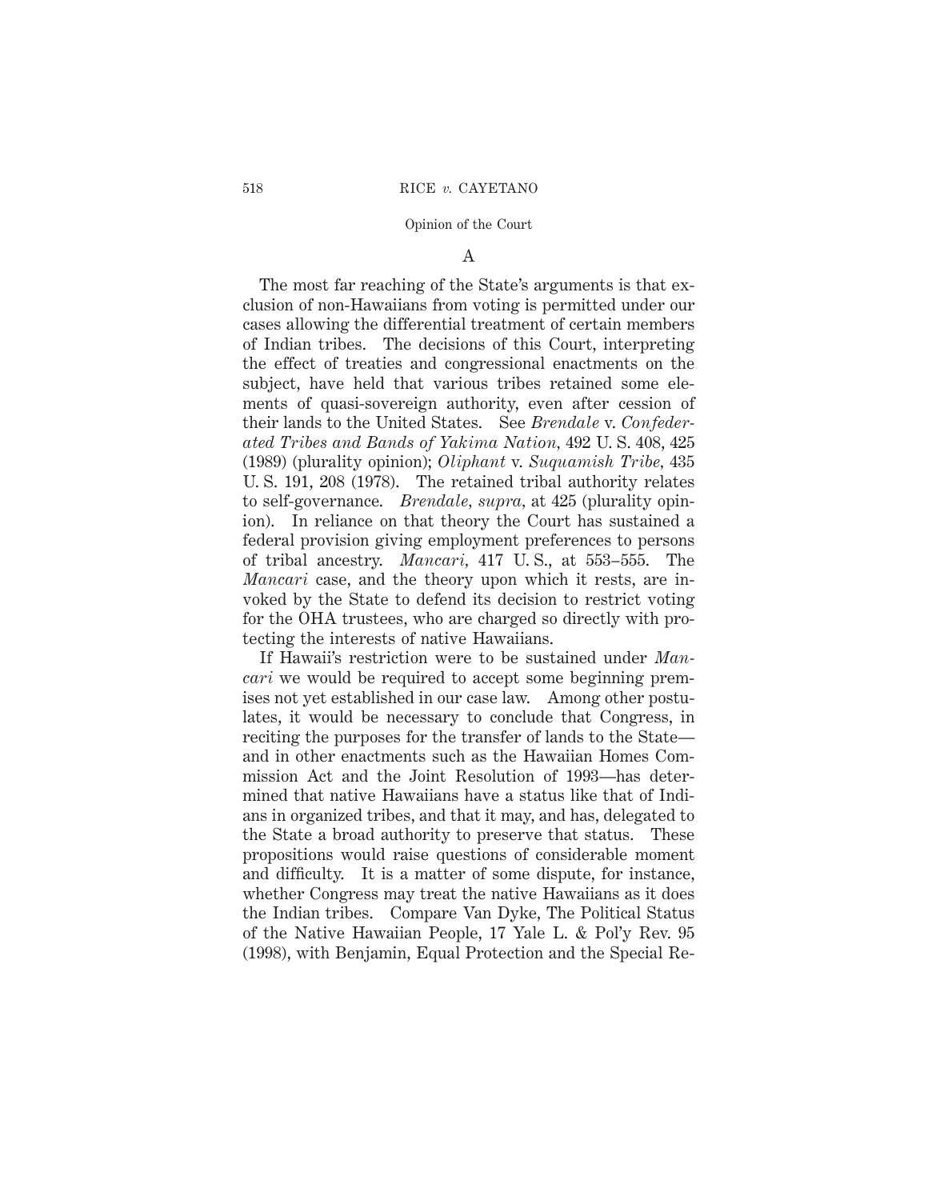## A

The most far reaching of the State's arguments is that exclusion of non-Hawaiians from voting is permitted under our cases allowing the differential treatment of certain members of Indian tribes. The decisions of this Court, interpreting the effect of treaties and congressional enactments on the subject, have held that various tribes retained some elements of quasi-sovereign authority, even after cession of their lands to the United States. See *Brendale* v. *Confederated Tribes and Bands of Yakima Nation,* 492 U. S. 408, 425 (1989) (plurality opinion); *Oliphant* v. *Suquamish Tribe,* 435 U. S. 191, 208 (1978). The retained tribal authority relates to self-governance. *Brendale, supra,* at 425 (plurality opinion). In reliance on that theory the Court has sustained a federal provision giving employment preferences to persons of tribal ancestry. *Mancari,* 417 U. S., at 553–555. The *Mancari* case, and the theory upon which it rests, are invoked by the State to defend its decision to restrict voting for the OHA trustees, who are charged so directly with protecting the interests of native Hawaiians.

If Hawaii's restriction were to be sustained under *Mancari* we would be required to accept some beginning premises not yet established in our case law. Among other postulates, it would be necessary to conclude that Congress, in reciting the purposes for the transfer of lands to the State and in other enactments such as the Hawaiian Homes Commission Act and the Joint Resolution of 1993—has determined that native Hawaiians have a status like that of Indians in organized tribes, and that it may, and has, delegated to the State a broad authority to preserve that status. These propositions would raise questions of considerable moment and difficulty. It is a matter of some dispute, for instance, whether Congress may treat the native Hawaiians as it does the Indian tribes. Compare Van Dyke, The Political Status of the Native Hawaiian People, 17 Yale L. & Pol'y Rev. 95 (1998), with Benjamin, Equal Protection and the Special Re-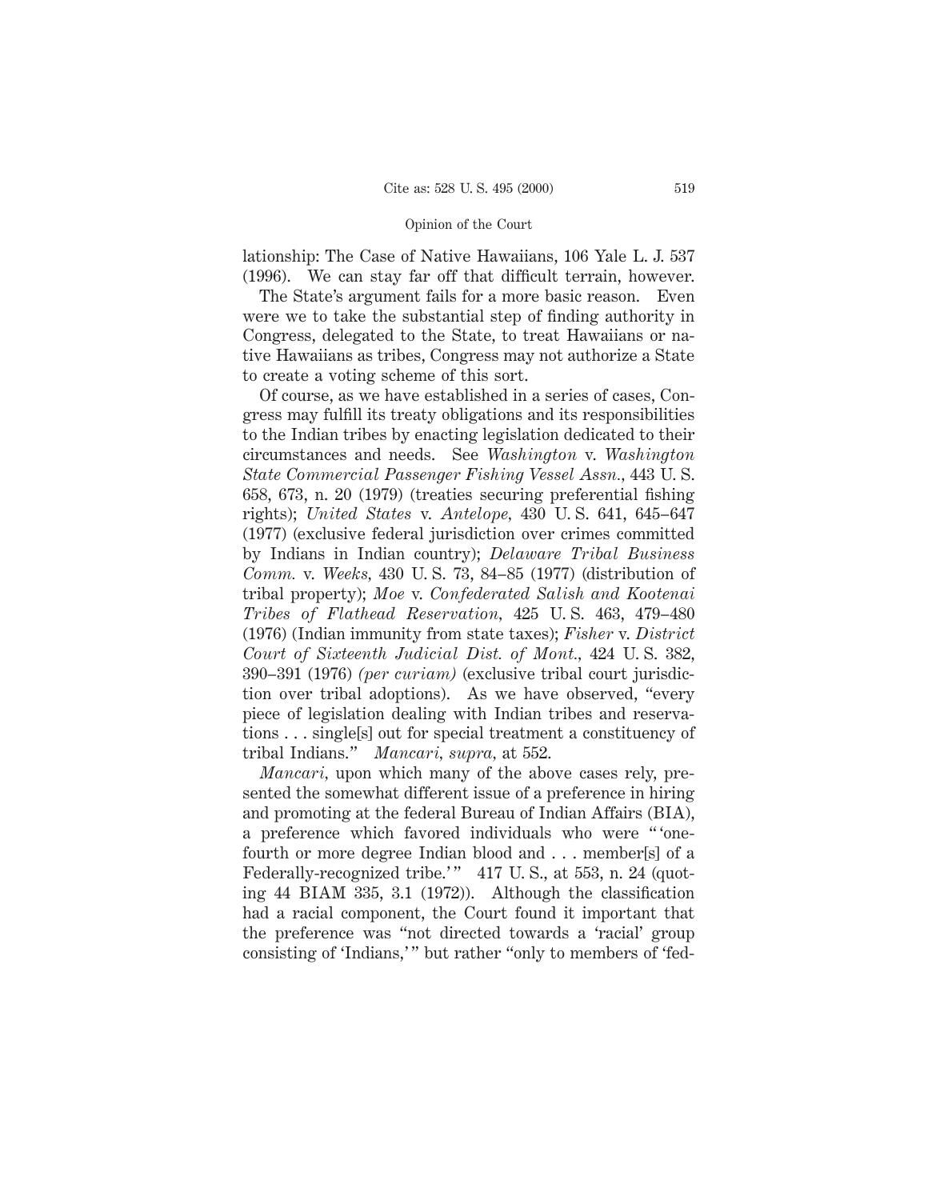lationship: The Case of Native Hawaiians, 106 Yale L. J. 537 (1996). We can stay far off that difficult terrain, however.

The State's argument fails for a more basic reason. Even were we to take the substantial step of finding authority in Congress, delegated to the State, to treat Hawaiians or native Hawaiians as tribes, Congress may not authorize a State to create a voting scheme of this sort.

Of course, as we have established in a series of cases, Congress may fulfill its treaty obligations and its responsibilities to the Indian tribes by enacting legislation dedicated to their circumstances and needs. See *Washington* v. *Washington State Commercial Passenger Fishing Vessel Assn.,* 443 U. S. 658, 673, n. 20 (1979) (treaties securing preferential fishing rights); *United States* v. *Antelope,* 430 U. S. 641, 645–647 (1977) (exclusive federal jurisdiction over crimes committed by Indians in Indian country); *Delaware Tribal Business Comm.* v. *Weeks,* 430 U. S. 73, 84–85 (1977) (distribution of tribal property); *Moe* v. *Confederated Salish and Kootenai Tribes of Flathead Reservation,* 425 U. S. 463, 479–480 (1976) (Indian immunity from state taxes); *Fisher* v. *District Court of Sixteenth Judicial Dist. of Mont.,* 424 U. S. 382, 390–391 (1976) *(per curiam)* (exclusive tribal court jurisdiction over tribal adoptions). As we have observed, "every piece of legislation dealing with Indian tribes and reservations . . . single[s] out for special treatment a constituency of tribal Indians." *Mancari, supra,* at 552.

*Mancari,* upon which many of the above cases rely, presented the somewhat different issue of a preference in hiring and promoting at the federal Bureau of Indian Affairs (BIA), a preference which favored individuals who were " 'onefourth or more degree Indian blood and... member[s] of a Federally-recognized tribe.'" 417 U.S., at 553, n. 24 (quoting 44 BIAM 335, 3.1 (1972)). Although the classification had a racial component, the Court found it important that the preference was "not directed towards a 'racial' group consisting of 'Indians,'" but rather "only to members of 'fed-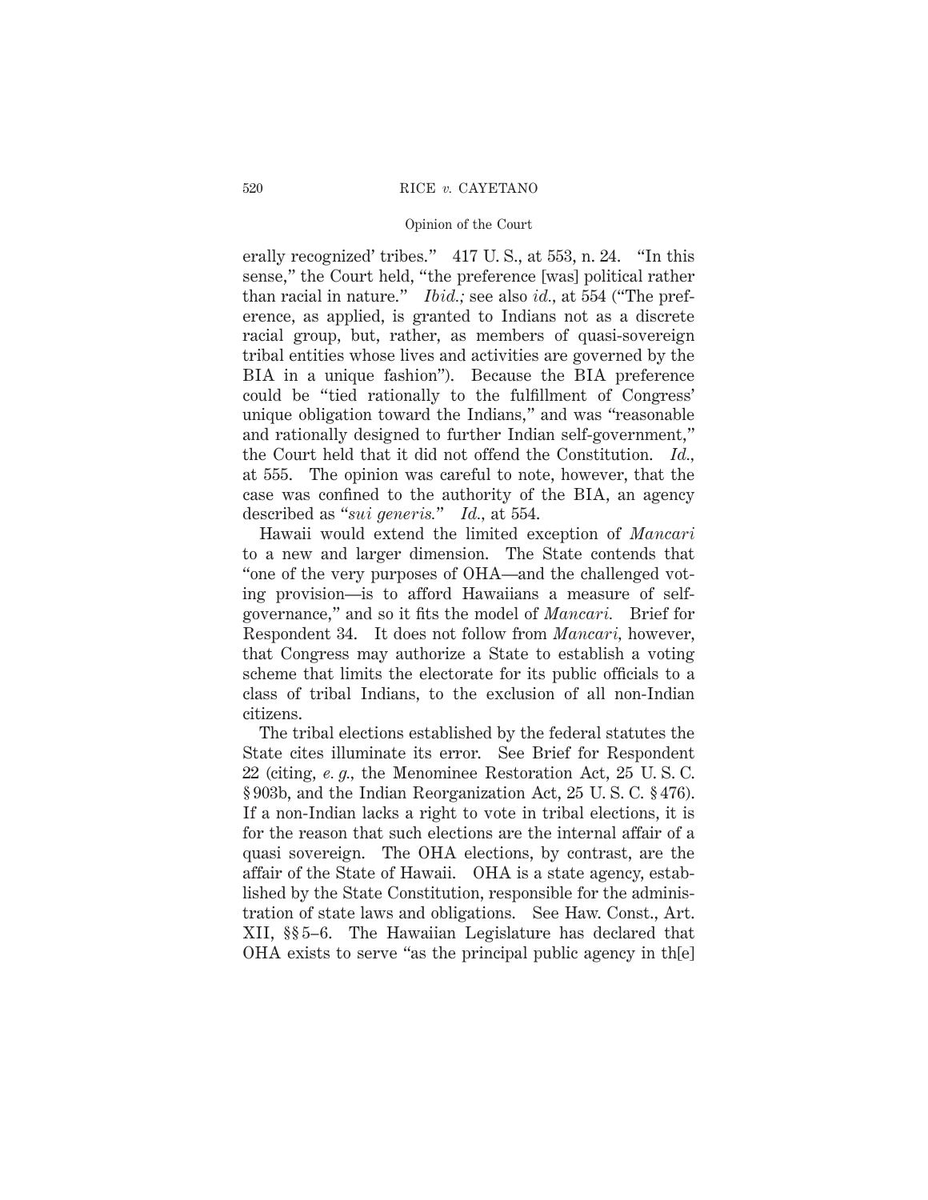erally recognized' tribes." 417 U. S., at 553, n. 24. "In this sense," the Court held, "the preference [was] political rather than racial in nature." *Ibid.;* see also *id.,* at 554 ("The preference, as applied, is granted to Indians not as a discrete racial group, but, rather, as members of quasi-sovereign tribal entities whose lives and activities are governed by the BIA in a unique fashion"). Because the BIA preference could be "tied rationally to the fulfillment of Congress' unique obligation toward the Indians," and was "reasonable and rationally designed to further Indian self-government," the Court held that it did not offend the Constitution. *Id.,* at 555. The opinion was careful to note, however, that the case was confined to the authority of the BIA, an agency described as "*sui generis.*" *Id.,* at 554.

Hawaii would extend the limited exception of *Mancari* to a new and larger dimension. The State contends that "one of the very purposes of OHA—and the challenged voting provision—is to afford Hawaiians a measure of selfgovernance," and so it fits the model of *Mancari.* Brief for Respondent 34. It does not follow from *Mancari,* however, that Congress may authorize a State to establish a voting scheme that limits the electorate for its public officials to a class of tribal Indians, to the exclusion of all non-Indian citizens.

The tribal elections established by the federal statutes the State cites illuminate its error. See Brief for Respondent 22 (citing, *e. g.,* the Menominee Restoration Act, 25 U. S. C. § 903b, and the Indian Reorganization Act, 25 U. S. C. § 476). If a non-Indian lacks a right to vote in tribal elections, it is for the reason that such elections are the internal affair of a quasi sovereign. The OHA elections, by contrast, are the affair of the State of Hawaii. OHA is a state agency, established by the State Constitution, responsible for the administration of state laws and obligations. See Haw. Const., Art. XII, §§ 5–6. The Hawaiian Legislature has declared that OHA exists to serve "as the principal public agency in th[e]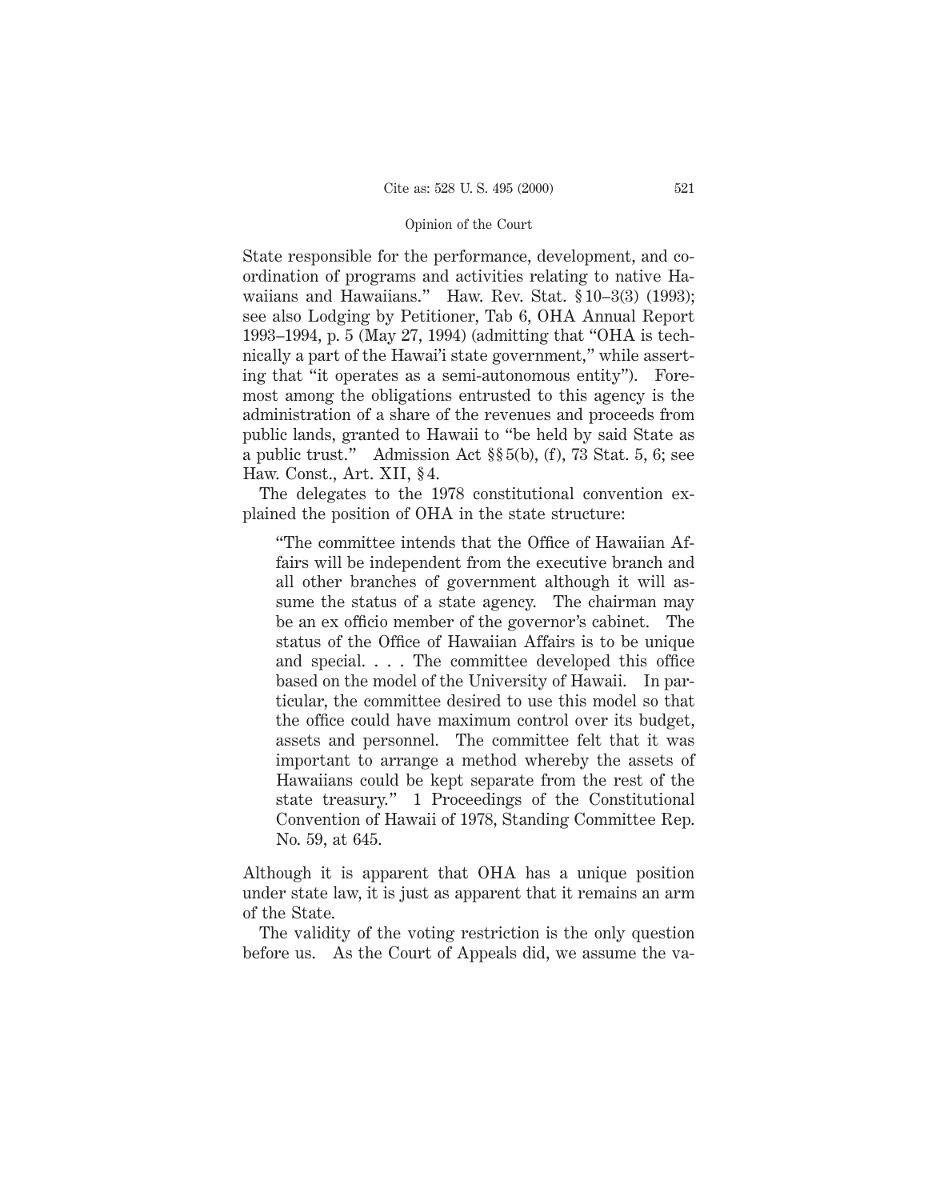State responsible for the performance, development, and coordination of programs and activities relating to native Hawaiians and Hawaiians." Haw. Rev. Stat. § 10–3(3) (1993); see also Lodging by Petitioner, Tab 6, OHA Annual Report 1993–1994, p. 5 (May 27, 1994) (admitting that "OHA is technically a part of the Hawai'i state government," while asserting that "it operates as a semi-autonomous entity"). Foremost among the obligations entrusted to this agency is the administration of a share of the revenues and proceeds from public lands, granted to Hawaii to "be held by said State as a public trust." Admission Act §§ 5(b), (f), 73 Stat. 5, 6; see Haw. Const., Art. XII, § 4.

The delegates to the 1978 constitutional convention explained the position of OHA in the state structure:

"The committee intends that the Office of Hawaiian Affairs will be independent from the executive branch and all other branches of government although it will assume the status of a state agency. The chairman may be an ex officio member of the governor's cabinet. The status of the Office of Hawaiian Affairs is to be unique and special. . . . The committee developed this office based on the model of the University of Hawaii. In particular, the committee desired to use this model so that the office could have maximum control over its budget, assets and personnel. The committee felt that it was important to arrange a method whereby the assets of Hawaiians could be kept separate from the rest of the state treasury." 1 Proceedings of the Constitutional Convention of Hawaii of 1978, Standing Committee Rep. No. 59, at 645.

Although it is apparent that OHA has a unique position under state law, it is just as apparent that it remains an arm of the State.

The validity of the voting restriction is the only question before us. As the Court of Appeals did, we assume the va-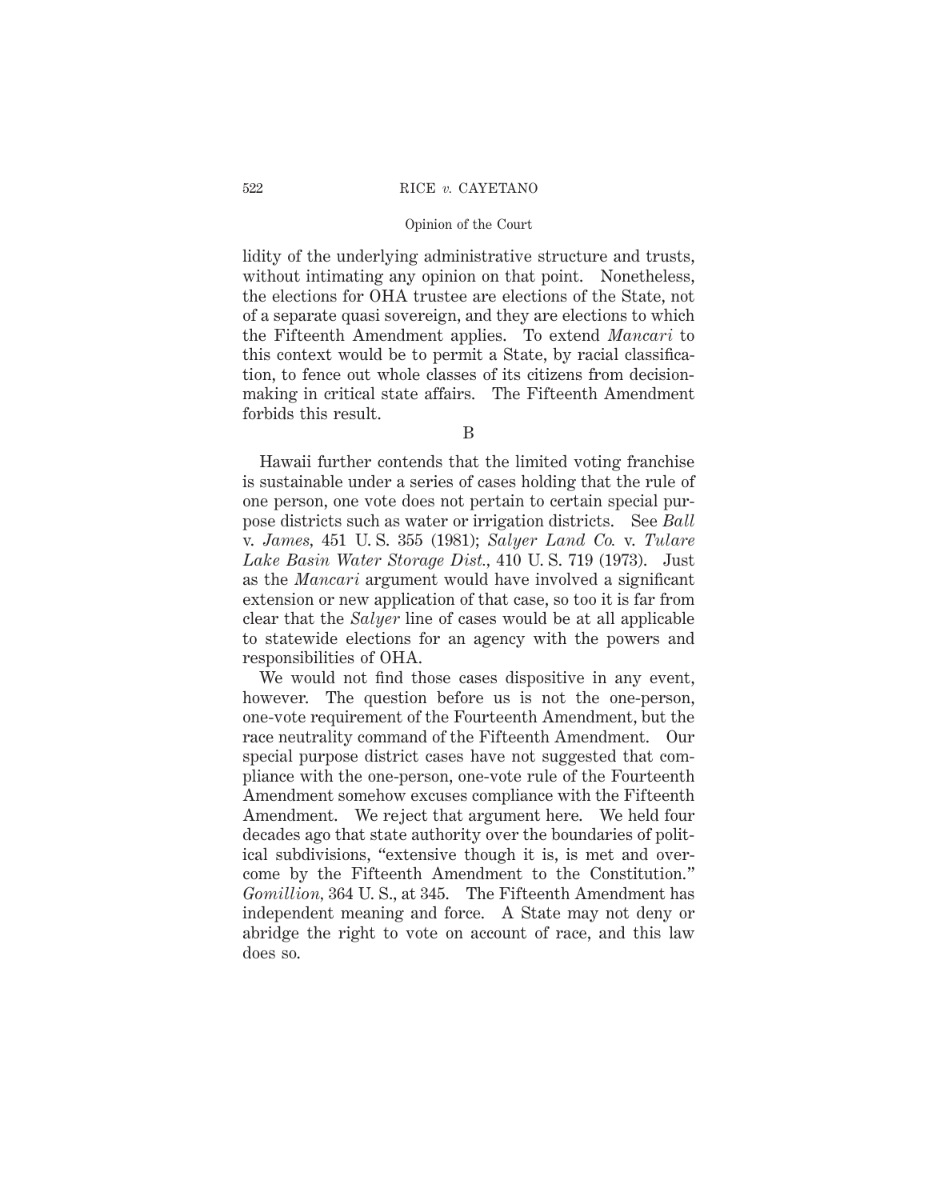lidity of the underlying administrative structure and trusts, without intimating any opinion on that point. Nonetheless, the elections for OHA trustee are elections of the State, not of a separate quasi sovereign, and they are elections to which the Fifteenth Amendment applies. To extend *Mancari* to this context would be to permit a State, by racial classification, to fence out whole classes of its citizens from decisionmaking in critical state affairs. The Fifteenth Amendment forbids this result.

Hawaii further contends that the limited voting franchise is sustainable under a series of cases holding that the rule of one person, one vote does not pertain to certain special purpose districts such as water or irrigation districts. See *Ball* v. *James,* 451 U. S. 355 (1981); *Salyer Land Co.* v. *Tulare Lake Basin Water Storage Dist.,* 410 U. S. 719 (1973). Just as the *Mancari* argument would have involved a significant extension or new application of that case, so too it is far from clear that the *Salyer* line of cases would be at all applicable to statewide elections for an agency with the powers and responsibilities of OHA.

We would not find those cases dispositive in any event, however. The question before us is not the one-person, one-vote requirement of the Fourteenth Amendment, but the race neutrality command of the Fifteenth Amendment. Our special purpose district cases have not suggested that compliance with the one-person, one-vote rule of the Fourteenth Amendment somehow excuses compliance with the Fifteenth Amendment. We reject that argument here. We held four decades ago that state authority over the boundaries of political subdivisions, "extensive though it is, is met and overcome by the Fifteenth Amendment to the Constitution." *Gomillion,* 364 U. S., at 345. The Fifteenth Amendment has independent meaning and force. A State may not deny or abridge the right to vote on account of race, and this law does so.

B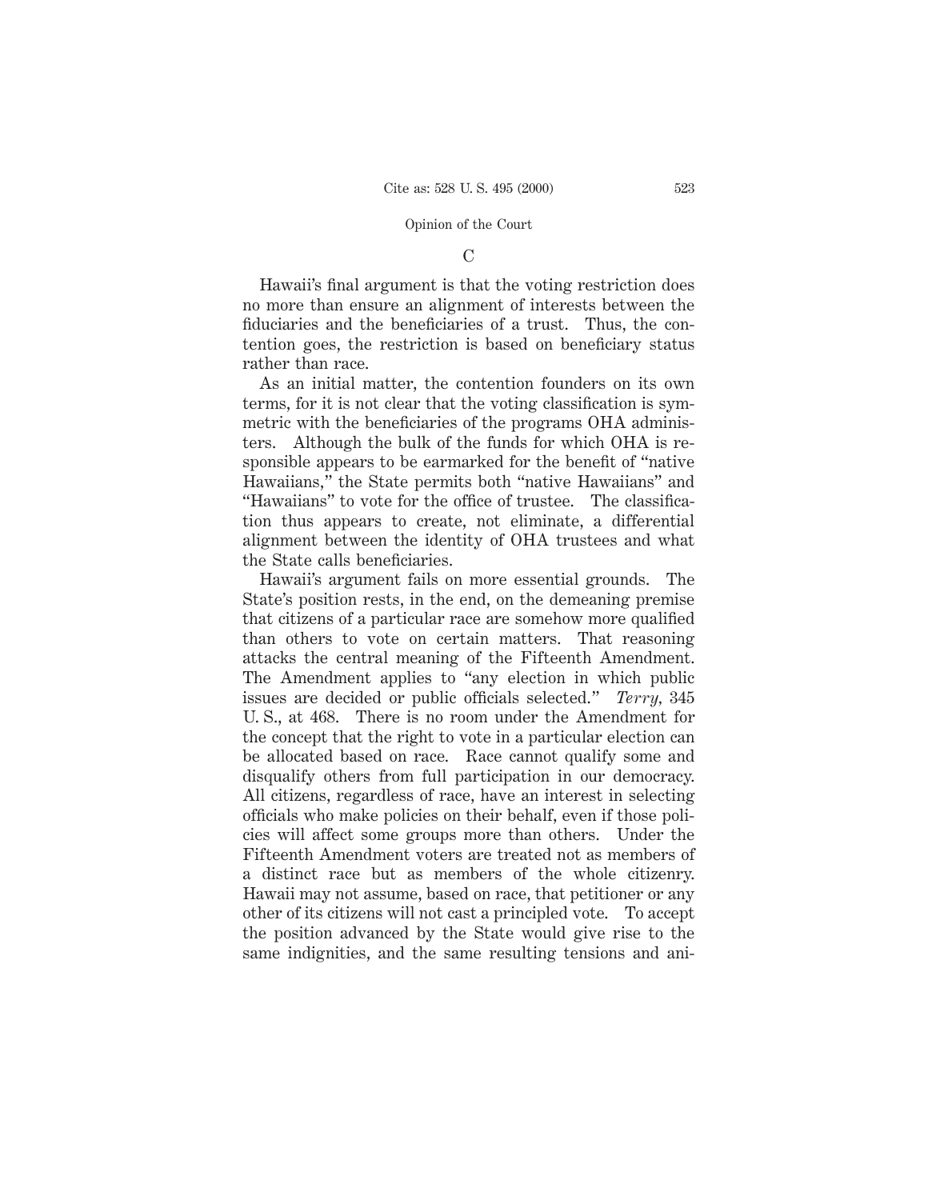### C

Hawaii's final argument is that the voting restriction does no more than ensure an alignment of interests between the fiduciaries and the beneficiaries of a trust. Thus, the contention goes, the restriction is based on beneficiary status rather than race.

As an initial matter, the contention founders on its own terms, for it is not clear that the voting classification is symmetric with the beneficiaries of the programs OHA administers. Although the bulk of the funds for which OHA is responsible appears to be earmarked for the benefit of "native Hawaiians," the State permits both "native Hawaiians" and "Hawaiians" to vote for the office of trustee. The classification thus appears to create, not eliminate, a differential alignment between the identity of OHA trustees and what the State calls beneficiaries.

Hawaii's argument fails on more essential grounds. The State's position rests, in the end, on the demeaning premise that citizens of a particular race are somehow more qualified than others to vote on certain matters. That reasoning attacks the central meaning of the Fifteenth Amendment. The Amendment applies to "any election in which public issues are decided or public officials selected." *Terry,* 345 U. S., at 468. There is no room under the Amendment for the concept that the right to vote in a particular election can be allocated based on race. Race cannot qualify some and disqualify others from full participation in our democracy. All citizens, regardless of race, have an interest in selecting officials who make policies on their behalf, even if those policies will affect some groups more than others. Under the Fifteenth Amendment voters are treated not as members of a distinct race but as members of the whole citizenry. Hawaii may not assume, based on race, that petitioner or any other of its citizens will not cast a principled vote. To accept the position advanced by the State would give rise to the same indignities, and the same resulting tensions and ani-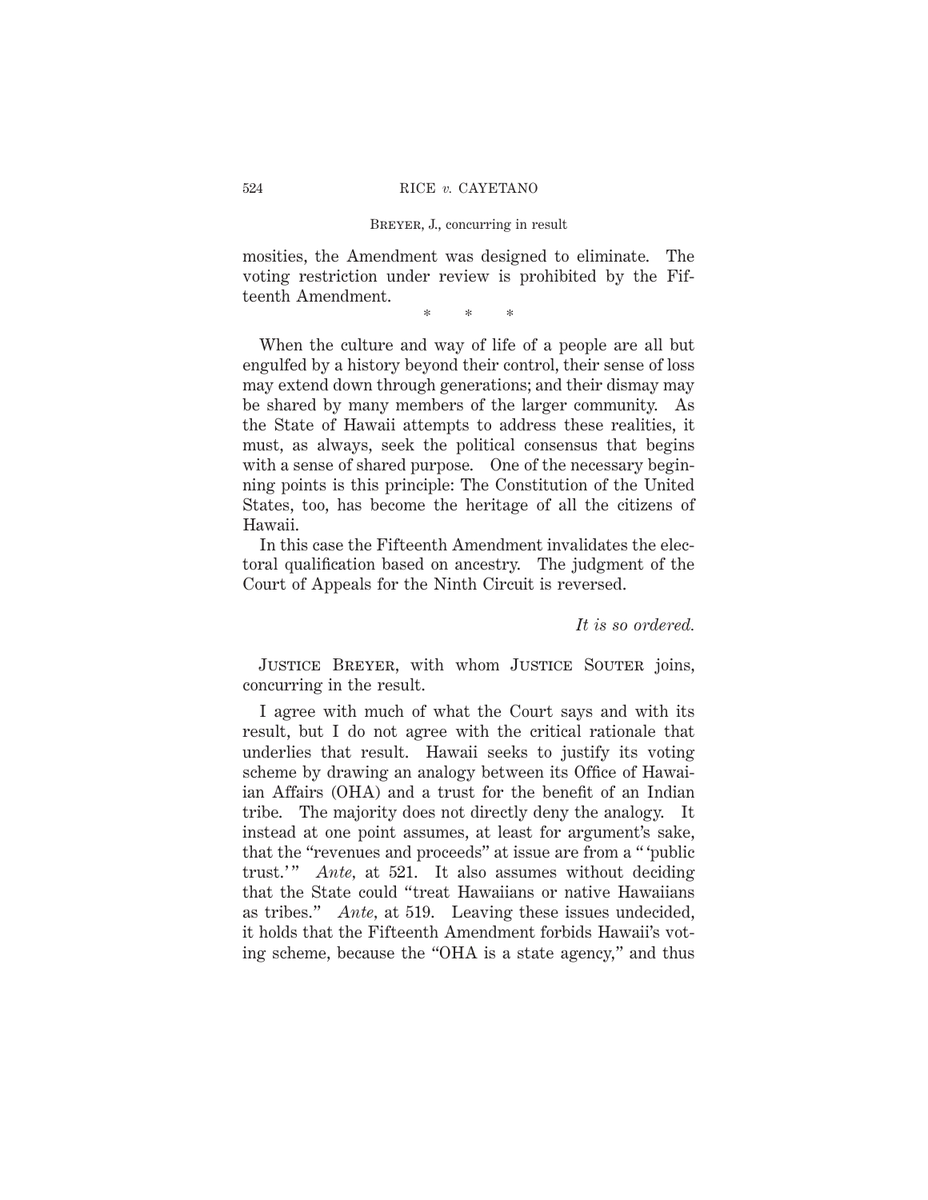## Breyer, J., concurring in result

mosities, the Amendment was designed to eliminate. The voting restriction under review is prohibited by the Fifteenth Amendment.

\*\*\*

When the culture and way of life of a people are all but engulfed by a history beyond their control, their sense of loss may extend down through generations; and their dismay may be shared by many members of the larger community. As the State of Hawaii attempts to address these realities, it must, as always, seek the political consensus that begins with a sense of shared purpose. One of the necessary beginning points is this principle: The Constitution of the United States, too, has become the heritage of all the citizens of Hawaii.

In this case the Fifteenth Amendment invalidates the electoral qualification based on ancestry. The judgment of the Court of Appeals for the Ninth Circuit is reversed.

## *It is so ordered.*

JUSTICE BREYER, with whom JUSTICE SOUTER joins, concurring in the result.

I agree with much of what the Court says and with its result, but I do not agree with the critical rationale that underlies that result. Hawaii seeks to justify its voting scheme by drawing an analogy between its Office of Hawaiian Affairs (OHA) and a trust for the benefit of an Indian tribe. The majority does not directly deny the analogy. It instead at one point assumes, at least for argument's sake, that the "revenues and proceeds" at issue are from a " 'public trust.'" *Ante*, at 521. It also assumes without deciding that the State could "treat Hawaiians or native Hawaiians as tribes." *Ante,* at 519. Leaving these issues undecided, it holds that the Fifteenth Amendment forbids Hawaii's voting scheme, because the "OHA is a state agency," and thus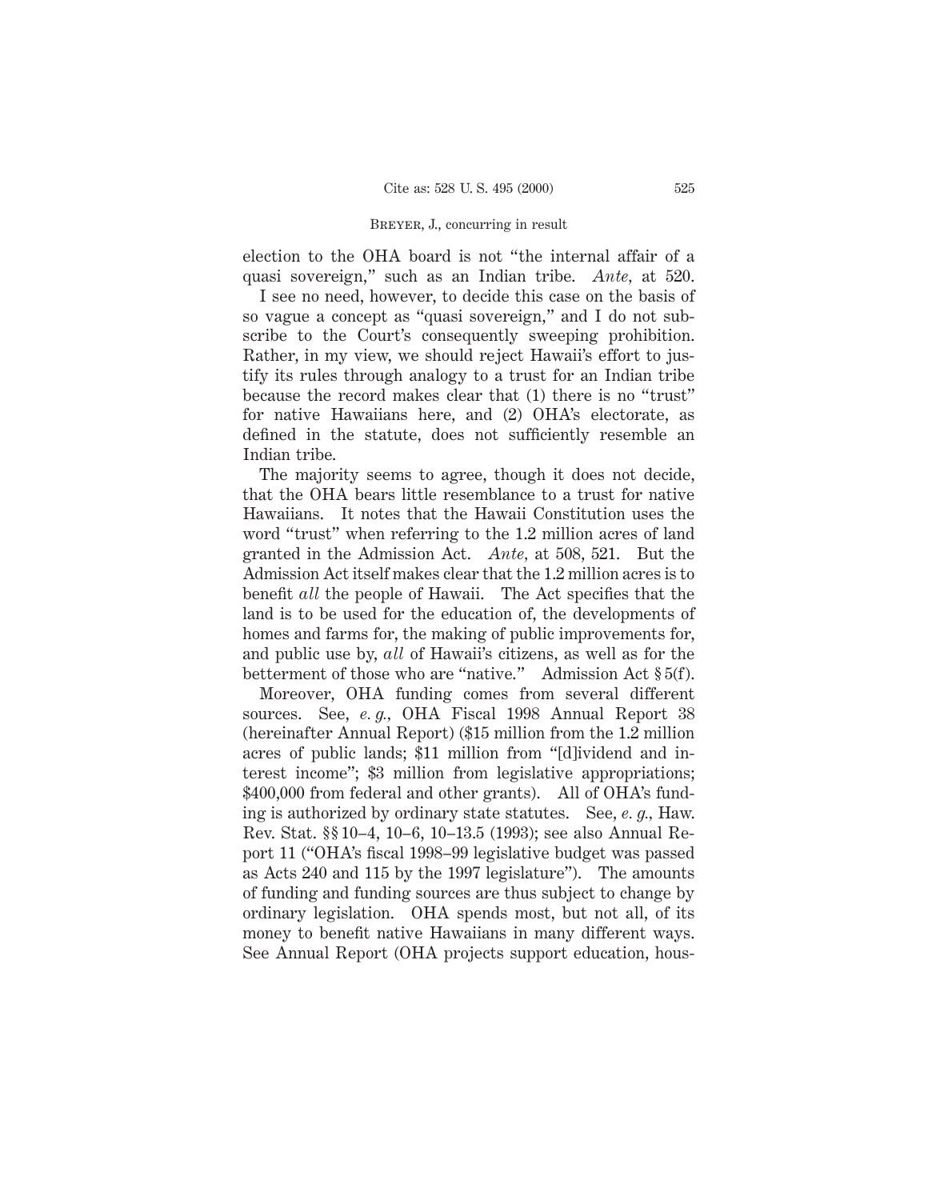## Breyer, J., concurring in result

election to the OHA board is not "the internal affair of a quasi sovereign," such as an Indian tribe. *Ante,* at 520.

I see no need, however, to decide this case on the basis of so vague a concept as "quasi sovereign," and I do not subscribe to the Court's consequently sweeping prohibition. Rather, in my view, we should reject Hawaii's effort to justify its rules through analogy to a trust for an Indian tribe because the record makes clear that (1) there is no "trust" for native Hawaiians here, and (2) OHA's electorate, as defined in the statute, does not sufficiently resemble an Indian tribe.

The majority seems to agree, though it does not decide, that the OHA bears little resemblance to a trust for native Hawaiians. It notes that the Hawaii Constitution uses the word "trust" when referring to the 1.2 million acres of land granted in the Admission Act. *Ante,* at 508, 521. But the Admission Act itself makes clear that the 1.2 million acres is to benefit *all* the people of Hawaii. The Act specifies that the land is to be used for the education of, the developments of homes and farms for, the making of public improvements for, and public use by, *all* of Hawaii's citizens, as well as for the betterment of those who are "native." Admission Act § 5(f).

Moreover, OHA funding comes from several different sources. See, *e. g.,* OHA Fiscal 1998 Annual Report 38 (hereinafter Annual Report) (\$15 million from the 1.2 million acres of public lands; \$11 million from "[d]ividend and interest income"; \$3 million from legislative appropriations; \$400,000 from federal and other grants). All of OHA's funding is authorized by ordinary state statutes. See, *e. g.,* Haw. Rev. Stat. §§ 10–4, 10–6, 10–13.5 (1993); see also Annual Report 11 ("OHA's fiscal 1998–99 legislative budget was passed as Acts 240 and 115 by the 1997 legislature"). The amounts of funding and funding sources are thus subject to change by ordinary legislation. OHA spends most, but not all, of its money to benefit native Hawaiians in many different ways. See Annual Report (OHA projects support education, hous-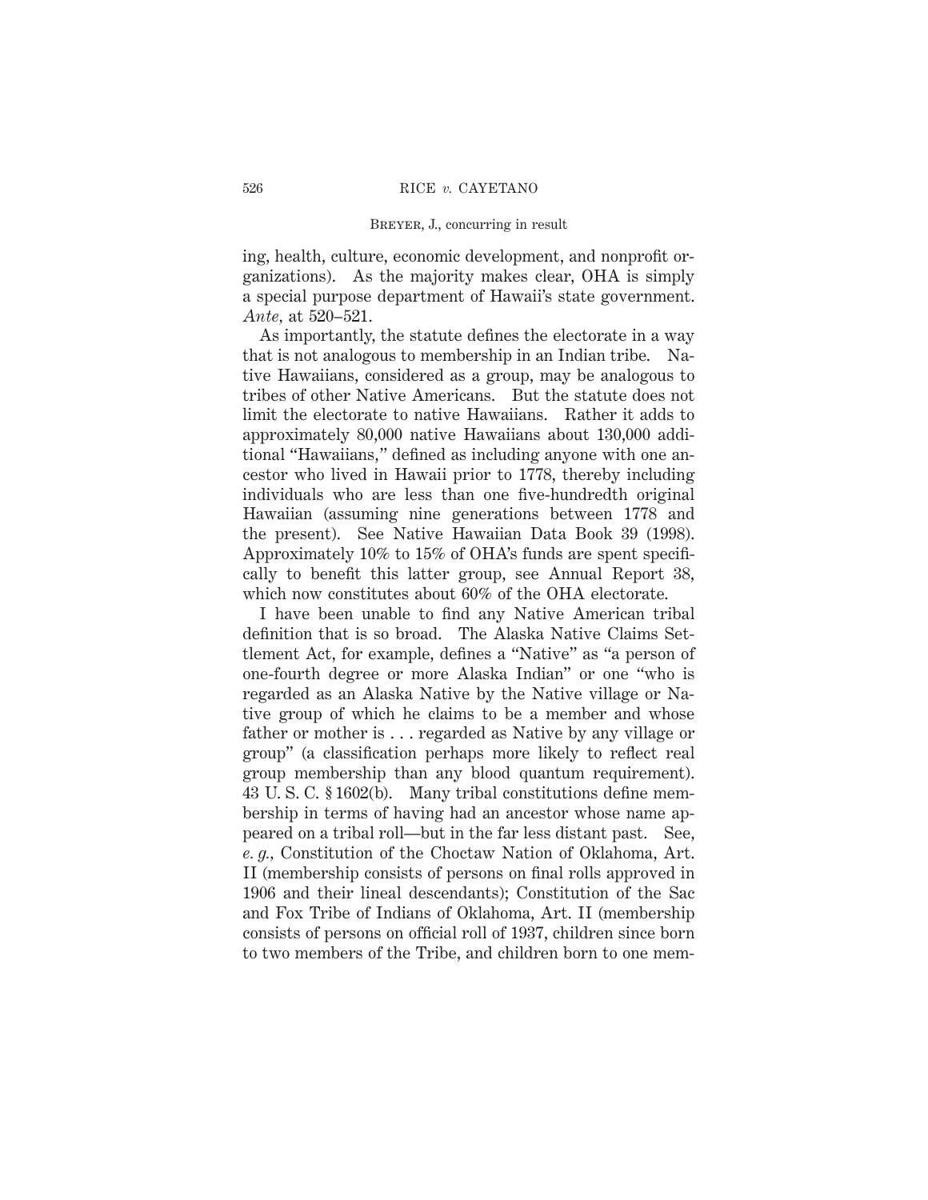## Breyer, J., concurring in result

ing, health, culture, economic development, and nonprofit organizations). As the majority makes clear, OHA is simply a special purpose department of Hawaii's state government. *Ante,* at 520–521.

As importantly, the statute defines the electorate in a way that is not analogous to membership in an Indian tribe. Native Hawaiians, considered as a group, may be analogous to tribes of other Native Americans. But the statute does not limit the electorate to native Hawaiians. Rather it adds to approximately 80,000 native Hawaiians about 130,000 additional "Hawaiians," defined as including anyone with one ancestor who lived in Hawaii prior to 1778, thereby including individuals who are less than one five-hundredth original Hawaiian (assuming nine generations between 1778 and the present). See Native Hawaiian Data Book 39 (1998). Approximately 10% to 15% of OHA's funds are spent specifically to benefit this latter group, see Annual Report 38, which now constitutes about 60% of the OHA electorate.

I have been unable to find any Native American tribal definition that is so broad. The Alaska Native Claims Settlement Act, for example, defines a "Native" as "a person of one-fourth degree or more Alaska Indian" or one "who is regarded as an Alaska Native by the Native village or Native group of which he claims to be a member and whose father or mother is . . . regarded as Native by any village or group" (a classification perhaps more likely to reflect real group membership than any blood quantum requirement). 43 U. S. C. § 1602(b). Many tribal constitutions define membership in terms of having had an ancestor whose name appeared on a tribal roll—but in the far less distant past. See, *e. g.,* Constitution of the Choctaw Nation of Oklahoma, Art. II (membership consists of persons on final rolls approved in 1906 and their lineal descendants); Constitution of the Sac and Fox Tribe of Indians of Oklahoma, Art. II (membership consists of persons on official roll of 1937, children since born to two members of the Tribe, and children born to one mem-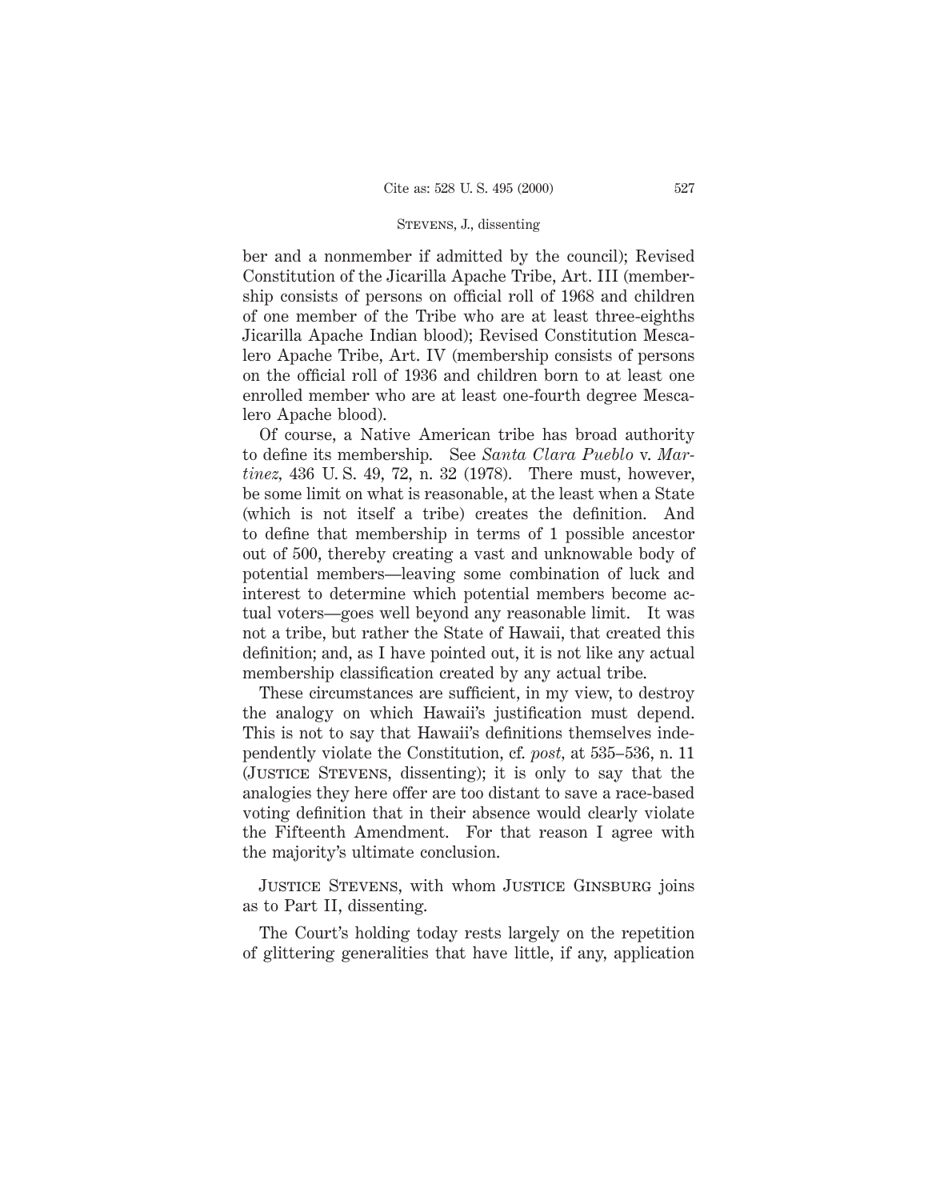ber and a nonmember if admitted by the council); Revised Constitution of the Jicarilla Apache Tribe, Art. III (membership consists of persons on official roll of 1968 and children of one member of the Tribe who are at least three-eighths Jicarilla Apache Indian blood); Revised Constitution Mescalero Apache Tribe, Art. IV (membership consists of persons on the official roll of 1936 and children born to at least one enrolled member who are at least one-fourth degree Mescalero Apache blood).

Of course, a Native American tribe has broad authority to define its membership. See *Santa Clara Pueblo* v. *Martinez,* 436 U. S. 49, 72, n. 32 (1978). There must, however, be some limit on what is reasonable, at the least when a State (which is not itself a tribe) creates the definition. And to define that membership in terms of 1 possible ancestor out of 500, thereby creating a vast and unknowable body of potential members—leaving some combination of luck and interest to determine which potential members become actual voters—goes well beyond any reasonable limit. It was not a tribe, but rather the State of Hawaii, that created this definition; and, as I have pointed out, it is not like any actual membership classification created by any actual tribe.

These circumstances are sufficient, in my view, to destroy the analogy on which Hawaii's justification must depend. This is not to say that Hawaii's definitions themselves independently violate the Constitution, cf. *post,* at 535–536, n. 11 (Justice Stevens, dissenting); it is only to say that the analogies they here offer are too distant to save a race-based voting definition that in their absence would clearly violate the Fifteenth Amendment. For that reason I agree with the majority's ultimate conclusion.

Justice Stevens, with whom Justice Ginsburg joins as to Part II, dissenting.

The Court's holding today rests largely on the repetition of glittering generalities that have little, if any, application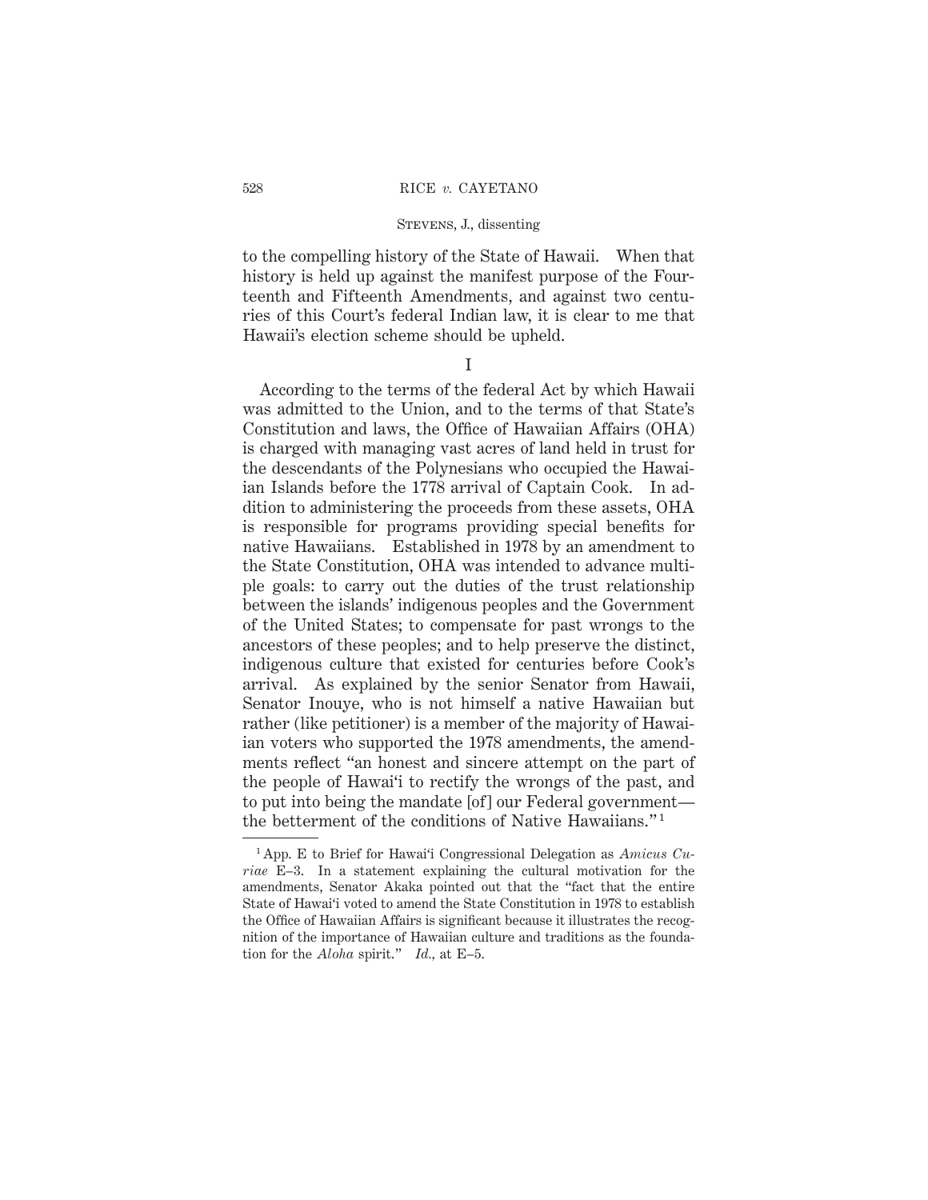to the compelling history of the State of Hawaii. When that history is held up against the manifest purpose of the Fourteenth and Fifteenth Amendments, and against two centuries of this Court's federal Indian law, it is clear to me that Hawaii's election scheme should be upheld.

I

According to the terms of the federal Act by which Hawaii was admitted to the Union, and to the terms of that State's Constitution and laws, the Office of Hawaiian Affairs (OHA) is charged with managing vast acres of land held in trust for the descendants of the Polynesians who occupied the Hawaiian Islands before the 1778 arrival of Captain Cook. In addition to administering the proceeds from these assets, OHA is responsible for programs providing special benefits for native Hawaiians. Established in 1978 by an amendment to the State Constitution, OHA was intended to advance multiple goals: to carry out the duties of the trust relationship between the islands' indigenous peoples and the Government of the United States; to compensate for past wrongs to the ancestors of these peoples; and to help preserve the distinct, indigenous culture that existed for centuries before Cook's arrival. As explained by the senior Senator from Hawaii, Senator Inouye, who is not himself a native Hawaiian but rather (like petitioner) is a member of the majority of Hawaiian voters who supported the 1978 amendments, the amendments reflect "an honest and sincere attempt on the part of the people of Hawai'i to rectify the wrongs of the past, and to put into being the mandate [of] our Federal government the betterment of the conditions of Native Hawaiians." <sup>1</sup>

<sup>1</sup> App. E to Brief for Hawai'i Congressional Delegation as *Amicus Curiae* E–3. In a statement explaining the cultural motivation for the amendments, Senator Akaka pointed out that the "fact that the entire State of Hawai'i voted to amend the State Constitution in 1978 to establish the Office of Hawaiian Affairs is significant because it illustrates the recognition of the importance of Hawaiian culture and traditions as the foundation for the *Aloha* spirit." *Id.,* at E–5.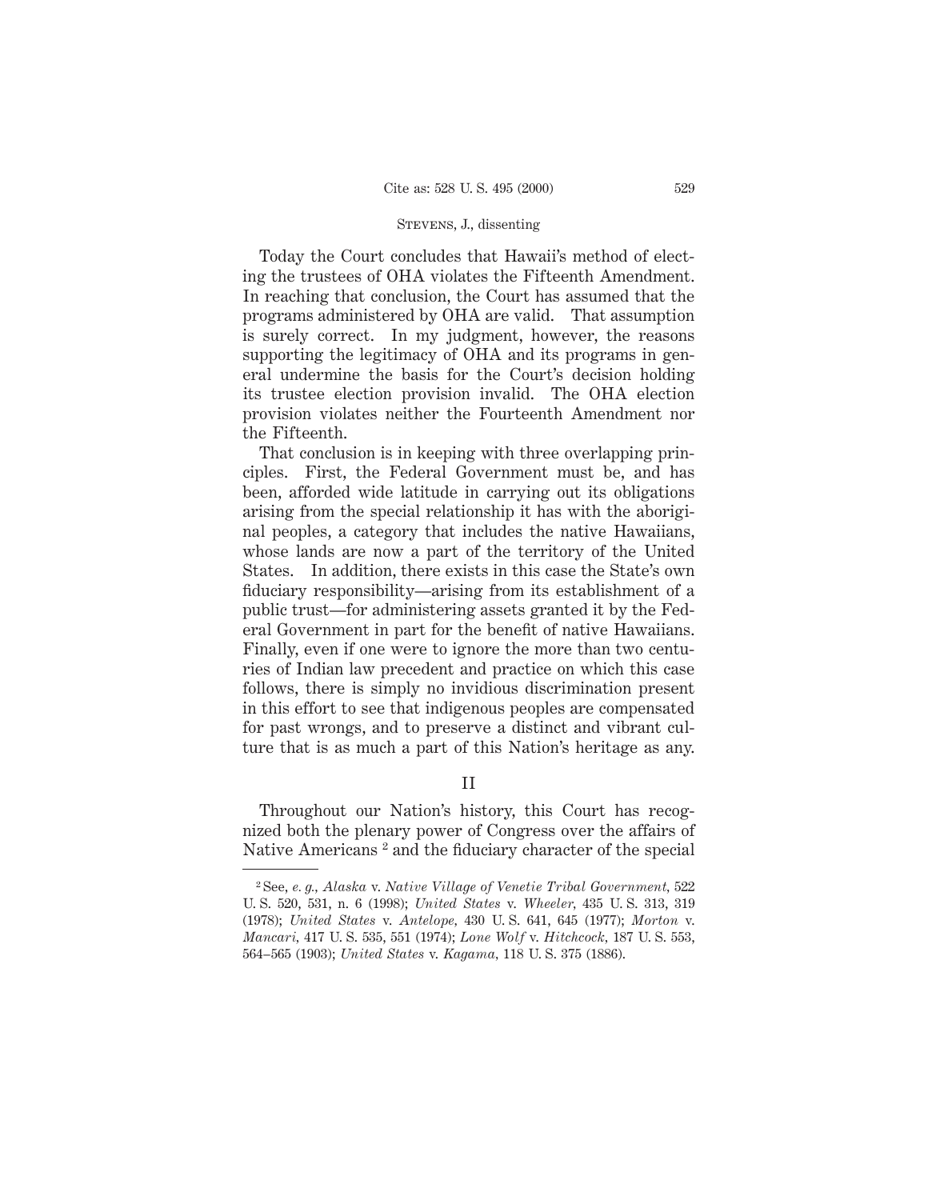Today the Court concludes that Hawaii's method of electing the trustees of OHA violates the Fifteenth Amendment. In reaching that conclusion, the Court has assumed that the programs administered by OHA are valid. That assumption is surely correct. In my judgment, however, the reasons supporting the legitimacy of OHA and its programs in general undermine the basis for the Court's decision holding its trustee election provision invalid. The OHA election provision violates neither the Fourteenth Amendment nor the Fifteenth.

That conclusion is in keeping with three overlapping principles. First, the Federal Government must be, and has been, afforded wide latitude in carrying out its obligations arising from the special relationship it has with the aboriginal peoples, a category that includes the native Hawaiians, whose lands are now a part of the territory of the United States. In addition, there exists in this case the State's own fiduciary responsibility—arising from its establishment of a public trust—for administering assets granted it by the Federal Government in part for the benefit of native Hawaiians. Finally, even if one were to ignore the more than two centuries of Indian law precedent and practice on which this case follows, there is simply no invidious discrimination present in this effort to see that indigenous peoples are compensated for past wrongs, and to preserve a distinct and vibrant culture that is as much a part of this Nation's heritage as any.

II

Throughout our Nation's history, this Court has recognized both the plenary power of Congress over the affairs of Native Americans<sup>2</sup> and the fiduciary character of the special

<sup>2</sup> See, *e. g., Alaska* v. *Native Village of Venetie Tribal Government,* 522 U. S. 520, 531, n. 6 (1998); *United States* v. *Wheeler,* 435 U. S. 313, 319 (1978); *United States* v. *Antelope,* 430 U. S. 641, 645 (1977); *Morton* v. *Mancari,* 417 U. S. 535, 551 (1974); *Lone Wolf* v. *Hitchcock,* 187 U. S. 553, 564–565 (1903); *United States* v. *Kagama,* 118 U. S. 375 (1886).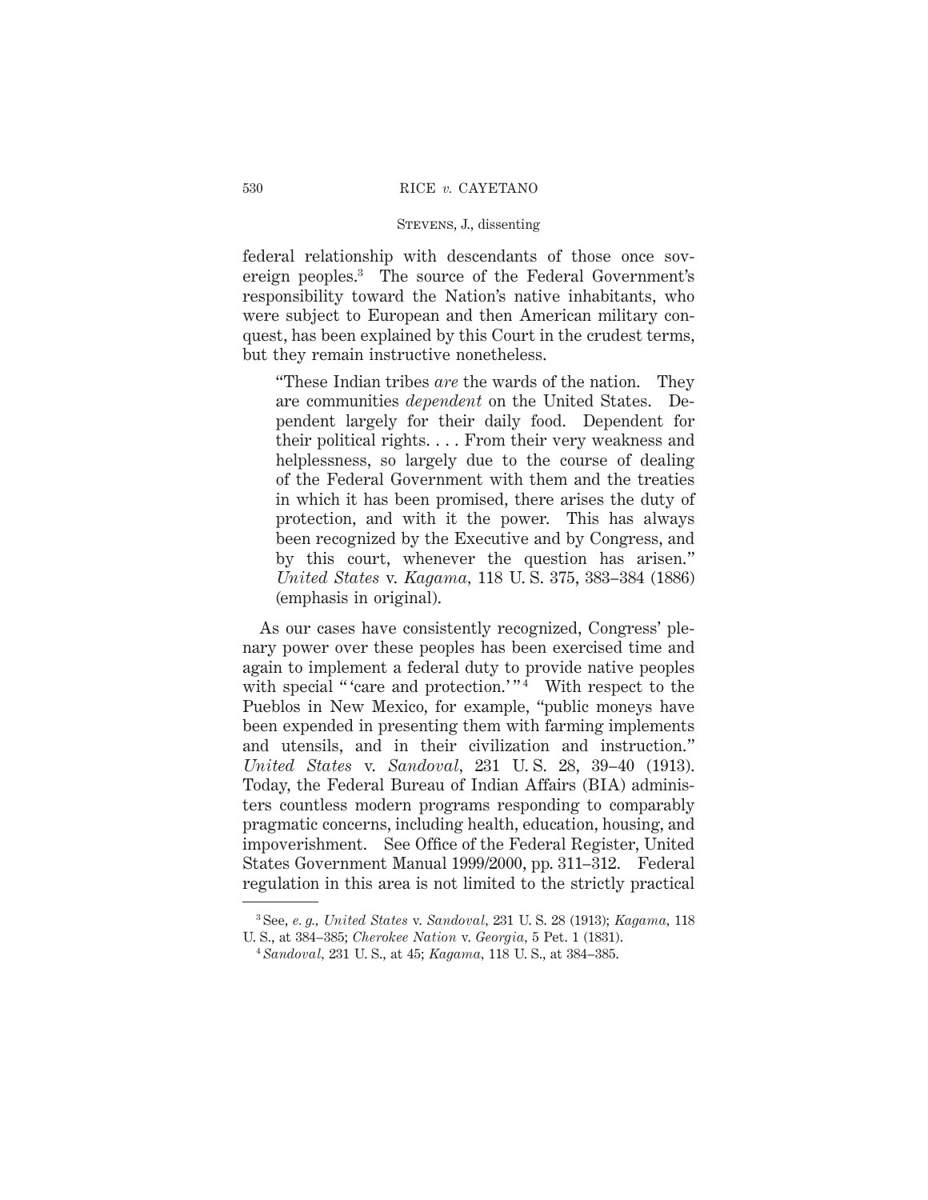federal relationship with descendants of those once sovereign peoples.3 The source of the Federal Government's responsibility toward the Nation's native inhabitants, who were subject to European and then American military conquest, has been explained by this Court in the crudest terms, but they remain instructive nonetheless.

"These Indian tribes *are* the wards of the nation. They are communities *dependent* on the United States. Dependent largely for their daily food. Dependent for their political rights. . . . From their very weakness and helplessness, so largely due to the course of dealing of the Federal Government with them and the treaties in which it has been promised, there arises the duty of protection, and with it the power. This has always been recognized by the Executive and by Congress, and by this court, whenever the question has arisen." *United States* v. *Kagama,* 118 U. S. 375, 383–384 (1886) (emphasis in original).

As our cases have consistently recognized, Congress' plenary power over these peoples has been exercised time and again to implement a federal duty to provide native peoples with special "'care and protection.'" $4$  With respect to the Pueblos in New Mexico, for example, "public moneys have been expended in presenting them with farming implements and utensils, and in their civilization and instruction." *United States* v. *Sandoval,* 231 U. S. 28, 39–40 (1913). Today, the Federal Bureau of Indian Affairs (BIA) administers countless modern programs responding to comparably pragmatic concerns, including health, education, housing, and impoverishment. See Office of the Federal Register, United States Government Manual 1999/2000, pp. 311–312. Federal regulation in this area is not limited to the strictly practical

<sup>3</sup> See, *e. g., United States* v. *Sandoval,* 231 U. S. 28 (1913); *Kagama,* 118 U. S., at 384–385; *Cherokee Nation* v. *Georgia,* 5 Pet. 1 (1831).

<sup>4</sup> *Sandoval,* 231 U. S., at 45; *Kagama,* 118 U. S., at 384–385.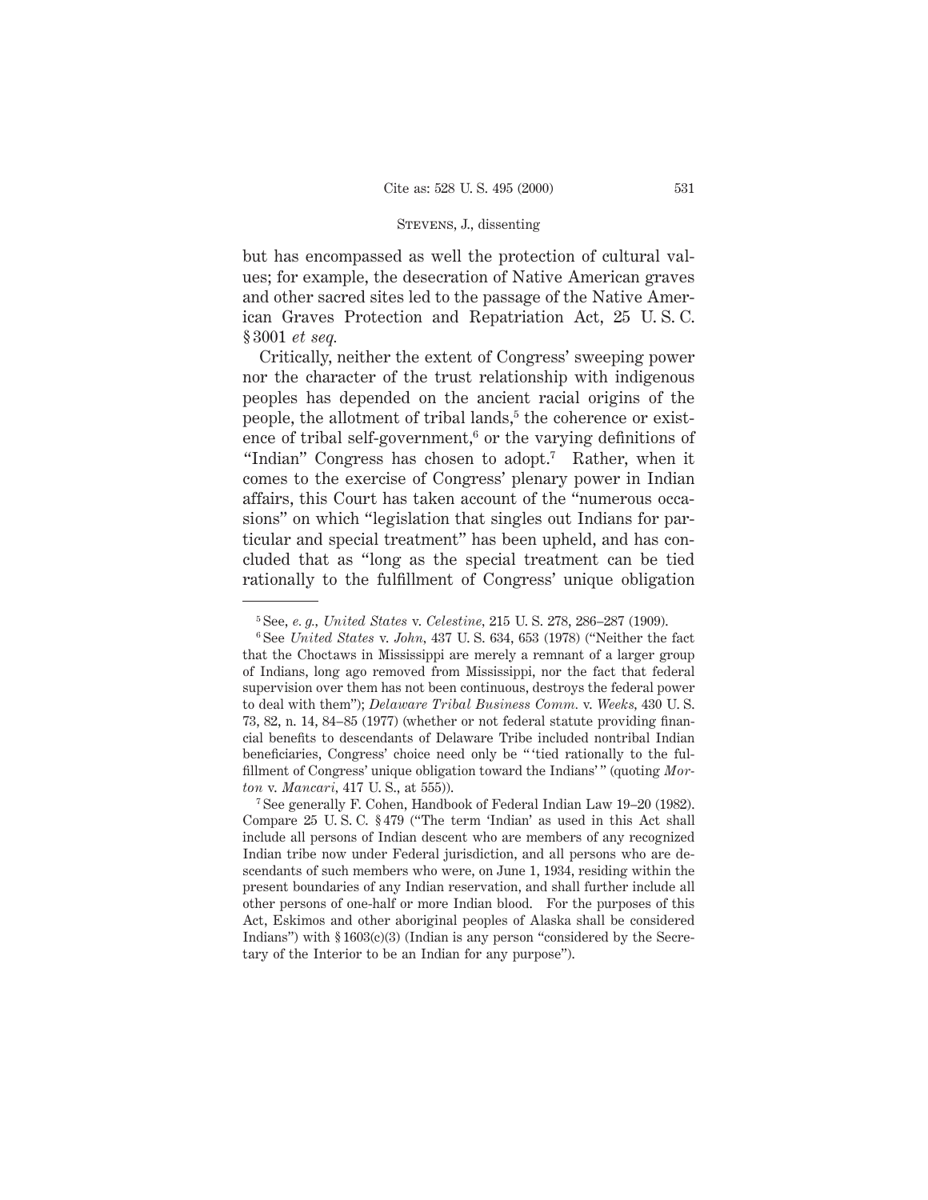but has encompassed as well the protection of cultural values; for example, the desecration of Native American graves and other sacred sites led to the passage of the Native American Graves Protection and Repatriation Act, 25 U. S. C. § 3001 *et seq.*

Critically, neither the extent of Congress' sweeping power nor the character of the trust relationship with indigenous peoples has depended on the ancient racial origins of the people, the allotment of tribal lands,<sup>5</sup> the coherence or existence of tribal self-government, $6$  or the varying definitions of "Indian" Congress has chosen to adopt." Rather, when it comes to the exercise of Congress' plenary power in Indian affairs, this Court has taken account of the "numerous occasions" on which "legislation that singles out Indians for particular and special treatment" has been upheld, and has concluded that as "long as the special treatment can be tied rationally to the fulfillment of Congress' unique obligation

<sup>5</sup> See, *e. g., United States* v. *Celestine,* 215 U. S. 278, 286–287 (1909).

<sup>6</sup> See *United States* v. *John,* 437 U. S. 634, 653 (1978) ("Neither the fact that the Choctaws in Mississippi are merely a remnant of a larger group of Indians, long ago removed from Mississippi, nor the fact that federal supervision over them has not been continuous, destroys the federal power to deal with them"); *Delaware Tribal Business Comm.* v. *Weeks,* 430 U. S. 73, 82, n. 14, 84–85 (1977) (whether or not federal statute providing financial benefits to descendants of Delaware Tribe included nontribal Indian beneficiaries, Congress' choice need only be " 'tied rationally to the fulfillment of Congress' unique obligation toward the Indians' " (quoting *Morton* v. *Mancari,* 417 U. S., at 555)).

<sup>7</sup> See generally F. Cohen, Handbook of Federal Indian Law 19–20 (1982). Compare 25 U. S. C. § 479 ("The term 'Indian' as used in this Act shall include all persons of Indian descent who are members of any recognized Indian tribe now under Federal jurisdiction, and all persons who are descendants of such members who were, on June 1, 1934, residing within the present boundaries of any Indian reservation, and shall further include all other persons of one-half or more Indian blood. For the purposes of this Act, Eskimos and other aboriginal peoples of Alaska shall be considered Indians") with  $\S 1603(c)(3)$  (Indian is any person "considered by the Secretary of the Interior to be an Indian for any purpose").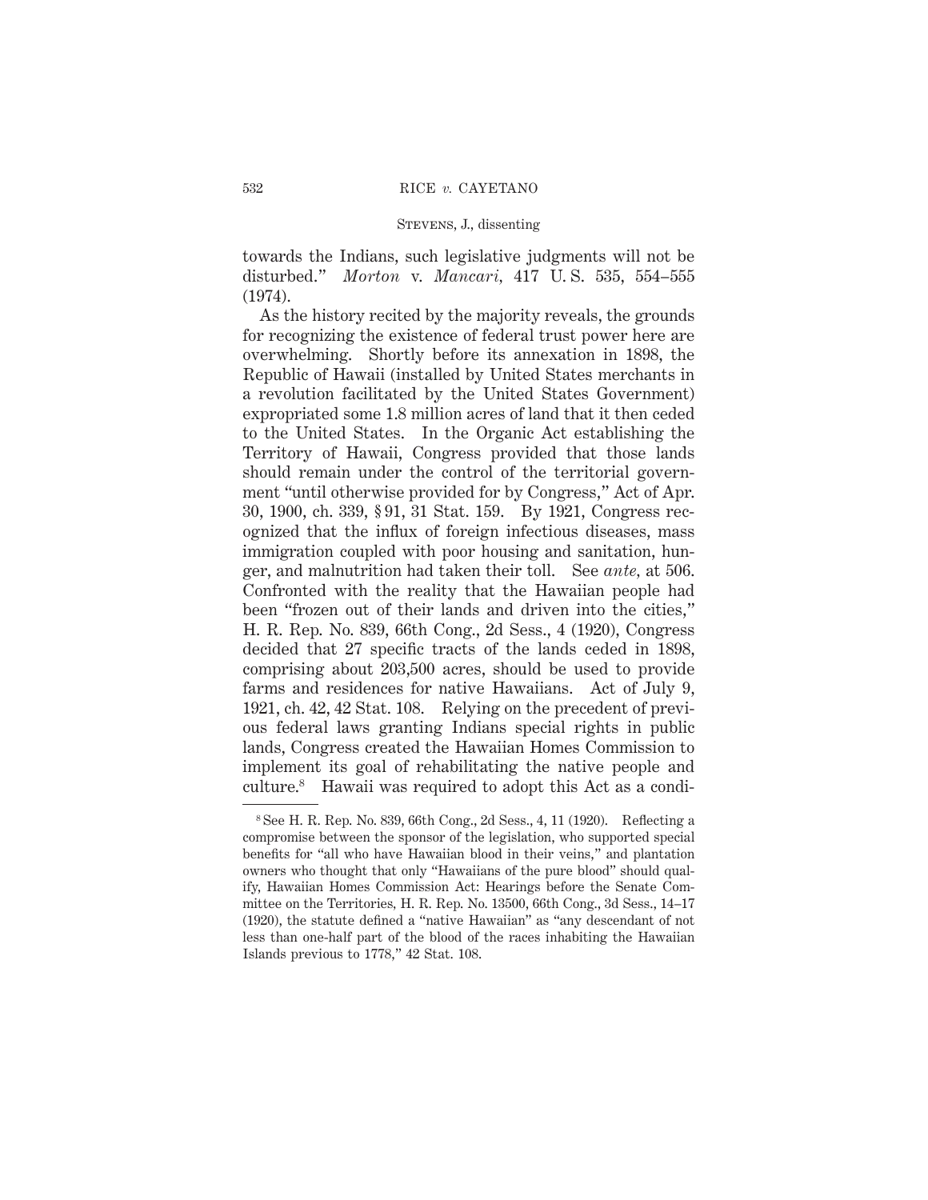towards the Indians, such legislative judgments will not be disturbed." *Morton* v. *Mancari,* 417 U. S. 535, 554–555 (1974).

As the history recited by the majority reveals, the grounds for recognizing the existence of federal trust power here are overwhelming. Shortly before its annexation in 1898, the Republic of Hawaii (installed by United States merchants in a revolution facilitated by the United States Government) expropriated some 1.8 million acres of land that it then ceded to the United States. In the Organic Act establishing the Territory of Hawaii, Congress provided that those lands should remain under the control of the territorial government "until otherwise provided for by Congress," Act of Apr. 30, 1900, ch. 339, § 91, 31 Stat. 159. By 1921, Congress recognized that the influx of foreign infectious diseases, mass immigration coupled with poor housing and sanitation, hunger, and malnutrition had taken their toll. See *ante,* at 506. Confronted with the reality that the Hawaiian people had been "frozen out of their lands and driven into the cities," H. R. Rep. No. 839, 66th Cong., 2d Sess., 4 (1920), Congress decided that 27 specific tracts of the lands ceded in 1898, comprising about 203,500 acres, should be used to provide farms and residences for native Hawaiians. Act of July 9, 1921, ch. 42, 42 Stat. 108. Relying on the precedent of previous federal laws granting Indians special rights in public lands, Congress created the Hawaiian Homes Commission to implement its goal of rehabilitating the native people and culture.8 Hawaii was required to adopt this Act as a condi-

 $8$  See H. R. Rep. No. 839, 66th Cong., 2d Sess., 4, 11 (1920). Reflecting a compromise between the sponsor of the legislation, who supported special benefits for "all who have Hawaiian blood in their veins," and plantation owners who thought that only "Hawaiians of the pure blood" should qualify, Hawaiian Homes Commission Act: Hearings before the Senate Committee on the Territories*,* H. R. Rep. No. 13500, 66th Cong., 3d Sess., 14–17 (1920), the statute defined a "native Hawaiian" as "any descendant of not less than one-half part of the blood of the races inhabiting the Hawaiian Islands previous to 1778," 42 Stat. 108.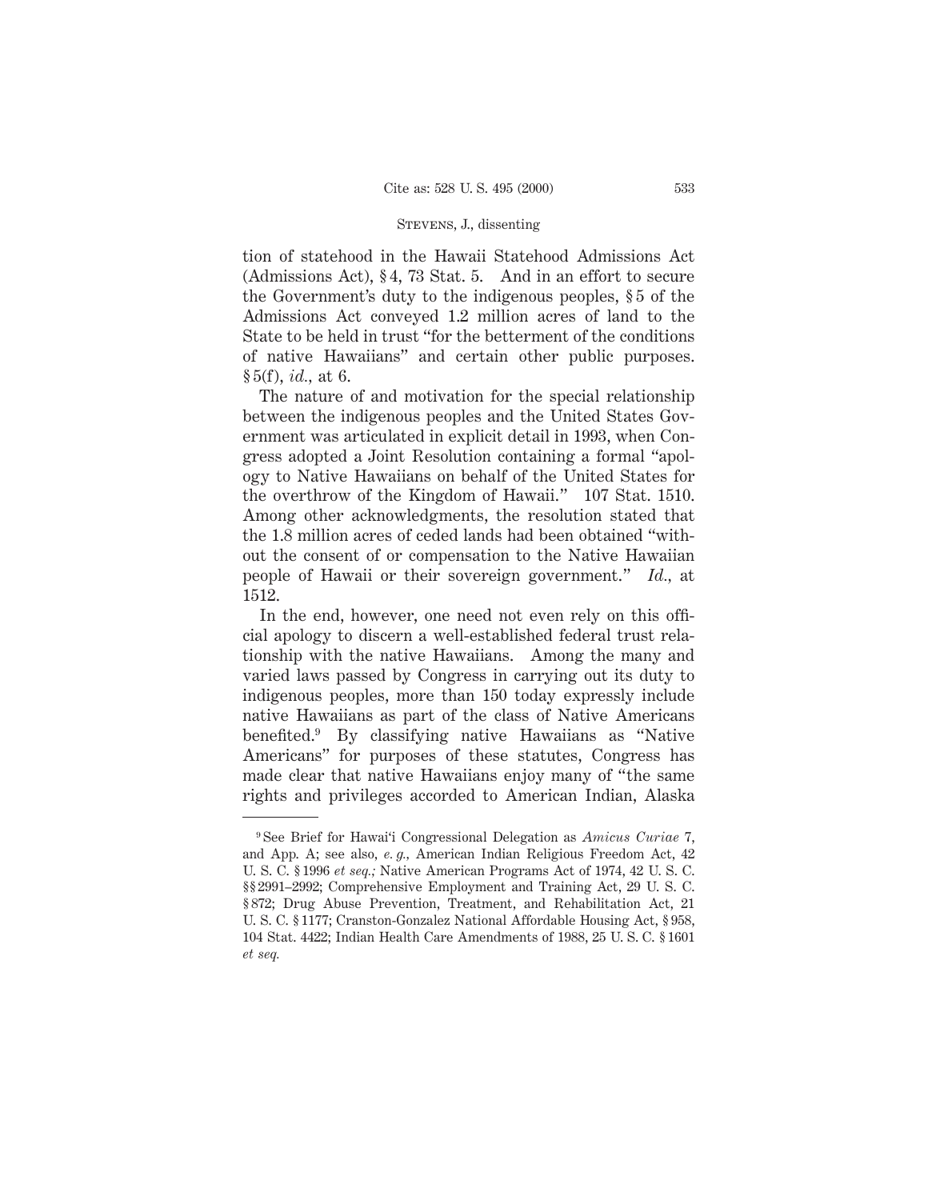tion of statehood in the Hawaii Statehood Admissions Act (Admissions Act), § 4, 73 Stat. 5. And in an effort to secure the Government's duty to the indigenous peoples, § 5 of the Admissions Act conveyed 1.2 million acres of land to the State to be held in trust "for the betterment of the conditions of native Hawaiians" and certain other public purposes. § 5(f), *id.,* at 6.

The nature of and motivation for the special relationship between the indigenous peoples and the United States Government was articulated in explicit detail in 1993, when Congress adopted a Joint Resolution containing a formal "apology to Native Hawaiians on behalf of the United States for the overthrow of the Kingdom of Hawaii." 107 Stat. 1510. Among other acknowledgments, the resolution stated that the 1.8 million acres of ceded lands had been obtained "without the consent of or compensation to the Native Hawaiian people of Hawaii or their sovereign government." *Id.,* at 1512.

In the end, however, one need not even rely on this official apology to discern a well-established federal trust relationship with the native Hawaiians. Among the many and varied laws passed by Congress in carrying out its duty to indigenous peoples, more than 150 today expressly include native Hawaiians as part of the class of Native Americans benefited.9 By classifying native Hawaiians as "Native Americans" for purposes of these statutes, Congress has made clear that native Hawaiians enjoy many of "the same rights and privileges accorded to American Indian, Alaska

<sup>9</sup> See Brief for Hawai'i Congressional Delegation as *Amicus Curiae* 7, and App. A; see also, *e. g.,* American Indian Religious Freedom Act, 42 U. S. C. § 1996 *et seq.;* Native American Programs Act of 1974, 42 U. S. C. §§ 2991–2992; Comprehensive Employment and Training Act, 29 U. S. C. § 872; Drug Abuse Prevention, Treatment, and Rehabilitation Act, 21 U. S. C. § 1177; Cranston-Gonzalez National Affordable Housing Act, § 958, 104 Stat. 4422; Indian Health Care Amendments of 1988, 25 U. S. C. § 1601 *et seq.*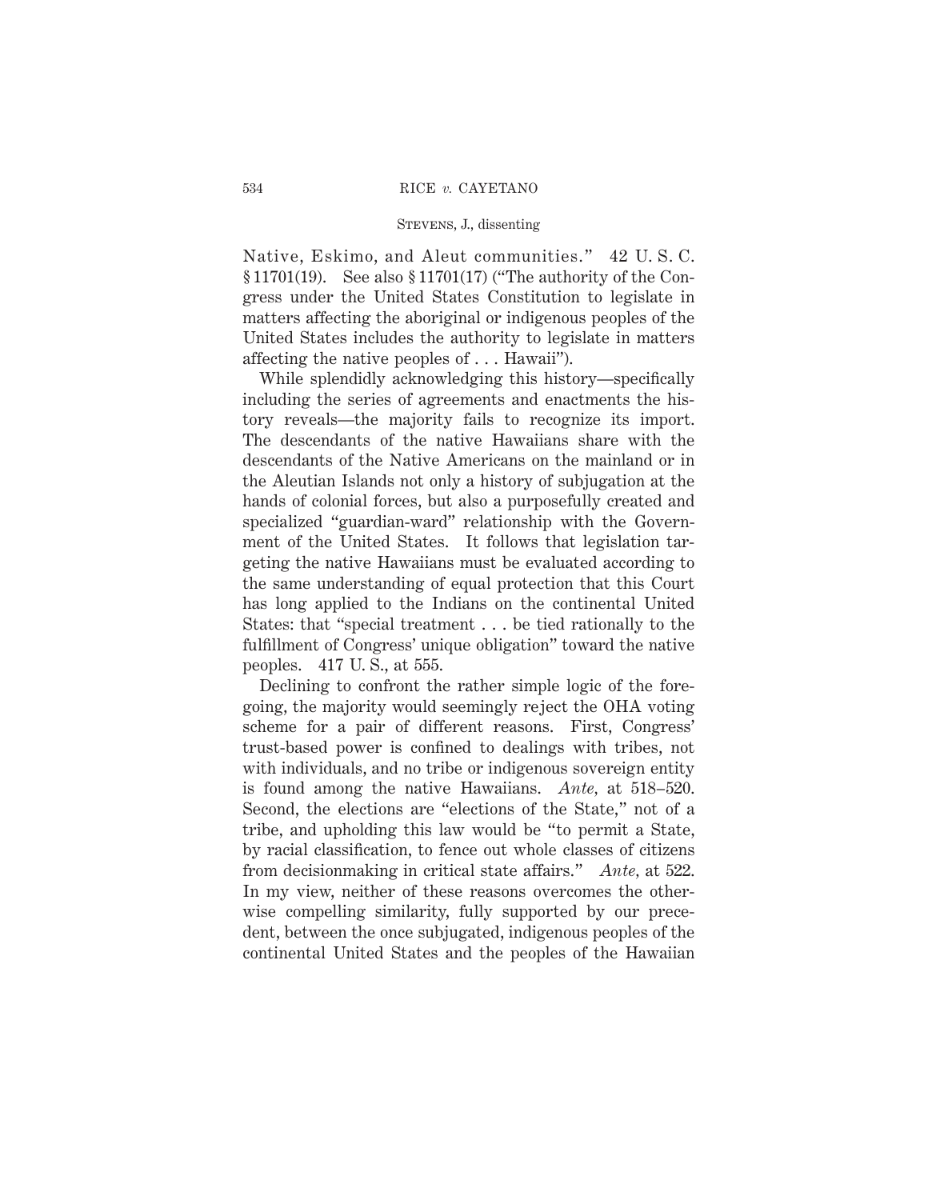Native, Eskimo, and Aleut communities." 42 U. S. C. § 11701(19). See also § 11701(17) ("The authority of the Congress under the United States Constitution to legislate in matters affecting the aboriginal or indigenous peoples of the United States includes the authority to legislate in matters affecting the native peoples of...Hawaii").

While splendidly acknowledging this history—specifically including the series of agreements and enactments the history reveals—the majority fails to recognize its import. The descendants of the native Hawaiians share with the descendants of the Native Americans on the mainland or in the Aleutian Islands not only a history of subjugation at the hands of colonial forces, but also a purposefully created and specialized "guardian-ward" relationship with the Government of the United States. It follows that legislation targeting the native Hawaiians must be evaluated according to the same understanding of equal protection that this Court has long applied to the Indians on the continental United States: that "special treatment . . . be tied rationally to the fulfillment of Congress' unique obligation" toward the native peoples. 417 U. S., at 555.

Declining to confront the rather simple logic of the foregoing, the majority would seemingly reject the OHA voting scheme for a pair of different reasons. First, Congress' trust-based power is confined to dealings with tribes, not with individuals, and no tribe or indigenous sovereign entity is found among the native Hawaiians. *Ante,* at 518–520. Second, the elections are "elections of the State," not of a tribe, and upholding this law would be "to permit a State, by racial classification, to fence out whole classes of citizens from decisionmaking in critical state affairs." *Ante,* at 522. In my view, neither of these reasons overcomes the otherwise compelling similarity, fully supported by our precedent, between the once subjugated, indigenous peoples of the continental United States and the peoples of the Hawaiian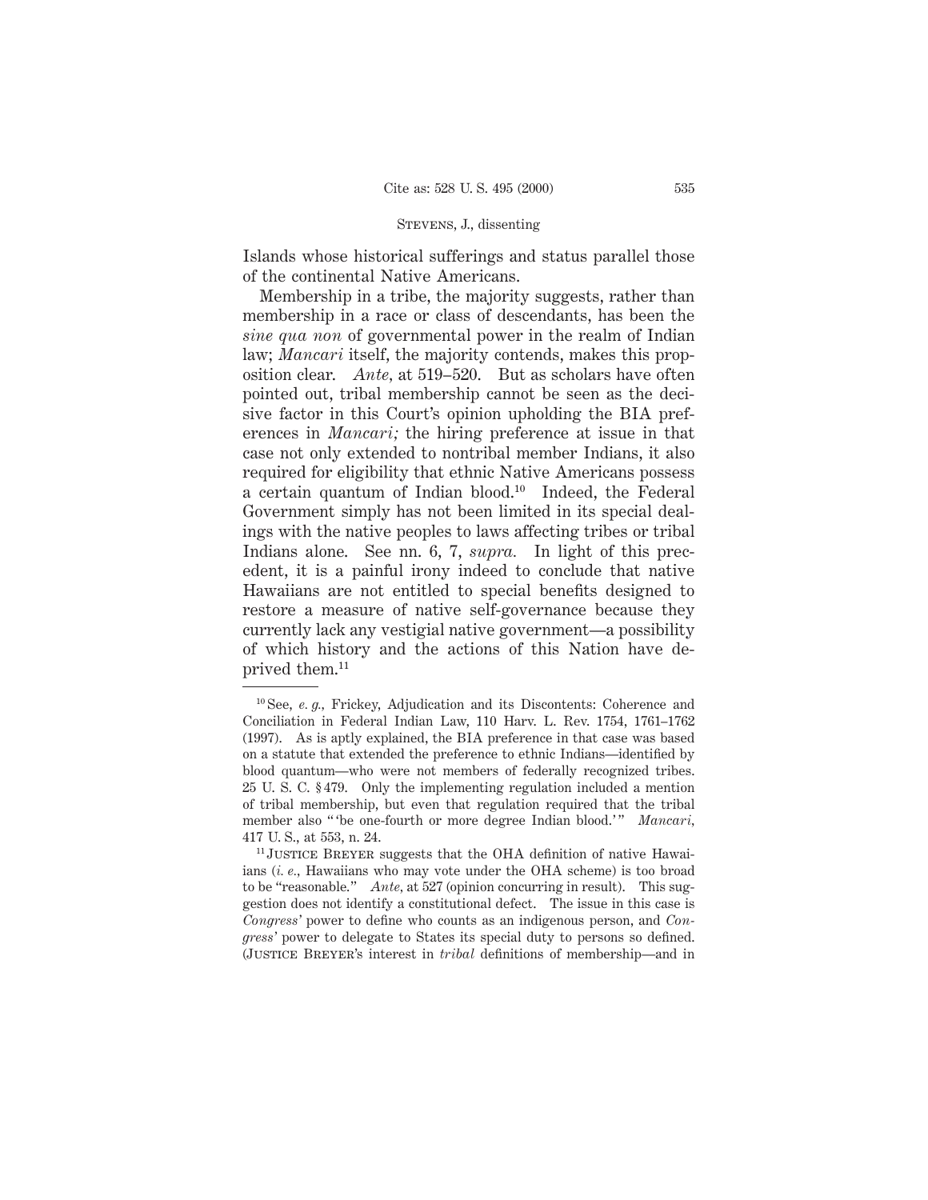Islands whose historical sufferings and status parallel those of the continental Native Americans.

Membership in a tribe, the majority suggests, rather than membership in a race or class of descendants, has been the *sine qua non* of governmental power in the realm of Indian law; *Mancari* itself, the majority contends, makes this proposition clear. *Ante,* at 519–520. But as scholars have often pointed out, tribal membership cannot be seen as the decisive factor in this Court's opinion upholding the BIA preferences in *Mancari;* the hiring preference at issue in that case not only extended to nontribal member Indians, it also required for eligibility that ethnic Native Americans possess a certain quantum of Indian blood.10 Indeed, the Federal Government simply has not been limited in its special dealings with the native peoples to laws affecting tribes or tribal Indians alone. See nn. 6, 7, *supra.* In light of this precedent, it is a painful irony indeed to conclude that native Hawaiians are not entitled to special benefits designed to restore a measure of native self-governance because they currently lack any vestigial native government—a possibility of which history and the actions of this Nation have deprived them.<sup>11</sup>

<sup>10</sup> See, *e. g.,* Frickey, Adjudication and its Discontents: Coherence and Conciliation in Federal Indian Law, 110 Harv. L. Rev. 1754, 1761–1762 (1997). As is aptly explained, the BIA preference in that case was based on a statute that extended the preference to ethnic Indians—identified by blood quantum—who were not members of federally recognized tribes. 25 U. S. C. § 479. Only the implementing regulation included a mention of tribal membership, but even that regulation required that the tribal member also "'be one-fourth or more degree Indian blood.'" Mancari, 417 U. S., at 553, n. 24.

<sup>&</sup>lt;sup>11</sup> JUSTICE BREYER suggests that the OHA definition of native Hawaiians (*i. e.,* Hawaiians who may vote under the OHA scheme) is too broad to be "reasonable." *Ante,* at 527 (opinion concurring in result). This suggestion does not identify a constitutional defect. The issue in this case is *Congress'* power to define who counts as an indigenous person, and *Congress'* power to delegate to States its special duty to persons so defined. (Justice Breyer's interest in *tribal* definitions of membership—and in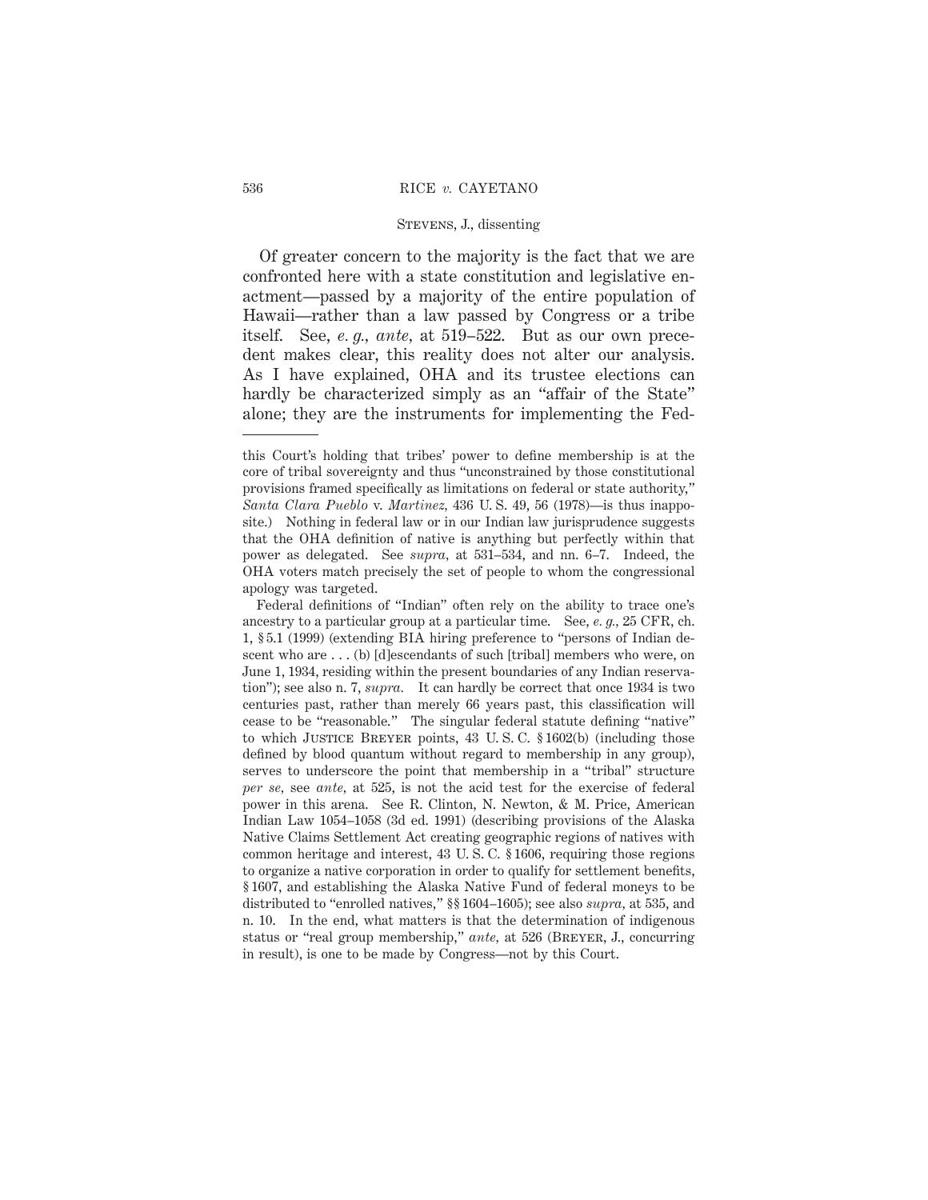Of greater concern to the majority is the fact that we are confronted here with a state constitution and legislative enactment—passed by a majority of the entire population of Hawaii—rather than a law passed by Congress or a tribe itself. See, *e. g., ante,* at 519–522. But as our own precedent makes clear, this reality does not alter our analysis. As I have explained, OHA and its trustee elections can hardly be characterized simply as an "affair of the State" alone; they are the instruments for implementing the Fed-

this Court's holding that tribes' power to define membership is at the core of tribal sovereignty and thus "unconstrained by those constitutional provisions framed specifically as limitations on federal or state authority," *Santa Clara Pueblo* v. *Martinez,* 436 U. S. 49, 56 (1978)—is thus inapposite.) Nothing in federal law or in our Indian law jurisprudence suggests that the OHA definition of native is anything but perfectly within that power as delegated. See *supra,* at 531–534, and nn. 6–7. Indeed, the OHA voters match precisely the set of people to whom the congressional apology was targeted.

Federal definitions of "Indian" often rely on the ability to trace one's ancestry to a particular group at a particular time. See, *e. g.,* 25 CFR, ch. 1, § 5.1 (1999) (extending BIA hiring preference to "persons of Indian descent who are . . . (b) [d]escendants of such [tribal] members who were, on June 1, 1934, residing within the present boundaries of any Indian reservation"); see also n. 7, *supra.* It can hardly be correct that once 1934 is two centuries past, rather than merely 66 years past, this classification will cease to be "reasonable." The singular federal statute defining "native" to which Justice Breyer points, 43 U. S. C. § 1602(b) (including those defined by blood quantum without regard to membership in any group), serves to underscore the point that membership in a "tribal" structure *per se,* see *ante,* at 525, is not the acid test for the exercise of federal power in this arena. See R. Clinton, N. Newton, & M. Price, American Indian Law 1054–1058 (3d ed. 1991) (describing provisions of the Alaska Native Claims Settlement Act creating geographic regions of natives with common heritage and interest, 43 U. S. C. § 1606, requiring those regions to organize a native corporation in order to qualify for settlement benefits, § 1607, and establishing the Alaska Native Fund of federal moneys to be distributed to "enrolled natives," §§ 1604–1605); see also *supra,* at 535, and n. 10. In the end, what matters is that the determination of indigenous status or "real group membership," *ante,* at 526 (Breyer, J., concurring in result), is one to be made by Congress—not by this Court.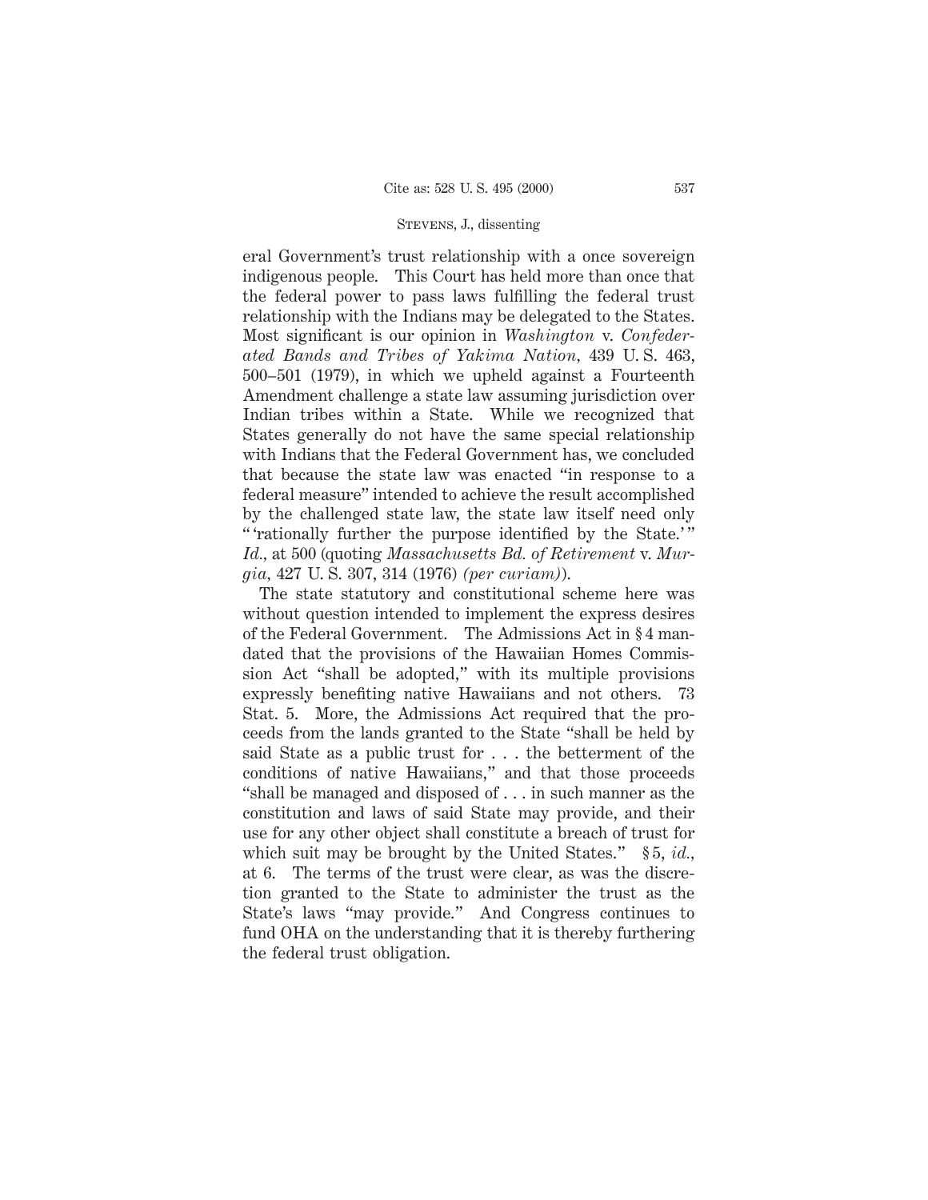eral Government's trust relationship with a once sovereign indigenous people. This Court has held more than once that the federal power to pass laws fulfilling the federal trust relationship with the Indians may be delegated to the States. Most significant is our opinion in *Washington* v. *Confederated Bands and Tribes of Yakima Nation,* 439 U. S. 463, 500–501 (1979), in which we upheld against a Fourteenth Amendment challenge a state law assuming jurisdiction over Indian tribes within a State. While we recognized that States generally do not have the same special relationship with Indians that the Federal Government has, we concluded that because the state law was enacted "in response to a federal measure" intended to achieve the result accomplished by the challenged state law, the state law itself need only " 'rationally further the purpose identified by the State.'" *Id.,* at 500 (quoting *Massachusetts Bd. of Retirement* v. *Murgia,* 427 U. S. 307, 314 (1976) *(per curiam)*).

The state statutory and constitutional scheme here was without question intended to implement the express desires of the Federal Government. The Admissions Act in § 4 mandated that the provisions of the Hawaiian Homes Commission Act "shall be adopted," with its multiple provisions expressly benefiting native Hawaiians and not others. 73 Stat. 5. More, the Admissions Act required that the proceeds from the lands granted to the State "shall be held by said State as a public trust for . . . the betterment of the conditions of native Hawaiians," and that those proceeds "shall be managed and disposed of . . . in such manner as the constitution and laws of said State may provide, and their use for any other object shall constitute a breach of trust for which suit may be brought by the United States." § 5, *id.,* at 6. The terms of the trust were clear, as was the discretion granted to the State to administer the trust as the State's laws "may provide." And Congress continues to fund OHA on the understanding that it is thereby furthering the federal trust obligation.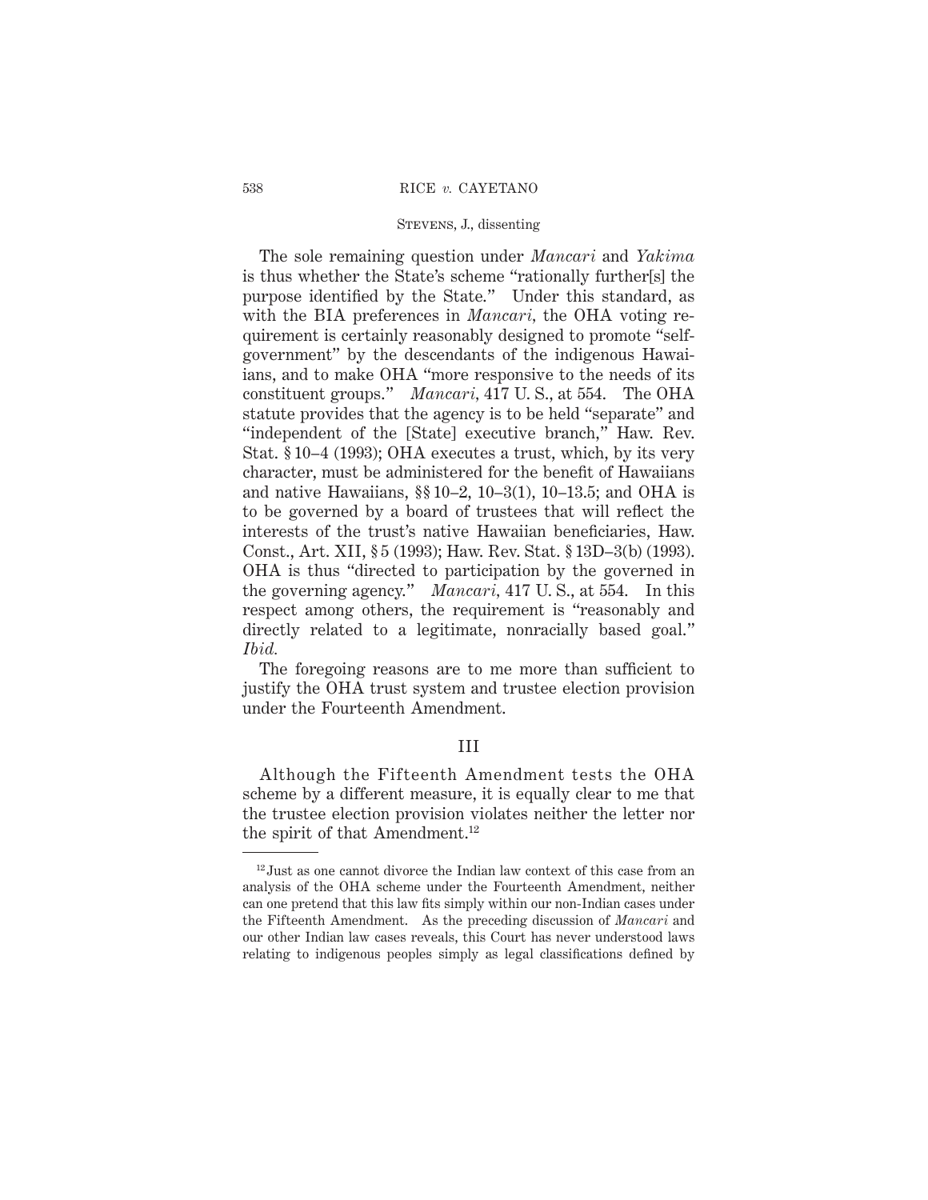The sole remaining question under *Mancari* and *Yakima* is thus whether the State's scheme "rationally further[s] the purpose identified by the State." Under this standard, as with the BIA preferences in *Mancari,* the OHA voting requirement is certainly reasonably designed to promote "selfgovernment" by the descendants of the indigenous Hawaiians, and to make OHA "more responsive to the needs of its constituent groups." *Mancari,* 417 U. S., at 554. The OHA statute provides that the agency is to be held "separate" and "independent of the [State] executive branch," Haw. Rev. Stat. § 10–4 (1993); OHA executes a trust, which, by its very character, must be administered for the benefit of Hawaiians and native Hawaiians, §§ 10–2, 10–3(1), 10–13.5; and OHA is to be governed by a board of trustees that will reflect the interests of the trust's native Hawaiian beneficiaries, Haw. Const., Art. XII, § 5 (1993); Haw. Rev. Stat. § 13D–3(b) (1993). OHA is thus "directed to participation by the governed in the governing agency." *Mancari,* 417 U. S., at 554. In this respect among others, the requirement is "reasonably and directly related to a legitimate, nonracially based goal." *Ibid.*

The foregoing reasons are to me more than sufficient to justify the OHA trust system and trustee election provision under the Fourteenth Amendment.

## III

Although the Fifteenth Amendment tests the OHA scheme by a different measure, it is equally clear to me that the trustee election provision violates neither the letter nor the spirit of that Amendment.<sup>12</sup>

 $12$  Just as one cannot divorce the Indian law context of this case from an analysis of the OHA scheme under the Fourteenth Amendment, neither can one pretend that this law fits simply within our non-Indian cases under the Fifteenth Amendment. As the preceding discussion of *Mancari* and our other Indian law cases reveals, this Court has never understood laws relating to indigenous peoples simply as legal classifications defined by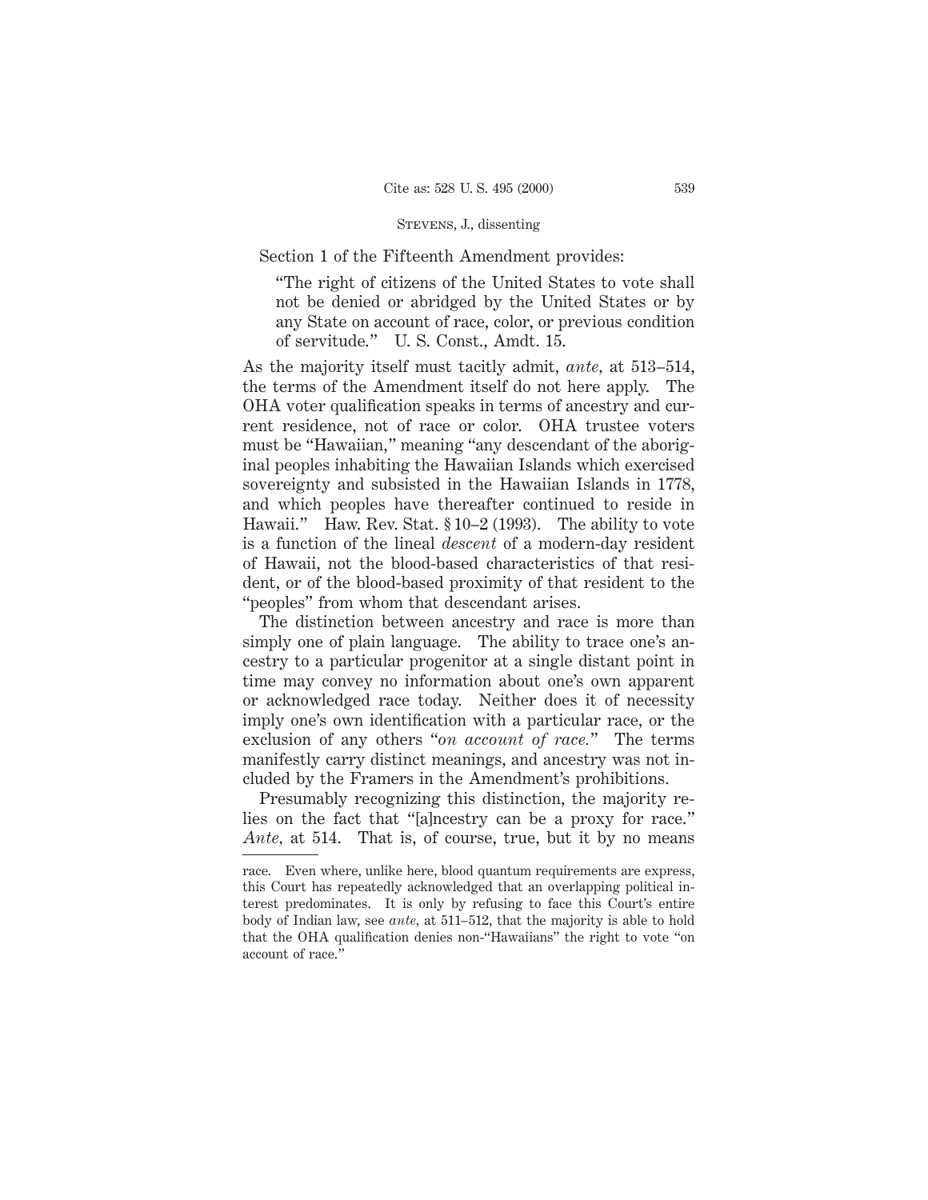### Section 1 of the Fifteenth Amendment provides:

"The right of citizens of the United States to vote shall not be denied or abridged by the United States or by any State on account of race, color, or previous condition of servitude." U. S. Const., Amdt. 15.

As the majority itself must tacitly admit, *ante,* at 513–514, the terms of the Amendment itself do not here apply. The OHA voter qualification speaks in terms of ancestry and current residence, not of race or color. OHA trustee voters must be "Hawaiian," meaning "any descendant of the aboriginal peoples inhabiting the Hawaiian Islands which exercised sovereignty and subsisted in the Hawaiian Islands in 1778, and which peoples have thereafter continued to reside in Hawaii." Haw. Rev. Stat. § 10–2 (1993). The ability to vote is a function of the lineal *descent* of a modern-day resident of Hawaii, not the blood-based characteristics of that resident, or of the blood-based proximity of that resident to the "peoples" from whom that descendant arises.

The distinction between ancestry and race is more than simply one of plain language. The ability to trace one's ancestry to a particular progenitor at a single distant point in time may convey no information about one's own apparent or acknowledged race today. Neither does it of necessity imply one's own identification with a particular race, or the exclusion of any others "*on account of race.*" The terms manifestly carry distinct meanings, and ancestry was not included by the Framers in the Amendment's prohibitions.

Presumably recognizing this distinction, the majority relies on the fact that "[a]ncestry can be a proxy for race." *Ante,* at 514. That is, of course, true, but it by no means

race. Even where, unlike here, blood quantum requirements are express, this Court has repeatedly acknowledged that an overlapping political interest predominates. It is only by refusing to face this Court's entire body of Indian law, see *ante,* at 511–512, that the majority is able to hold that the OHA qualification denies non-"Hawaiians" the right to vote "on account of race."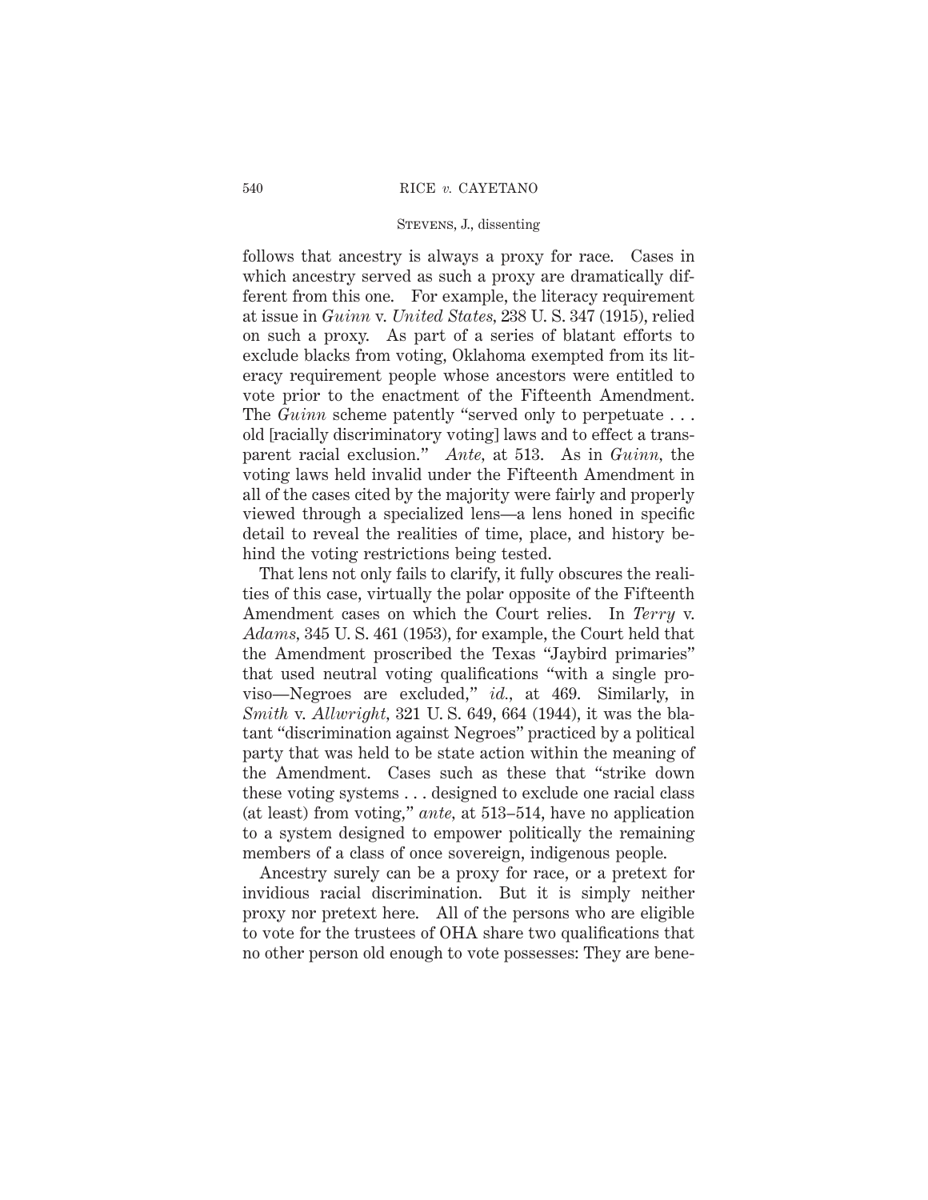follows that ancestry is always a proxy for race. Cases in which ancestry served as such a proxy are dramatically different from this one. For example, the literacy requirement at issue in *Guinn* v. *United States,* 238 U. S. 347 (1915), relied on such a proxy. As part of a series of blatant efforts to exclude blacks from voting, Oklahoma exempted from its literacy requirement people whose ancestors were entitled to vote prior to the enactment of the Fifteenth Amendment. The *Guinn* scheme patently "served only to perpetuate . . . old [racially discriminatory voting] laws and to effect a transparent racial exclusion." *Ante,* at 513. As in *Guinn,* the voting laws held invalid under the Fifteenth Amendment in all of the cases cited by the majority were fairly and properly viewed through a specialized lens—a lens honed in specific detail to reveal the realities of time, place, and history behind the voting restrictions being tested.

That lens not only fails to clarify, it fully obscures the realities of this case, virtually the polar opposite of the Fifteenth Amendment cases on which the Court relies. In *Terry* v. *Adams,* 345 U. S. 461 (1953), for example, the Court held that the Amendment proscribed the Texas "Jaybird primaries" that used neutral voting qualifications "with a single proviso—Negroes are excluded," *id.,* at 469. Similarly, in *Smith* v. *Allwright,* 321 U. S. 649, 664 (1944), it was the blatant "discrimination against Negroes" practiced by a political party that was held to be state action within the meaning of the Amendment. Cases such as these that "strike down these voting systems... designed to exclude one racial class (at least) from voting," *ante,* at 513–514, have no application to a system designed to empower politically the remaining members of a class of once sovereign, indigenous people.

Ancestry surely can be a proxy for race, or a pretext for invidious racial discrimination. But it is simply neither proxy nor pretext here. All of the persons who are eligible to vote for the trustees of OHA share two qualifications that no other person old enough to vote possesses: They are bene-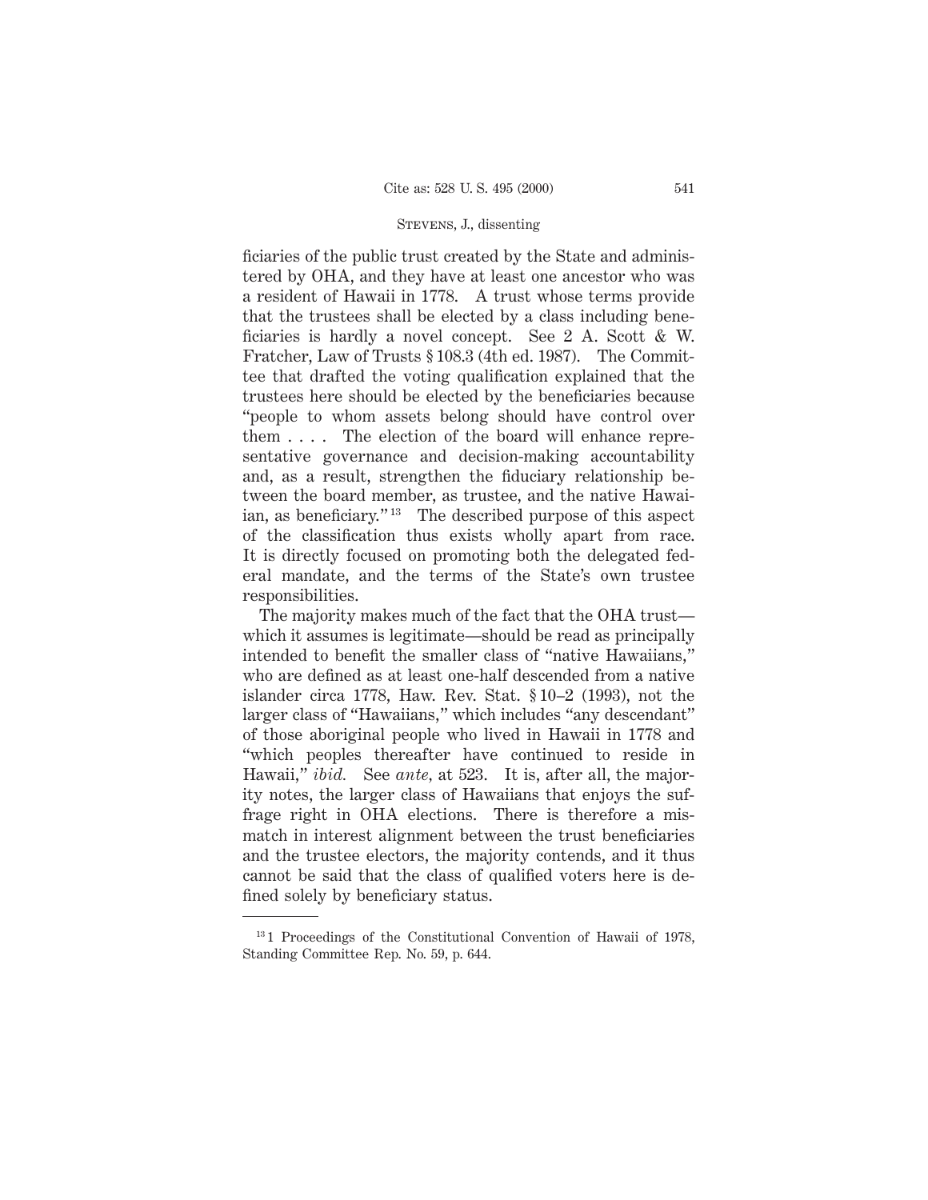ficiaries of the public trust created by the State and administered by OHA, and they have at least one ancestor who was a resident of Hawaii in 1778. A trust whose terms provide that the trustees shall be elected by a class including beneficiaries is hardly a novel concept. See 2 A. Scott & W. Fratcher, Law of Trusts § 108.3 (4th ed. 1987). The Committee that drafted the voting qualification explained that the trustees here should be elected by the beneficiaries because "people to whom assets belong should have control over them . . . . The election of the board will enhance representative governance and decision-making accountability and, as a result, strengthen the fiduciary relationship between the board member, as trustee, and the native Hawaiian, as beneficiary."<sup>13</sup> The described purpose of this aspect of the classification thus exists wholly apart from race. It is directly focused on promoting both the delegated federal mandate, and the terms of the State's own trustee responsibilities.

The majority makes much of the fact that the OHA trust which it assumes is legitimate—should be read as principally intended to benefit the smaller class of "native Hawaiians," who are defined as at least one-half descended from a native islander circa 1778, Haw. Rev. Stat. § 10–2 (1993), not the larger class of "Hawaiians," which includes "any descendant" of those aboriginal people who lived in Hawaii in 1778 and "which peoples thereafter have continued to reside in Hawaii," *ibid.* See *ante,* at 523. It is, after all, the majority notes, the larger class of Hawaiians that enjoys the suffrage right in OHA elections. There is therefore a mismatch in interest alignment between the trust beneficiaries and the trustee electors, the majority contends, and it thus cannot be said that the class of qualified voters here is defined solely by beneficiary status.

<sup>13</sup> 1 Proceedings of the Constitutional Convention of Hawaii of 1978, Standing Committee Rep. No. 59, p. 644.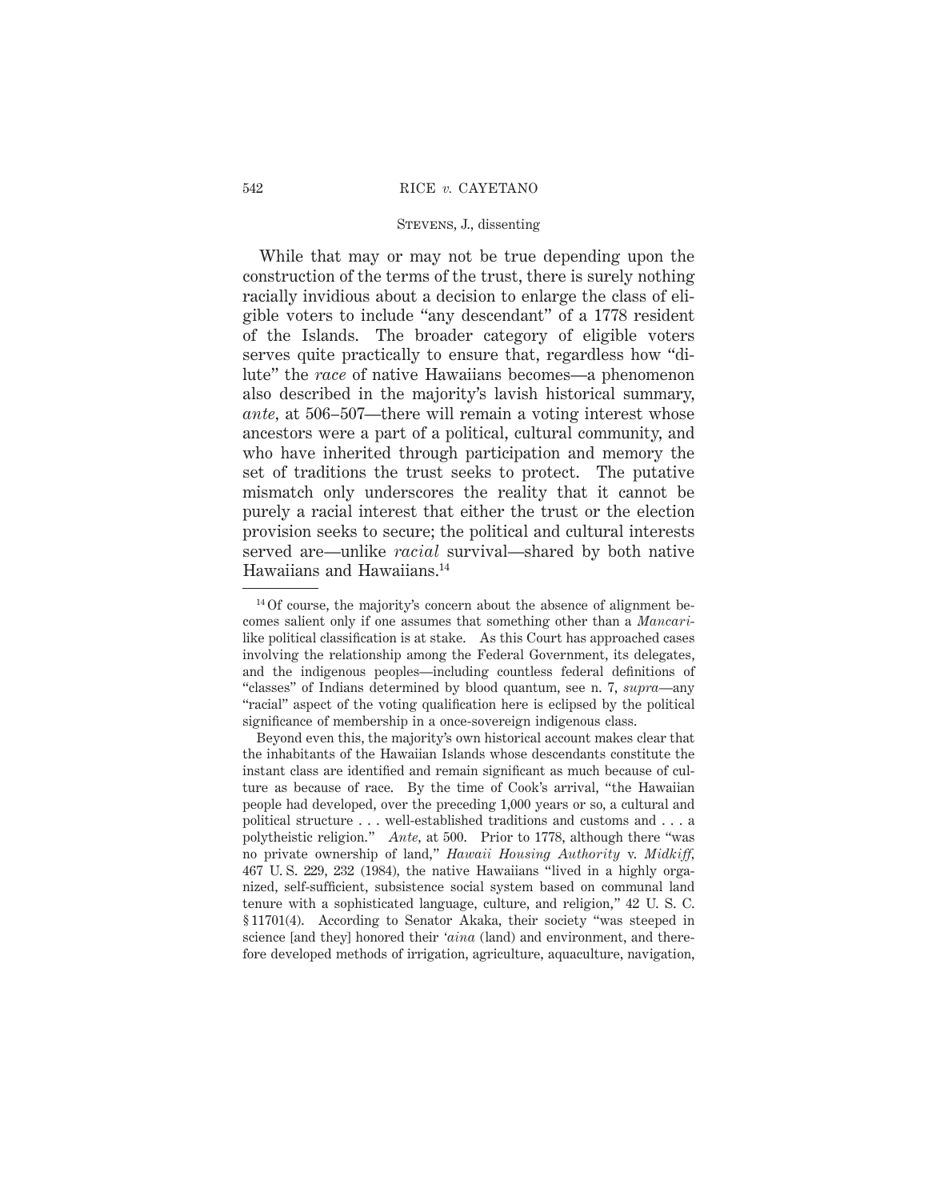While that may or may not be true depending upon the construction of the terms of the trust, there is surely nothing racially invidious about a decision to enlarge the class of eligible voters to include "any descendant" of a 1778 resident of the Islands. The broader category of eligible voters serves quite practically to ensure that, regardless how "dilute" the *race* of native Hawaiians becomes—a phenomenon also described in the majority's lavish historical summary, *ante,* at 506–507—there will remain a voting interest whose ancestors were a part of a political, cultural community, and who have inherited through participation and memory the set of traditions the trust seeks to protect. The putative mismatch only underscores the reality that it cannot be purely a racial interest that either the trust or the election provision seeks to secure; the political and cultural interests served are—unlike *racial* survival—shared by both native Hawaiians and Hawaiians.14

<sup>&</sup>lt;sup>14</sup> Of course, the majority's concern about the absence of alignment becomes salient only if one assumes that something other than a *Mancari*like political classification is at stake. As this Court has approached cases involving the relationship among the Federal Government, its delegates, and the indigenous peoples—including countless federal definitions of "classes" of Indians determined by blood quantum, see n. 7, *supra*—any "racial" aspect of the voting qualification here is eclipsed by the political significance of membership in a once-sovereign indigenous class.

Beyond even this, the majority's own historical account makes clear that the inhabitants of the Hawaiian Islands whose descendants constitute the instant class are identified and remain significant as much because of culture as because of race. By the time of Cook's arrival, "the Hawaiian people had developed, over the preceding 1,000 years or so, a cultural and political structure . . . well-established traditions and customs and . . . a polytheistic religion." *Ante,* at 500. Prior to 1778, although there "was no private ownership of land," *Hawaii Housing Authority* v. *Midkiff,* 467 U. S. 229, 232 (1984)*,* the native Hawaiians "lived in a highly organized, self-sufficient, subsistence social system based on communal land tenure with a sophisticated language, culture, and religion," 42 U. S. C. § 11701(4). According to Senator Akaka, their society "was steeped in science [and they] honored their *'aina* (land) and environment, and therefore developed methods of irrigation, agriculture, aquaculture, navigation,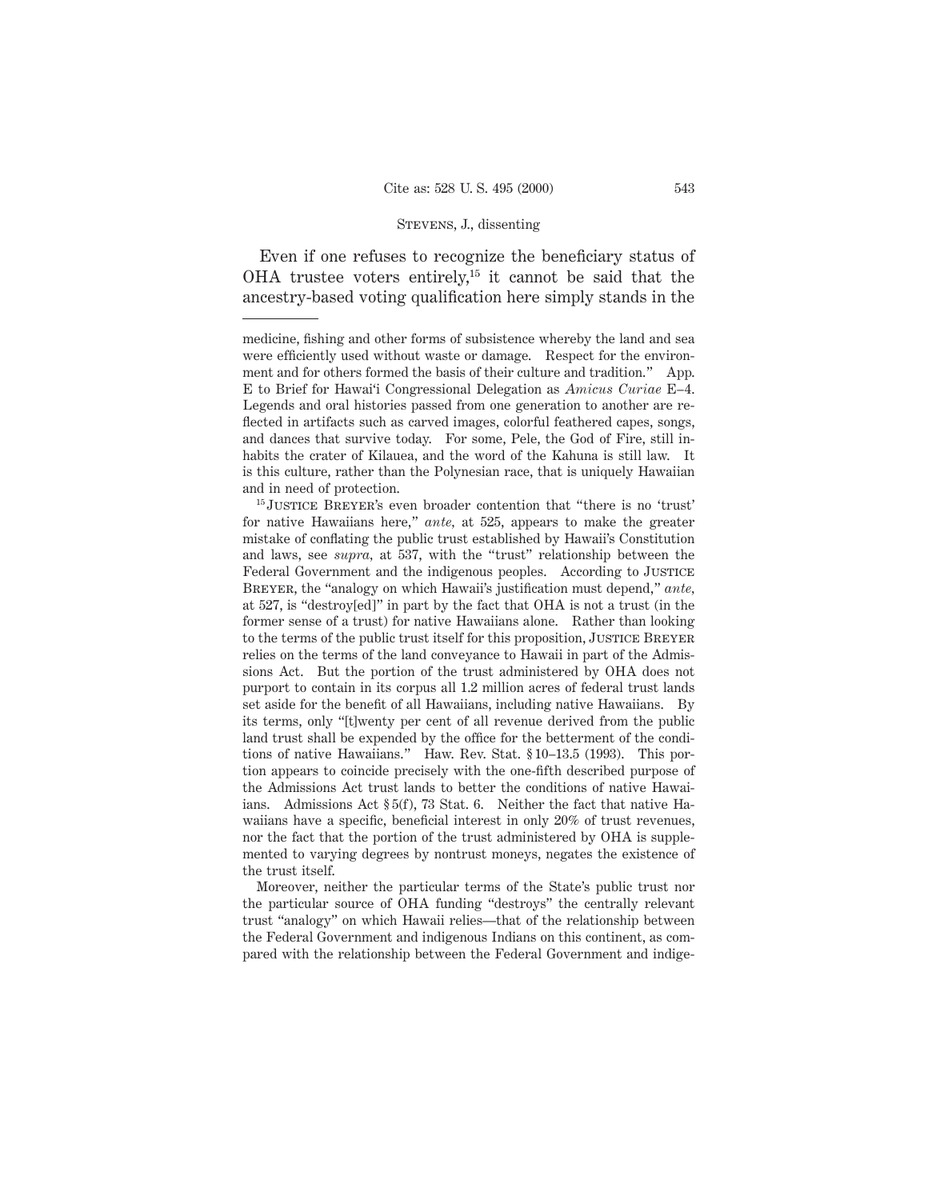Even if one refuses to recognize the beneficiary status of OHA trustee voters entirely,<sup>15</sup> it cannot be said that the ancestry-based voting qualification here simply stands in the

<sup>15</sup> JUSTICE BREYER's even broader contention that "there is no 'trust' for native Hawaiians here," *ante,* at 525, appears to make the greater mistake of conflating the public trust established by Hawaii's Constitution and laws, see *supra,* at 537, with the "trust" relationship between the Federal Government and the indigenous peoples. According to Justice Breyer, the "analogy on which Hawaii's justification must depend," *ante,* at 527, is "destroy[ed]" in part by the fact that OHA is not a trust (in the former sense of a trust) for native Hawaiians alone. Rather than looking to the terms of the public trust itself for this proposition, Justice Breyer relies on the terms of the land conveyance to Hawaii in part of the Admissions Act. But the portion of the trust administered by OHA does not purport to contain in its corpus all 1.2 million acres of federal trust lands set aside for the benefit of all Hawaiians, including native Hawaiians. By its terms, only "[t]wenty per cent of all revenue derived from the public land trust shall be expended by the office for the betterment of the conditions of native Hawaiians." Haw. Rev. Stat. § 10–13.5 (1993). This portion appears to coincide precisely with the one-fifth described purpose of the Admissions Act trust lands to better the conditions of native Hawaiians. Admissions Act  $\S 5(f)$ , 73 Stat. 6. Neither the fact that native Hawaiians have a specific, beneficial interest in only 20% of trust revenues, nor the fact that the portion of the trust administered by OHA is supplemented to varying degrees by nontrust moneys, negates the existence of the trust itself.

Moreover, neither the particular terms of the State's public trust nor the particular source of OHA funding "destroys" the centrally relevant trust "analogy" on which Hawaii relies—that of the relationship between the Federal Government and indigenous Indians on this continent, as compared with the relationship between the Federal Government and indige-

medicine, fishing and other forms of subsistence whereby the land and sea were efficiently used without waste or damage. Respect for the environment and for others formed the basis of their culture and tradition." App. E to Brief for Hawai'i Congressional Delegation as *Amicus Curiae* E–4. Legends and oral histories passed from one generation to another are reflected in artifacts such as carved images, colorful feathered capes, songs, and dances that survive today. For some, Pele, the God of Fire, still inhabits the crater of Kilauea, and the word of the Kahuna is still law. It is this culture, rather than the Polynesian race, that is uniquely Hawaiian and in need of protection.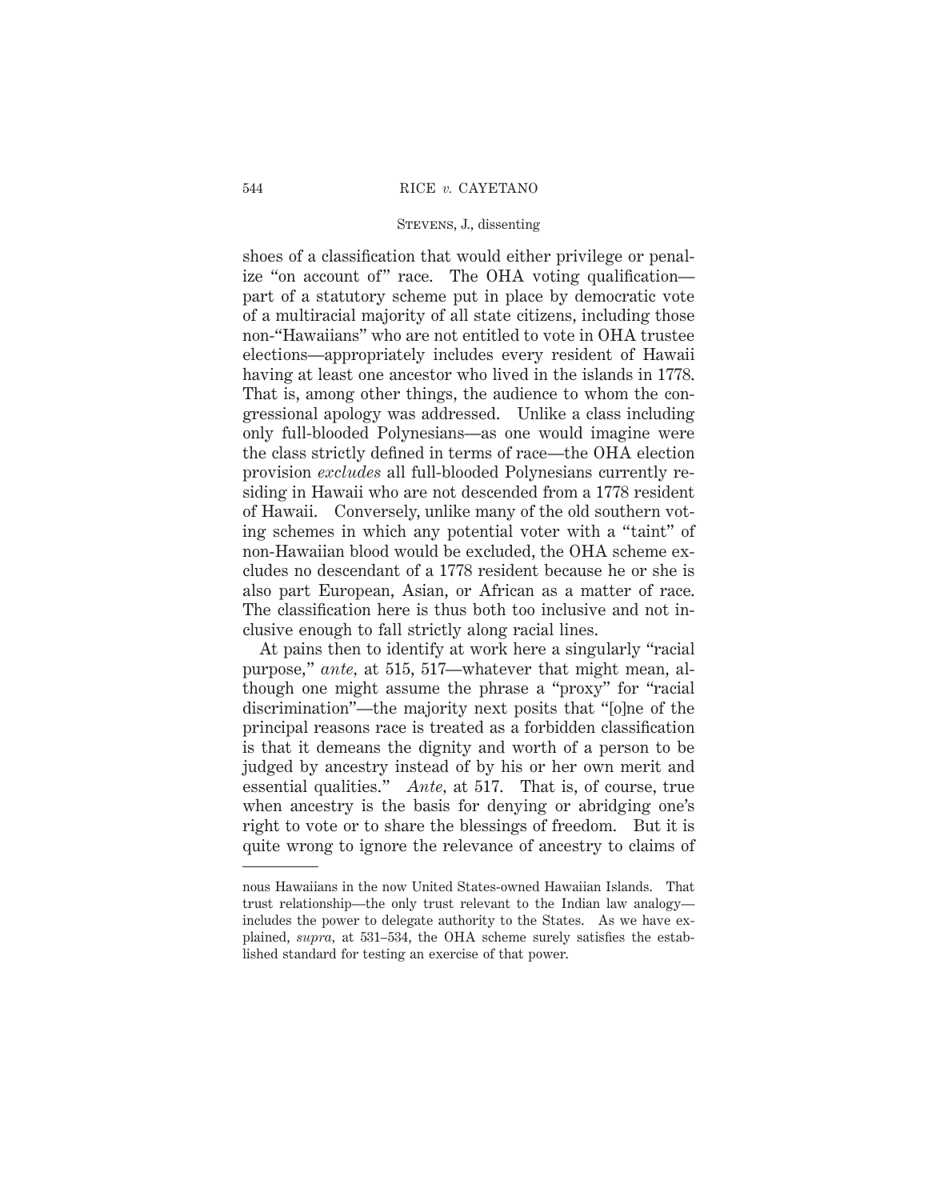shoes of a classification that would either privilege or penalize "on account of" race. The OHA voting qualification part of a statutory scheme put in place by democratic vote of a multiracial majority of all state citizens, including those non-"Hawaiians" who are not entitled to vote in OHA trustee elections—appropriately includes every resident of Hawaii having at least one ancestor who lived in the islands in 1778. That is, among other things, the audience to whom the congressional apology was addressed. Unlike a class including only full-blooded Polynesians—as one would imagine were the class strictly defined in terms of race—the OHA election provision *excludes* all full-blooded Polynesians currently residing in Hawaii who are not descended from a 1778 resident of Hawaii. Conversely, unlike many of the old southern voting schemes in which any potential voter with a "taint" of non-Hawaiian blood would be excluded, the OHA scheme excludes no descendant of a 1778 resident because he or she is also part European, Asian, or African as a matter of race. The classification here is thus both too inclusive and not inclusive enough to fall strictly along racial lines.

At pains then to identify at work here a singularly "racial purpose," *ante,* at 515, 517—whatever that might mean, although one might assume the phrase a "proxy" for "racial discrimination"—the majority next posits that "[o]ne of the principal reasons race is treated as a forbidden classification is that it demeans the dignity and worth of a person to be judged by ancestry instead of by his or her own merit and essential qualities." *Ante,* at 517. That is, of course, true when ancestry is the basis for denying or abridging one's right to vote or to share the blessings of freedom. But it is quite wrong to ignore the relevance of ancestry to claims of

nous Hawaiians in the now United States-owned Hawaiian Islands. That trust relationship—the only trust relevant to the Indian law analogy includes the power to delegate authority to the States. As we have explained, *supra,* at 531–534, the OHA scheme surely satisfies the established standard for testing an exercise of that power.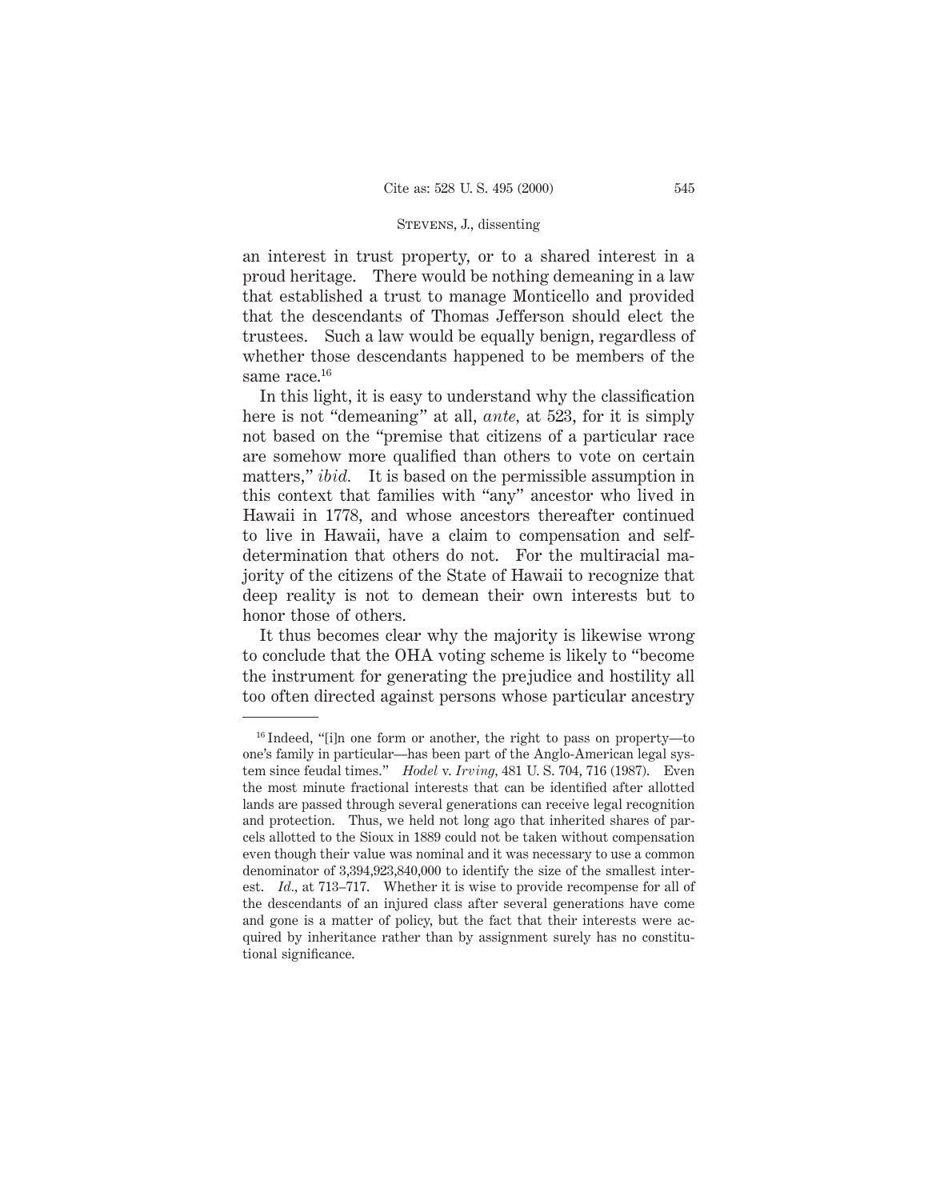an interest in trust property, or to a shared interest in a proud heritage. There would be nothing demeaning in a law that established a trust to manage Monticello and provided that the descendants of Thomas Jefferson should elect the trustees. Such a law would be equally benign, regardless of whether those descendants happened to be members of the same race.<sup>16</sup>

In this light, it is easy to understand why the classification here is not "demeaning" at all, *ante,* at 523, for it is simply not based on the "premise that citizens of a particular race are somehow more qualified than others to vote on certain matters," *ibid.* It is based on the permissible assumption in this context that families with "any" ancestor who lived in Hawaii in 1778, and whose ancestors thereafter continued to live in Hawaii, have a claim to compensation and selfdetermination that others do not. For the multiracial majority of the citizens of the State of Hawaii to recognize that deep reality is not to demean their own interests but to honor those of others.

It thus becomes clear why the majority is likewise wrong to conclude that the OHA voting scheme is likely to "become the instrument for generating the prejudice and hostility all too often directed against persons whose particular ancestry

<sup>&</sup>lt;sup>16</sup> Indeed, "[i]n one form or another, the right to pass on property—to one's family in particular—has been part of the Anglo-American legal system since feudal times." *Hodel* v. *Irving,* 481 U. S. 704, 716 (1987). Even the most minute fractional interests that can be identified after allotted lands are passed through several generations can receive legal recognition and protection. Thus, we held not long ago that inherited shares of parcels allotted to the Sioux in 1889 could not be taken without compensation even though their value was nominal and it was necessary to use a common denominator of 3,394,923,840,000 to identify the size of the smallest interest. *Id.,* at 713–717. Whether it is wise to provide recompense for all of the descendants of an injured class after several generations have come and gone is a matter of policy, but the fact that their interests were acquired by inheritance rather than by assignment surely has no constitutional significance.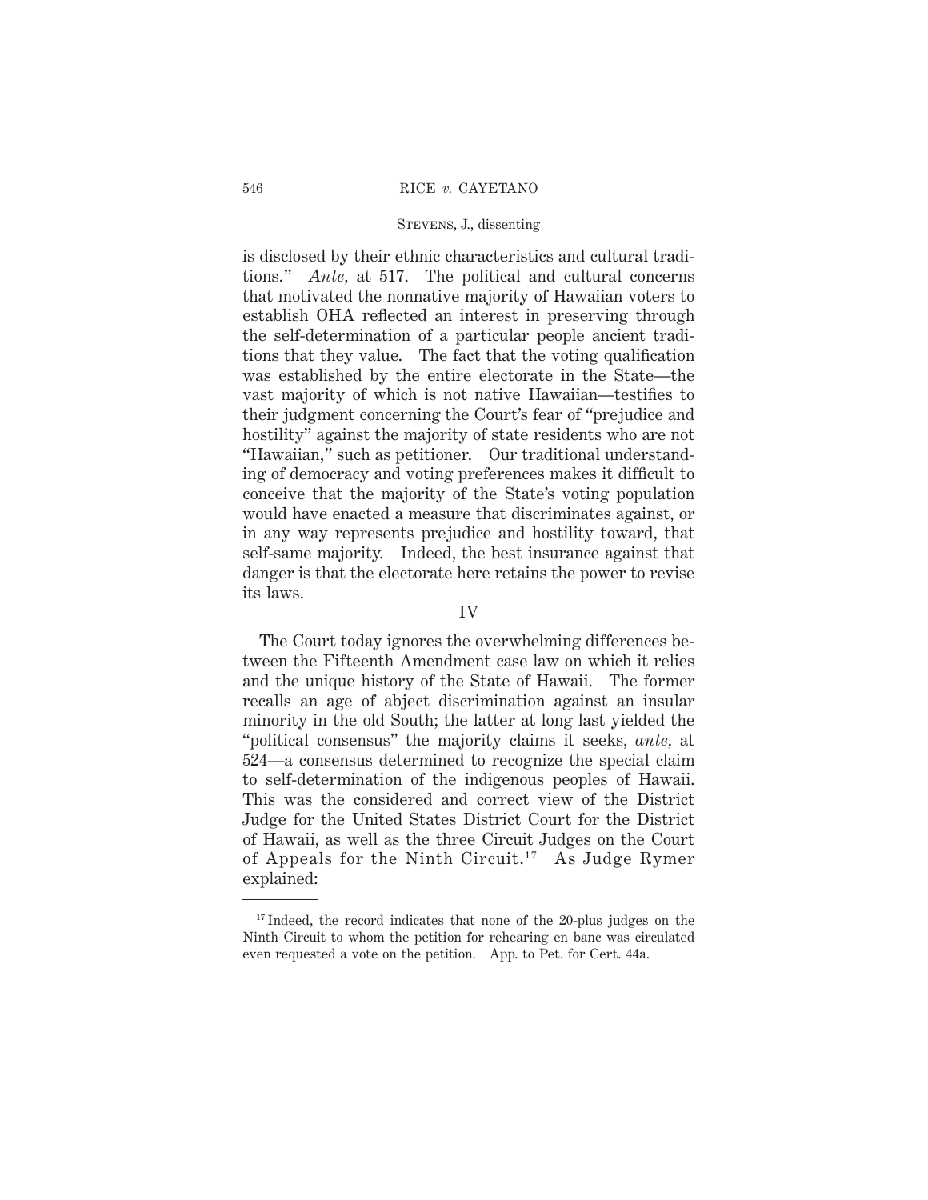is disclosed by their ethnic characteristics and cultural traditions." *Ante,* at 517. The political and cultural concerns that motivated the nonnative majority of Hawaiian voters to establish OHA reflected an interest in preserving through the self-determination of a particular people ancient traditions that they value. The fact that the voting qualification was established by the entire electorate in the State—the vast majority of which is not native Hawaiian—testifies to their judgment concerning the Court's fear of "prejudice and hostility" against the majority of state residents who are not "Hawaiian," such as petitioner. Our traditional understanding of democracy and voting preferences makes it difficult to conceive that the majority of the State's voting population would have enacted a measure that discriminates against, or in any way represents prejudice and hostility toward, that self-same majority. Indeed, the best insurance against that danger is that the electorate here retains the power to revise its laws.

### IV

The Court today ignores the overwhelming differences between the Fifteenth Amendment case law on which it relies and the unique history of the State of Hawaii. The former recalls an age of abject discrimination against an insular minority in the old South; the latter at long last yielded the "political consensus" the majority claims it seeks, *ante,* at 524—a consensus determined to recognize the special claim to self-determination of the indigenous peoples of Hawaii. This was the considered and correct view of the District Judge for the United States District Court for the District of Hawaii, as well as the three Circuit Judges on the Court of Appeals for the Ninth Circuit.17 As Judge Rymer explained:

<sup>&</sup>lt;sup>17</sup> Indeed, the record indicates that none of the 20-plus judges on the Ninth Circuit to whom the petition for rehearing en banc was circulated even requested a vote on the petition. App. to Pet. for Cert. 44a.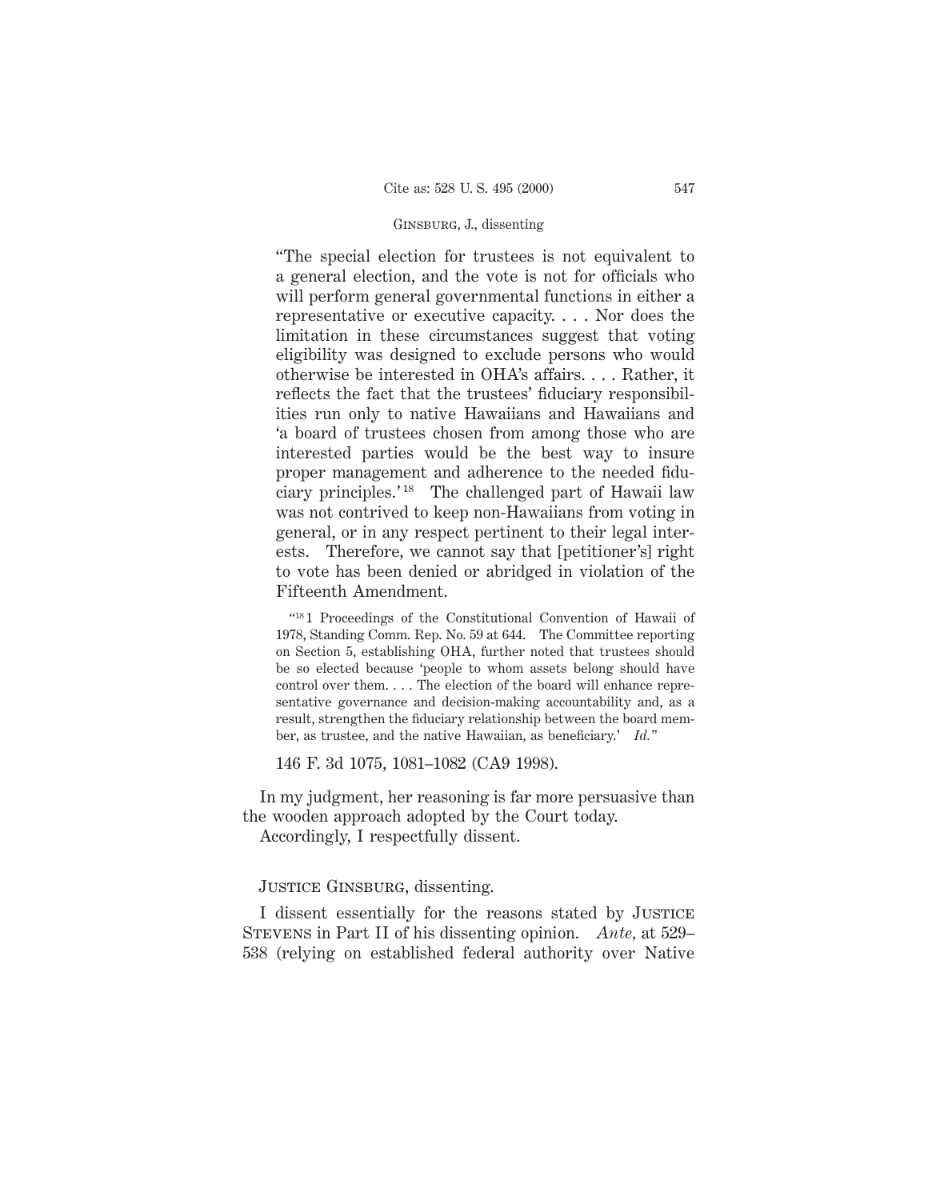## Ginsburg, J., dissenting

"The special election for trustees is not equivalent to a general election, and the vote is not for officials who will perform general governmental functions in either a representative or executive capacity. . . . Nor does the limitation in these circumstances suggest that voting eligibility was designed to exclude persons who would otherwise be interested in OHA's affairs. . . . Rather, it reflects the fact that the trustees' fiduciary responsibilities run only to native Hawaiians and Hawaiians and 'a board of trustees chosen from among those who are interested parties would be the best way to insure proper management and adherence to the needed fiduciary principles.' <sup>18</sup> The challenged part of Hawaii law was not contrived to keep non-Hawaiians from voting in general, or in any respect pertinent to their legal interests. Therefore, we cannot say that [petitioner's] right to vote has been denied or abridged in violation of the Fifteenth Amendment.

"18 1 Proceedings of the Constitutional Convention of Hawaii of 1978, Standing Comm. Rep. No. 59 at 644. The Committee reporting on Section 5, establishing OHA, further noted that trustees should be so elected because 'people to whom assets belong should have control over them. . . . The election of the board will enhance representative governance and decision-making accountability and, as a result, strengthen the fiduciary relationship between the board member, as trustee, and the native Hawaiian, as beneficiary.' *Id."*

146 F. 3d 1075, 1081–1082 (CA9 1998).

In my judgment, her reasoning is far more persuasive than the wooden approach adopted by the Court today.

Accordingly, I respectfully dissent.

JUSTICE GINSBURG, dissenting.

I dissent essentially for the reasons stated by Justice Stevens in Part II of his dissenting opinion. *Ante,* at 529– 538 (relying on established federal authority over Native